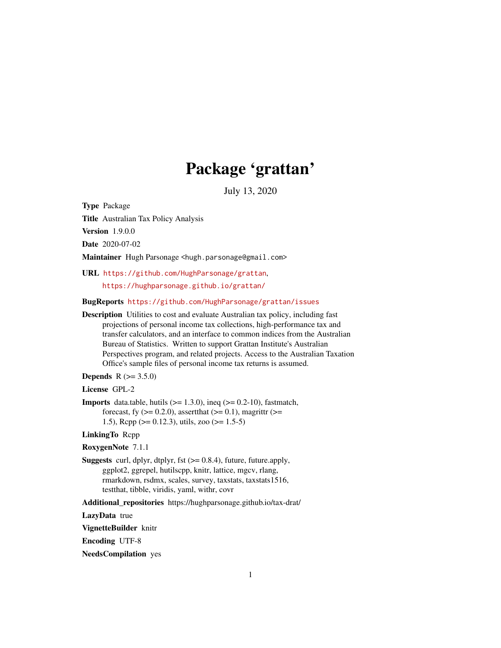# Package 'grattan'

July 13, 2020

<span id="page-0-0"></span>Type Package

Title Australian Tax Policy Analysis

Version 1.9.0.0

Date 2020-07-02

Maintainer Hugh Parsonage <hugh.parsonage@gmail.com>

URL <https://github.com/HughParsonage/grattan>, <https://hughparsonage.github.io/grattan/>

BugReports <https://github.com/HughParsonage/grattan/issues>

Description Utilities to cost and evaluate Australian tax policy, including fast projections of personal income tax collections, high-performance tax and transfer calculators, and an interface to common indices from the Australian Bureau of Statistics. Written to support Grattan Institute's Australian Perspectives program, and related projects. Access to the Australian Taxation Office's sample files of personal income tax returns is assumed.

**Depends**  $R (= 3.5.0)$ 

License GPL-2

**Imports** data.table, hutils  $(>= 1.3.0)$ , ineq  $(>= 0.2-10)$ , fastmatch, forecast, fy  $(>= 0.2.0)$ , assert that  $(>= 0.1)$ , magnittr  $(>= 0.1)$ 1.5), Rcpp ( $> = 0.12.3$ ), utils, zoo ( $> = 1.5-5$ )

LinkingTo Rcpp

RoxygenNote 7.1.1

**Suggests** curl, dplyr, dtplyr, fst  $(>= 0.8.4)$ , future, future.apply, ggplot2, ggrepel, hutilscpp, knitr, lattice, mgcv, rlang, rmarkdown, rsdmx, scales, survey, taxstats, taxstats1516, testthat, tibble, viridis, yaml, withr, covr

Additional\_repositories https://hughparsonage.github.io/tax-drat/

LazyData true

VignetteBuilder knitr

Encoding UTF-8

NeedsCompilation yes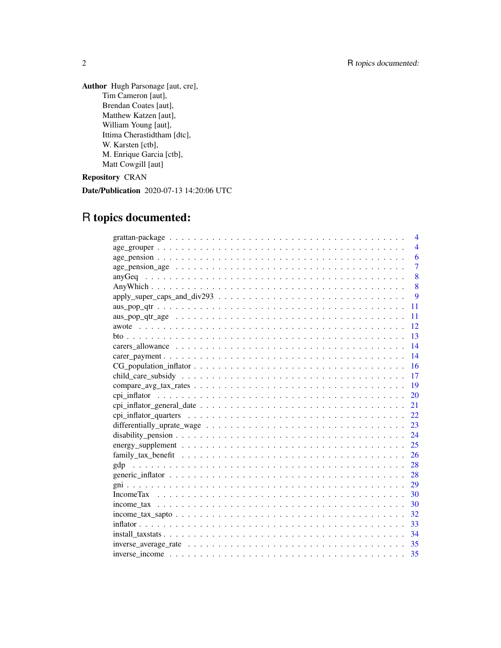Author Hugh Parsonage [aut, cre], Tim Cameron [aut], Brendan Coates [aut], Matthew Katzen [aut], William Young [aut], Ittima Cherastidtham [dtc], W. Karsten [ctb], M. Enrique Garcia [ctb], Matt Cowgill [aut]

# Repository CRAN

Date/Publication 2020-07-13 14:20:06 UTC

# R topics documented:

| 4                                                                                                                         |
|---------------------------------------------------------------------------------------------------------------------------|
| $\overline{4}$                                                                                                            |
| 6                                                                                                                         |
| $\overline{7}$<br>$age\_pension\_age \dots \dots \dots \dots \dots \dots \dots \dots \dots \dots \dots \dots \dots \dots$ |
| 8                                                                                                                         |
| 8                                                                                                                         |
| 9                                                                                                                         |
| 11                                                                                                                        |
| 11                                                                                                                        |
| 12                                                                                                                        |
| -13                                                                                                                       |
| 14                                                                                                                        |
| 14                                                                                                                        |
| 16                                                                                                                        |
| 17                                                                                                                        |
| 19                                                                                                                        |
| 20                                                                                                                        |
|                                                                                                                           |
|                                                                                                                           |
| 23                                                                                                                        |
| 24                                                                                                                        |
| 25                                                                                                                        |
| 26                                                                                                                        |
| 28                                                                                                                        |
|                                                                                                                           |
|                                                                                                                           |
|                                                                                                                           |
| 30                                                                                                                        |
|                                                                                                                           |
| -33                                                                                                                       |
| 34                                                                                                                        |
|                                                                                                                           |
|                                                                                                                           |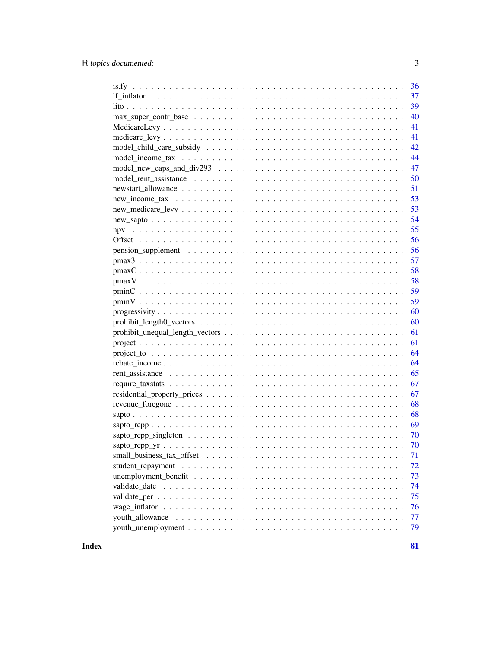|    | 36       |
|----|----------|
|    | 37       |
|    | 39       |
|    | 40       |
|    | 41       |
|    | 41       |
|    | 42       |
|    | 44       |
|    | 47       |
|    | 50       |
|    | 51       |
| 53 |          |
|    | 53       |
|    | 54       |
|    | 55       |
|    | 56       |
|    | 56       |
|    | 57       |
|    | 58       |
|    | 58       |
|    | 59       |
|    | 59       |
|    | 60       |
|    | 60       |
|    | 61       |
| 61 |          |
|    |          |
|    | 64       |
|    | 64       |
|    | 65       |
|    | 67       |
|    |          |
|    | 67       |
|    | 68       |
|    | 68       |
|    | 69       |
|    |          |
|    | 70       |
|    | 71       |
|    | 72       |
|    | 73       |
|    | 74       |
|    | 75       |
|    | 76       |
|    | 77<br>79 |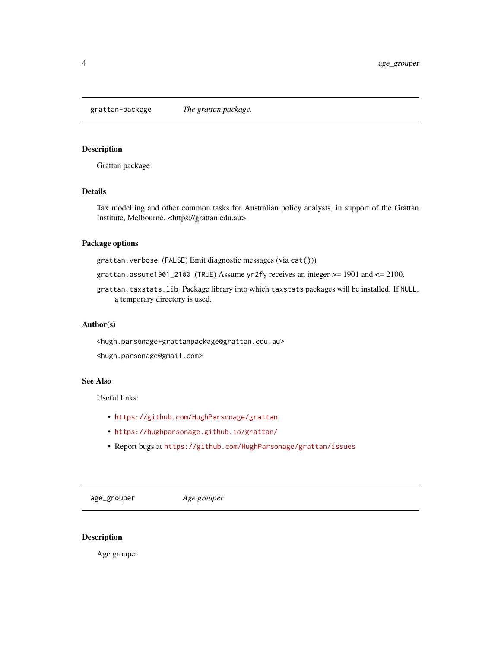<span id="page-3-0"></span>grattan-package *The grattan package.*

#### Description

Grattan package

#### Details

Tax modelling and other common tasks for Australian policy analysts, in support of the Grattan Institute, Melbourne. <https://grattan.edu.au>

# Package options

grattan.verbose (FALSE) Emit diagnostic messages (via cat()))

- grattan.assume1901\_2100 (TRUE) Assume yr2fy receives an integer  $>= 1901$  and  $<= 2100$ .
- grattan.taxstats.lib Package library into which taxstats packages will be installed. If NULL, a temporary directory is used.

#### Author(s)

<hugh.parsonage+grattanpackage@grattan.edu.au>

<hugh.parsonage@gmail.com>

#### See Also

Useful links:

- <https://github.com/HughParsonage/grattan>
- <https://hughparsonage.github.io/grattan/>
- Report bugs at <https://github.com/HughParsonage/grattan/issues>

age\_grouper *Age grouper*

#### Description

Age grouper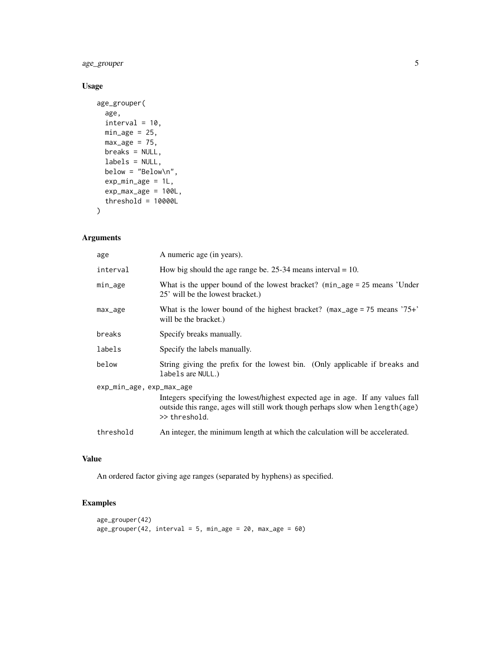age\_grouper 5

# Usage

```
age_grouper(
  age,
  interval = 10,
  min\_age = 25,
  max\_age = 75,
  breaks = NULL,
  labels = NULL,
  below = "Below\n",
  exp_min\_age = 1L,
  exp\_max\_age = 100L,threshold = 10000L)
```
# Arguments

| age                      | A numeric age (in years).                                                                                                                                                         |  |
|--------------------------|-----------------------------------------------------------------------------------------------------------------------------------------------------------------------------------|--|
| interval                 | How big should the age range be. 25-34 means interval $= 10$ .                                                                                                                    |  |
| min_age                  | What is the upper bound of the lowest bracket? (min_age = 25 means 'Under<br>25' will be the lowest bracket.)                                                                     |  |
| max_age                  | What is the lower bound of the highest bracket? $(max_age = 75 means '75+'$<br>will be the bracket.)                                                                              |  |
| breaks                   | Specify breaks manually.                                                                                                                                                          |  |
| labels                   | Specify the labels manually.                                                                                                                                                      |  |
| below                    | String giving the prefix for the lowest bin. (Only applicable if breaks and<br>labels are NULL.)                                                                                  |  |
| exp_min_age, exp_max_age |                                                                                                                                                                                   |  |
|                          | Integers specifying the lowest/highest expected age in age. If any values fall<br>outside this range, ages will still work though perhaps slow when length (age)<br>>> threshold. |  |
| threshold                | An integer, the minimum length at which the calculation will be accelerated.                                                                                                      |  |

# Value

An ordered factor giving age ranges (separated by hyphens) as specified.

# Examples

```
age_grouper(42)
age\_grouper(42, interval = 5, min\_age = 20, max\_age = 60)
```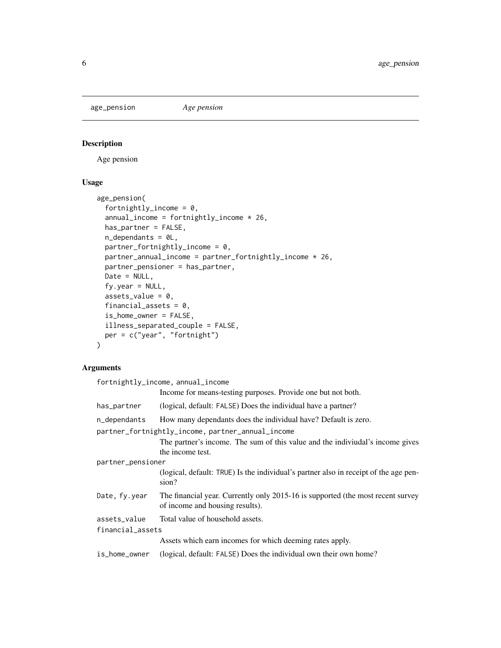<span id="page-5-1"></span><span id="page-5-0"></span>age\_pension *Age pension*

# Description

Age pension

#### Usage

```
age_pension(
  fortnightly_income = 0,
  annual\_income = fortnightly\_income * 26,has_partner = FALSE,
 n_dependants = 0L,
 partner_fortnightly_income = 0,
 partner_annual_income = partner_fortnightly_income * 26,
 partner_pensioner = has_partner,
 Date = NULL,
 fy.year = NULL,assets_value = 0,financial_assets = 0,
  is_home_owner = FALSE,
 illness_separated_couple = FALSE,
 per = c("year", "fortnight")
)
```

| fortnightly_income, annual_income                 |                                                                                                                    |  |
|---------------------------------------------------|--------------------------------------------------------------------------------------------------------------------|--|
|                                                   | Income for means-testing purposes. Provide one but not both.                                                       |  |
| has_partner                                       | (logical, default: FALSE) Does the individual have a partner?                                                      |  |
| n_dependants                                      | How many dependants does the individual have? Default is zero.                                                     |  |
| partner_fortnightly_income, partner_annual_income |                                                                                                                    |  |
|                                                   | The partner's income. The sum of this value and the indiviudal's income gives                                      |  |
|                                                   | the income test.                                                                                                   |  |
| partner_pensioner                                 |                                                                                                                    |  |
|                                                   | (logical, default: TRUE) Is the individual's partner also in receipt of the age pen-<br>sion?                      |  |
| Date, fy.year                                     | The financial year. Currently only 2015-16 is supported (the most recent survey<br>of income and housing results). |  |
| assets_value                                      | Total value of household assets.                                                                                   |  |
| financial_assets                                  |                                                                                                                    |  |
|                                                   | Assets which earn incomes for which deeming rates apply.                                                           |  |
| is_home_owner                                     | (logical, default: FALSE) Does the individual own their own home?                                                  |  |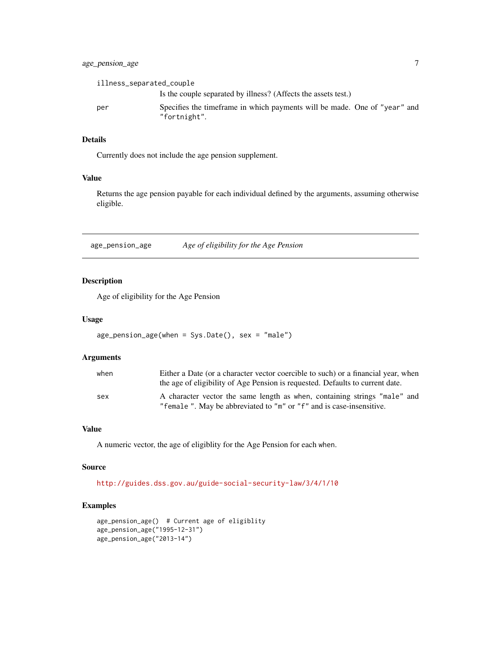# <span id="page-6-0"></span>age\_pension\_age 7

| illness_separated_couple |                                                                                           |
|--------------------------|-------------------------------------------------------------------------------------------|
|                          | Is the couple separated by illness? (Affects the assets test.)                            |
| per                      | Specifies the timeframe in which payments will be made. One of "year" and<br>"fortnight". |

# Details

Currently does not include the age pension supplement.

#### Value

Returns the age pension payable for each individual defined by the arguments, assuming otherwise eligible.

age\_pension\_age *Age of eligibility for the Age Pension*

#### Description

Age of eligibility for the Age Pension

#### Usage

```
age_pension_age(when = Sys.Date(), sex = "male")
```
#### Arguments

| when | Either a Date (or a character vector coercible to such) or a financial year, when<br>the age of eligibility of Age Pension is requested. Defaults to current date. |
|------|--------------------------------------------------------------------------------------------------------------------------------------------------------------------|
| sex  | A character vector the same length as when, containing strings "male" and<br>"female". May be abbreviated to "m" or "f" and is case-insensitive.                   |

#### Value

A numeric vector, the age of eligiblity for the Age Pension for each when.

#### Source

<http://guides.dss.gov.au/guide-social-security-law/3/4/1/10>

#### Examples

```
age_pension_age() # Current age of eligiblity
age_pension_age("1995-12-31")
age_pension_age("2013-14")
```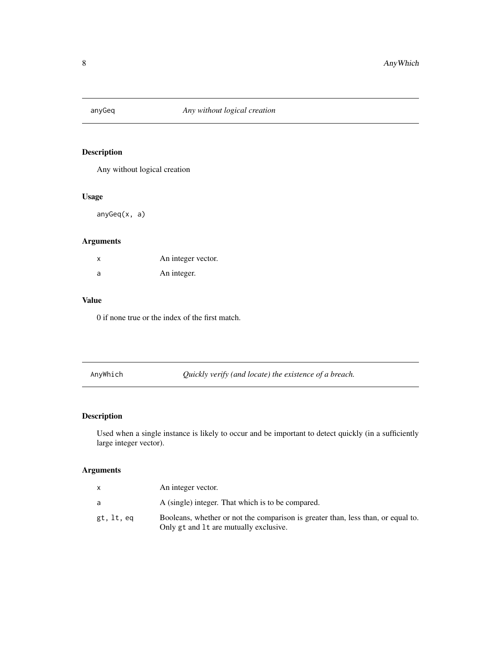<span id="page-7-0"></span>

# Description

Any without logical creation

# Usage

anyGeq(x, a)

# Arguments

| X | An integer vector. |
|---|--------------------|
| a | An integer.        |

#### Value

0 if none true or the index of the first match.

AnyWhich *Quickly verify (and locate) the existence of a breach.*

# Description

Used when a single instance is likely to occur and be important to detect quickly (in a sufficiently large integer vector).

|            | An integer vector.                                                                                                         |
|------------|----------------------------------------------------------------------------------------------------------------------------|
| a          | A (single) integer. That which is to be compared.                                                                          |
| gt, lt, eq | Booleans, whether or not the comparison is greater than, less than, or equal to.<br>Only gt and 1t are mutually exclusive. |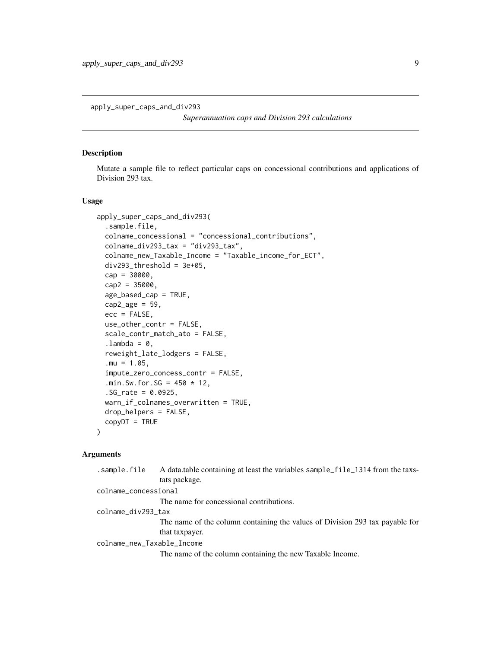<span id="page-8-0"></span>apply\_super\_caps\_and\_div293

*Superannuation caps and Division 293 calculations*

#### Description

Mutate a sample file to reflect particular caps on concessional contributions and applications of Division 293 tax.

#### Usage

```
apply_super_caps_and_div293(
  .sample.file,
 colname_concessional = "concessional_contributions",
  colname_div293_tax = "div293_tax",
  colname_new_Taxable_Income = "Taxable_income_for_ECT",
  div293_{th}rhreshold = 3e+05,
  cap = 30000,cap2 = 35000,age_based_cap = TRUE,
  cap2_age = 59,
  ecc = FALSE,
  use_other_contr = FALSE,
  scale_contr_match_ato = FALSE,
  .lambda = 0,
  reweight_late_lodgers = FALSE,
  .mu = 1.05,
  impute_zero_concess_contr = FALSE,
  .min.Sw.for.SG = 450 \times 12,
  .SG_rate = 0.0925,
 warn_if_colnames_overwritten = TRUE,
 drop_helpers = FALSE,
  copyDT = TRUE)
```
#### Arguments

| .sample.file               | A data table containing at least the variables sample_file_1314 from the taxs-<br>tats package.                |
|----------------------------|----------------------------------------------------------------------------------------------------------------|
| colname_concessional       |                                                                                                                |
|                            | The name for concessional contributions.                                                                       |
| colname_div293_tax         |                                                                                                                |
|                            | The name of the column containing the values of Division 293 tax payable for<br>that taxpayer.                 |
| colname_new_Taxable_Income |                                                                                                                |
|                            | ления в село в село в село в село в село в село в село в село в село в село в село в село в село в село в село |

The name of the column containing the new Taxable Income.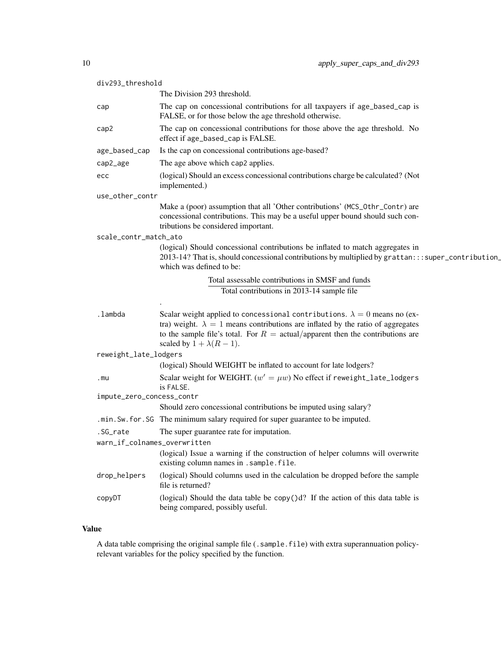| div293_threshold             |                                                                                                                                                                                                                                                                                                           |
|------------------------------|-----------------------------------------------------------------------------------------------------------------------------------------------------------------------------------------------------------------------------------------------------------------------------------------------------------|
|                              | The Division 293 threshold.                                                                                                                                                                                                                                                                               |
| cap                          | The cap on concessional contributions for all taxpayers if age_based_cap is<br>FALSE, or for those below the age threshold otherwise.                                                                                                                                                                     |
| cap2                         | The cap on concessional contributions for those above the age threshold. No<br>effect if age_based_cap is FALSE.                                                                                                                                                                                          |
| age_based_cap                | Is the cap on concessional contributions age-based?                                                                                                                                                                                                                                                       |
| cap2_age                     | The age above which cap2 applies.                                                                                                                                                                                                                                                                         |
| ecc                          | (logical) Should an excess concessional contributions charge be calculated? (Not<br>implemented.)                                                                                                                                                                                                         |
| use_other_contr              |                                                                                                                                                                                                                                                                                                           |
|                              | Make a (poor) assumption that all 'Other contributions' (MCS_0thr_Contr) are<br>concessional contributions. This may be a useful upper bound should such con-<br>tributions be considered important.                                                                                                      |
| scale_contr_match_ato        |                                                                                                                                                                                                                                                                                                           |
|                              | (logical) Should concessional contributions be inflated to match aggregates in<br>2013-14? That is, should concessional contributions by multiplied by grattan:::super_contribution_<br>which was defined to be:                                                                                          |
|                              | Total assessable contributions in SMSF and funds                                                                                                                                                                                                                                                          |
|                              | Total contributions in 2013-14 sample file                                                                                                                                                                                                                                                                |
|                              |                                                                                                                                                                                                                                                                                                           |
| .lambda                      | Scalar weight applied to concessional contributions. $\lambda = 0$ means no (ex-<br>tra) weight. $\lambda = 1$ means contributions are inflated by the ratio of aggregates<br>to the sample file's total. For $R = \text{actual/apparent}$ then the contributions are<br>scaled by $1 + \lambda(R - 1)$ . |
| reweight_late_lodgers        |                                                                                                                                                                                                                                                                                                           |
|                              | (logical) Should WEIGHT be inflated to account for late lodgers?                                                                                                                                                                                                                                          |
| .mu                          | Scalar weight for WEIGHT. $(w' = \mu w)$ No effect if reweight_late_lodgers<br>is FALSE.                                                                                                                                                                                                                  |
| impute_zero_concess_contr    |                                                                                                                                                                                                                                                                                                           |
|                              | Should zero concessional contributions be imputed using salary?                                                                                                                                                                                                                                           |
|                              | .min. Sw. for. SG The minimum salary required for super guarantee to be imputed.                                                                                                                                                                                                                          |
| .SG_rate                     | The super guarantee rate for imputation.                                                                                                                                                                                                                                                                  |
| warn_if_colnames_overwritten | (logical) Issue a warning if the construction of helper columns will overwrite                                                                                                                                                                                                                            |
|                              | existing column names in . sample. file.                                                                                                                                                                                                                                                                  |
| drop_helpers                 | (logical) Should columns used in the calculation be dropped before the sample<br>file is returned?                                                                                                                                                                                                        |
| copyDT                       | (logical) Should the data table be $\text{copy}()d$ ? If the action of this data table is<br>being compared, possibly useful.                                                                                                                                                                             |

# Value

A data table comprising the original sample file (.sample.file) with extra superannuation policyrelevant variables for the policy specified by the function.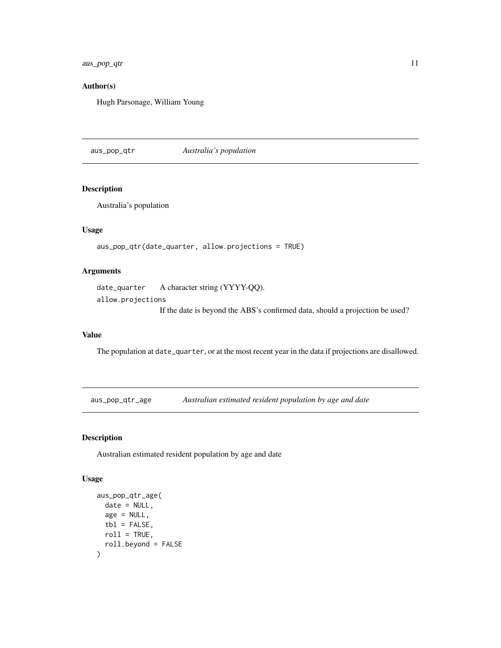<span id="page-10-0"></span>aus\_pop\_qtr 11

# Author(s)

Hugh Parsonage, William Young

aus\_pop\_qtr *Australia's population*

# Description

Australia's population

#### Usage

aus\_pop\_qtr(date\_quarter, allow.projections = TRUE)

# Arguments

date\_quarter A character string (YYYY-QQ). allow.projections If the date is beyond the ABS's confirmed data, should a projection be used?

#### Value

The population at date\_quarter, or at the most recent year in the data if projections are disallowed.

aus\_pop\_qtr\_age *Australian estimated resident population by age and date*

#### Description

Australian estimated resident population by age and date

```
aus_pop_qtr_age(
  date = NULL,age = NULL,tb1 = FALSE,roll = TRUE,roll.beyond = FALSE
\mathcal{E}
```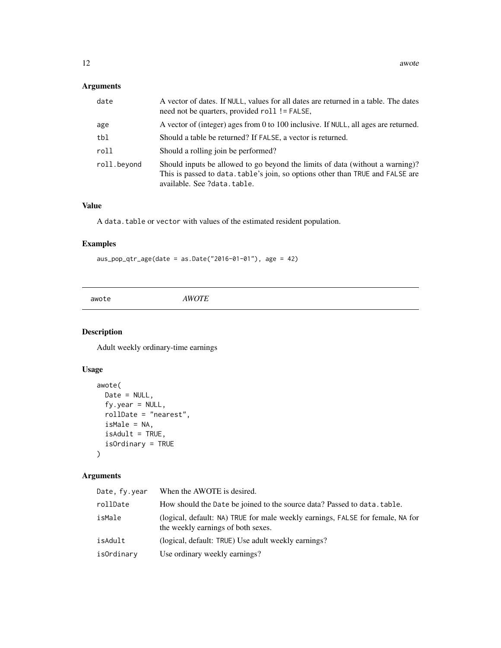<span id="page-11-0"></span>

| date        | A vector of dates. If NULL, values for all dates are returned in a table. The dates<br>need not be quarters, provided roll != FALSE,                                                           |
|-------------|------------------------------------------------------------------------------------------------------------------------------------------------------------------------------------------------|
| age         | A vector of (integer) ages from 0 to 100 inclusive. If NULL, all ages are returned.                                                                                                            |
| tbl         | Should a table be returned? If FALSE, a vector is returned.                                                                                                                                    |
| roll        | Should a rolling join be performed?                                                                                                                                                            |
| roll.beyond | Should inputs be allowed to go beyond the limits of data (without a warning)?<br>This is passed to data. table's join, so options other than TRUE and FALSE are<br>available. See ?data.table. |

#### Value

A data.table or vector with values of the estimated resident population.

# Examples

 $aus\_pop\_qtr\_age(data = as.DataFrame("2016-01-01"), age = 42)$ 

awote *AWOTE*

# Description

Adult weekly ordinary-time earnings

# Usage

```
awote(
 Date = NULL,
 fy.year = NULL,
 rollDate = "nearest",
 isMale = NA,
 isAdult = TRUE,isOrdinary = TRUE
)
```

| Date, fy.year | When the AWOTE is desired.                                                                                           |
|---------------|----------------------------------------------------------------------------------------------------------------------|
| rollDate      | How should the Date be joined to the source data? Passed to data.table.                                              |
| isMale        | (logical, default: NA) TRUE for male weekly earnings, FALSE for female, NA for<br>the weekly earnings of both sexes. |
| isAdult       | (logical, default: TRUE) Use adult weekly earnings?                                                                  |
| isOrdinary    | Use ordinary weekly earnings?                                                                                        |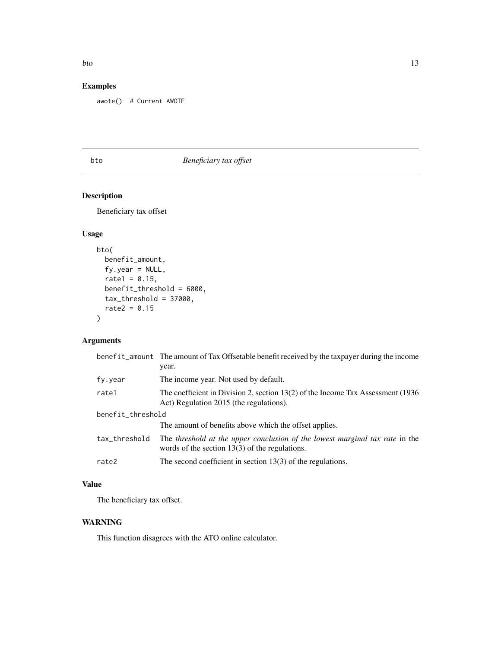#### <span id="page-12-0"></span>bto 13

# Examples

awote() # Current AWOTE

# bto *Beneficiary tax offset*

# Description

Beneficiary tax offset

# Usage

```
bto(
 benefit_amount,
  fy.year = NULL,rate1 = 0.15,
 benefit_threshold = 6000,
  tax_threshold = 37000,
  rate2 = 0.15)
```
# Arguments

|                   | benefit_amount The amount of Tax Offsetable benefit received by the taxpayer during the income<br>year.                          |  |
|-------------------|----------------------------------------------------------------------------------------------------------------------------------|--|
| fy.year           | The income year. Not used by default.                                                                                            |  |
| rate1             | The coefficient in Division 2, section $13(2)$ of the Income Tax Assessment (1936)<br>Act) Regulation 2015 (the regulations).    |  |
| benefit_threshold |                                                                                                                                  |  |
|                   | The amount of benefits above which the offset applies.                                                                           |  |
| tax_threshold     | The threshold at the upper conclusion of the lowest marginal tax rate in the<br>words of the section $13(3)$ of the regulations. |  |
| rate2             | The second coefficient in section $13(3)$ of the regulations.                                                                    |  |

# Value

The beneficiary tax offset.

# WARNING

This function disagrees with the ATO online calculator.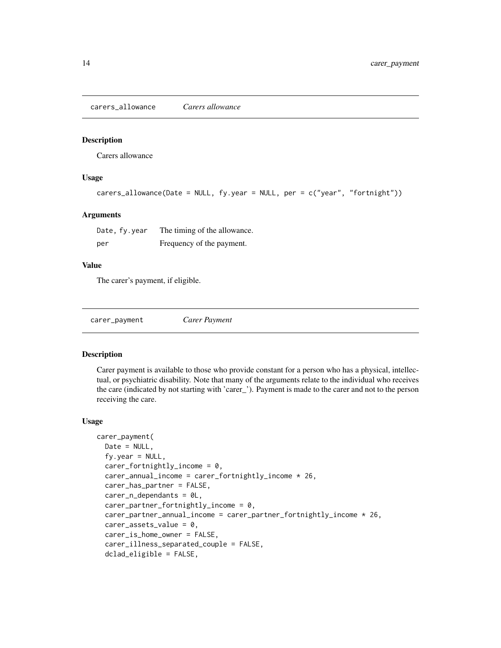<span id="page-13-0"></span>carers\_allowance *Carers allowance*

#### Description

Carers allowance

#### Usage

```
carers_allowance(Date = NULL, fy.year = NULL, per = c("year", "fortnight"))
```
#### **Arguments**

| Date, fy.year | The timing of the allowance. |
|---------------|------------------------------|
| per           | Frequency of the payment.    |

#### Value

The carer's payment, if eligible.

| carer_payment | Carer Payment |
|---------------|---------------|
|---------------|---------------|

#### Description

Carer payment is available to those who provide constant for a person who has a physical, intellectual, or psychiatric disability. Note that many of the arguments relate to the individual who receives the care (indicated by not starting with 'carer\_'). Payment is made to the carer and not to the person receiving the care.

```
carer_payment(
 Date = NULL,
  fy.year = NULL,carer_fortnightly_income = 0,
  carer_annual_income = carer_fortnightly_income * 26,
  carer_has_partner = FALSE,
  carer_n_dependants = 0L,
  carer\_partner\_fortnightly\_income = 0,
  carer_partner_annual_income = carer_partner_fortnightly_income * 26,
  carer_assets_value = 0,
  carer_is_home_owner = FALSE,
  carer_illness_separated_couple = FALSE,
  dclad_eligible = FALSE,
```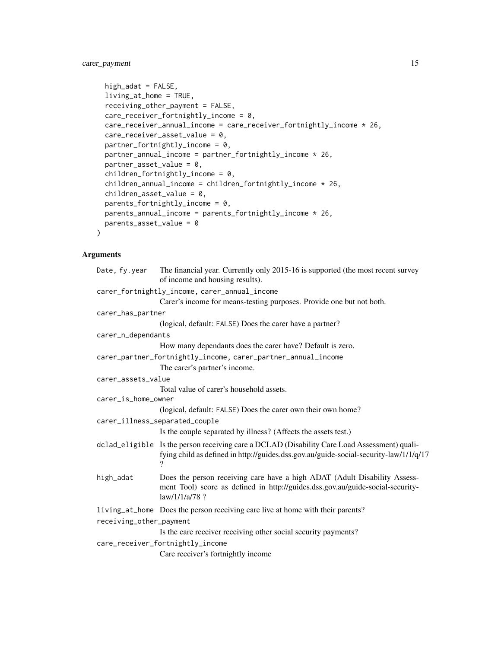```
high_adat = FALSE,
living_at_home = TRUE,
receiving_other_payment = FALSE,
care_receiver_fortnightly_income = 0,
care_receiver_annual_income = care_receiver_fortnightly_income * 26,
care_receiver_asset_value = 0,
partner_fortnightly_income = 0,partner_annual_income = partner_fortnightly_income * 26,
partner\_asset\_value = 0,
children_fortnightly_income = 0,
children_annual_income = children_fortnightly_income * 26,
children\_asset\_value = 0,parents_fortnightly_income = 0,
parents_annual_income = parents_fortnightly_income * 26,
parents_asset_value = 0
```
)

| Date, fy.year           | The financial year. Currently only 2015-16 is supported (the most recent survey<br>of income and housing results).                                                                         |
|-------------------------|--------------------------------------------------------------------------------------------------------------------------------------------------------------------------------------------|
|                         | carer_fortnightly_income, carer_annual_income                                                                                                                                              |
|                         | Carer's income for means-testing purposes. Provide one but not both.                                                                                                                       |
| carer_has_partner       |                                                                                                                                                                                            |
|                         | (logical, default: FALSE) Does the carer have a partner?                                                                                                                                   |
| carer_n_dependants      |                                                                                                                                                                                            |
|                         | How many dependants does the carer have? Default is zero.                                                                                                                                  |
|                         | carer_partner_fortnightly_income, carer_partner_annual_income                                                                                                                              |
|                         | The carer's partner's income.                                                                                                                                                              |
| carer_assets_value      |                                                                                                                                                                                            |
|                         | Total value of carer's household assets.                                                                                                                                                   |
| carer_is_home_owner     |                                                                                                                                                                                            |
|                         | (logical, default: FALSE) Does the carer own their own home?                                                                                                                               |
|                         | carer_illness_separated_couple                                                                                                                                                             |
|                         | Is the couple separated by illness? (Affects the assets test.)                                                                                                                             |
|                         | dclad_eligible Is the person receiving care a DCLAD (Disability Care Load Assessment) quali-<br>fying child as defined in http://guides.dss.gov.au/guide-social-security-law/1/1/q/17<br>9 |
| high_adat               | Does the person receiving care have a high ADAT (Adult Disability Assess-<br>ment Tool) score as defined in http://guides.dss.gov.au/guide-social-security-<br>$law/1/1/a/78$ ?            |
|                         | living at home Does the person receiving care live at home with their parents?                                                                                                             |
| receiving_other_payment |                                                                                                                                                                                            |
|                         | Is the care receiver receiving other social security payments?                                                                                                                             |
|                         | care_receiver_fortnightly_income                                                                                                                                                           |
|                         | Care receiver's fortnightly income                                                                                                                                                         |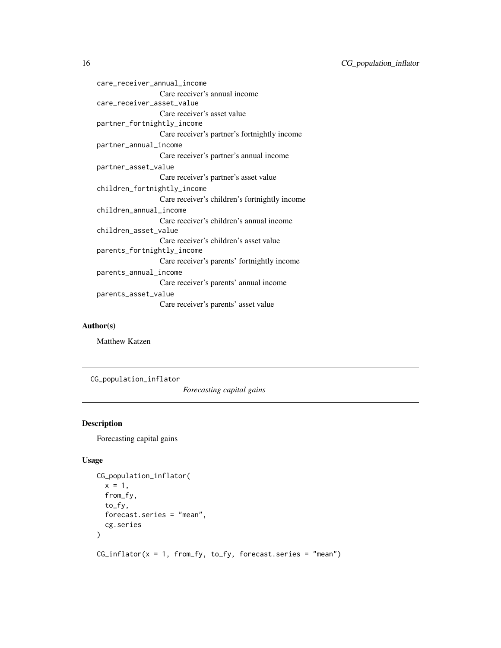```
care_receiver_annual_income
                 Care receiver's annual income
care_receiver_asset_value
                 Care receiver's asset value
partner_fortnightly_income
                 Care receiver's partner's fortnightly income
partner_annual_income
                 Care receiver's partner's annual income
partner_asset_value
                 Care receiver's partner's asset value
children_fortnightly_income
                 Care receiver's children's fortnightly income
children_annual_income
                 Care receiver's children's annual income
children_asset_value
                 Care receiver's children's asset value
parents_fortnightly_income
                 Care receiver's parents' fortnightly income
parents_annual_income
                 Care receiver's parents' annual income
parents_asset_value
                 Care receiver's parents' asset value
```
#### Author(s)

Matthew Katzen

CG\_population\_inflator

*Forecasting capital gains*

# Description

Forecasting capital gains

#### Usage

```
CG_population_inflator(
  x = 1,
  from_fy,
  to_fy,
  forecast.series = "mean",
  cg.series
\lambda
```
 $CG\_inflator(x = 1, from_fy, to_fy, forecast.series = "mean")$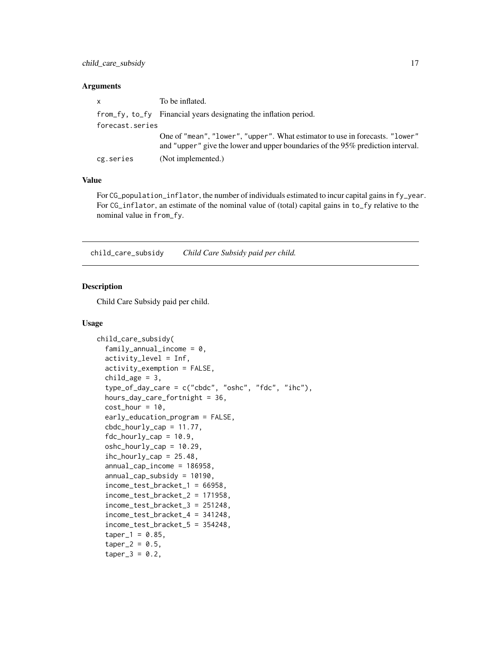<span id="page-16-0"></span>

| $\mathsf{x}$    | To be inflated.                                                                                                                                                 |
|-----------------|-----------------------------------------------------------------------------------------------------------------------------------------------------------------|
|                 | from fy, to fy Financial years designating the inflation period.                                                                                                |
| forecast.series |                                                                                                                                                                 |
|                 | One of "mean", "lower", "upper". What estimator to use in forecasts. "lower"<br>and "upper" give the lower and upper boundaries of the 95% prediction interval. |
| cg.series       | (Not implemented.)                                                                                                                                              |

# Value

For CG\_population\_inflator, the number of individuals estimated to incur capital gains in fy\_year. For CG\_inflator, an estimate of the nominal value of (total) capital gains in to\_fy relative to the nominal value in from\_fy.

child\_care\_subsidy *Child Care Subsidy paid per child.*

#### Description

Child Care Subsidy paid per child.

```
child_care_subsidy(
  family\_annual\_income = 0,activity_level = Inf,
  activity_exemption = FALSE,
  child\_\{age = 3,type_of_day_care = c("cbdc", "oshc", "fdc", "ihc"),
  hours_day_care_fortnight = 36,
  cost\_hour = 10,early_education_program = FALSE,
  cbdc_hourly_cap = 11.77,
  fdc_hourly_cap = 10.9,
  oshc_hourly_cap = 10.29,
  inc\_hourly\_cap = 25.48,
  annual_cap_income = 186958,
  annual_cap_subsidy = 10190,
  income_test_bracket_1 = 66958,
  income_test_bracket_2 = 171958,
  income_test_bracket_3 = 251248,
  income_test_bracket_4 = 341248,
  income_test_bracket_5 = 354248,
  taper_1 = 0.85,taper_2 = 0.5,
  taper_3 = 0.2,
```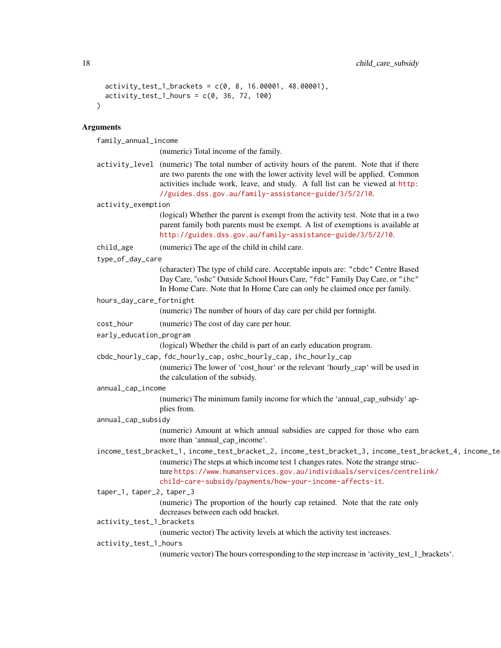```
activity_test_1brackets = c(0, 8, 16.00001, 48.00001),activity_test_1_hours = c(0, 36, 72, 100)\lambda
```
family\_annual\_income

(numeric) Total income of the family.

activity\_level (numeric) The total number of activity hours of the parent. Note that if there are two parents the one with the lower activity level will be applied. Common activities include work, leave, and study. A full list can be viewed at [http:](http://guides.dss.gov.au/family-assistance-guide/3/5/2/10) [//guides.dss.gov.au/family-assistance-guide/3/5/2/10](http://guides.dss.gov.au/family-assistance-guide/3/5/2/10).

```
activity_exemption
```
(logical) Whether the parent is exempt from the activity test. Note that in a two parent family both parents must be exempt. A list of exemptions is available at <http://guides.dss.gov.au/family-assistance-guide/3/5/2/10>.

- child\_age (numeric) The age of the child in child care.
- type\_of\_day\_care

(character) The type of child care. Acceptable inputs are: "cbdc" Centre Based Day Care, "oshc" Outside School Hours Care, "fdc" Family Day Care, or "ihc" In Home Care. Note that In Home Care can only be claimed once per family.

hours\_day\_care\_fortnight

(numeric) The number of hours of day care per child per fortnight.

- cost\_hour (numeric) The cost of day care per hour.
- early\_education\_program

(logical) Whether the child is part of an early education program.

cbdc\_hourly\_cap, fdc\_hourly\_cap, oshc\_hourly\_cap, ihc\_hourly\_cap

(numeric) The lower of 'cost\_hour' or the relevant 'hourly\_cap' will be used in the calculation of the subsidy.

annual\_cap\_income

(numeric) The minimum family income for which the 'annual\_cap\_subsidy' applies from.

annual\_cap\_subsidy

(numeric) Amount at which annual subsidies are capped for those who earn more than 'annual\_cap\_income'.

income\_test\_bracket\_1, income\_test\_bracket\_2, income\_test\_bracket\_3, income\_test\_bracket\_4, income\_test\_bracket\_5 (numeric) The steps at which income test 1 changes rates. Note the strange structure [https://www.humanservices.gov.au/individuals/services/centrel](https://www.humanservices.gov.au/individuals/services/centrelink/child-care-subsidy/payments/how-your-income-affects-it)ink/ [child-care-subsidy/payments/how-your-income-affects-it](https://www.humanservices.gov.au/individuals/services/centrelink/child-care-subsidy/payments/how-your-income-affects-it).

taper\_1, taper\_2, taper\_3

(numeric) The proportion of the hourly cap retained. Note that the rate only decreases between each odd bracket.

activity\_test\_1\_brackets

(numeric vector) The activity levels at which the activity test increases.

activity\_test\_1\_hours

(numeric vector) The hours corresponding to the step increase in 'activity\_test\_1\_brackets'.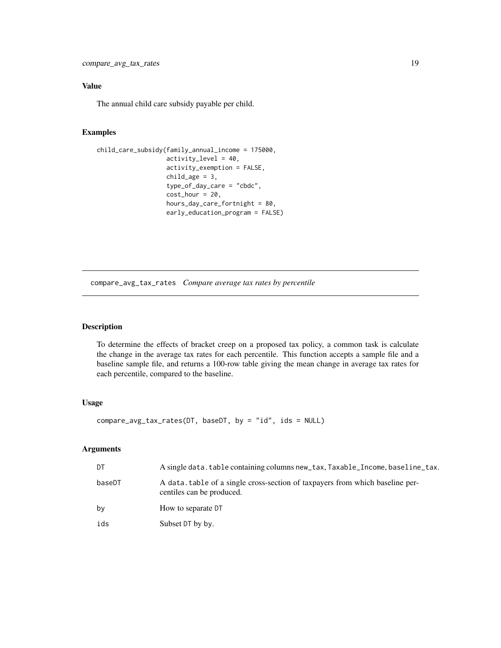# <span id="page-18-0"></span>Value

The annual child care subsidy payable per child.

#### Examples

```
child_care_subsidy(family_annual_income = 175000,
                   activity_level = 40,
                    activity_exemption = FALSE,
                    child\_\text{age} = 3,
                    type_of_day_care = "cbdc",
                   cost\_hour = 20,
                   hours_day_care_fortnight = 80,
                    early_education_program = FALSE)
```
compare\_avg\_tax\_rates *Compare average tax rates by percentile*

#### Description

To determine the effects of bracket creep on a proposed tax policy, a common task is calculate the change in the average tax rates for each percentile. This function accepts a sample file and a baseline sample file, and returns a 100-row table giving the mean change in average tax rates for each percentile, compared to the baseline.

# Usage

compare\_avg\_tax\_rates(DT, baseDT, by = "id", ids = NULL)

| DT     | A single data. table containing columns new_tax, Taxable_Income, baseline_tax.                            |
|--------|-----------------------------------------------------------------------------------------------------------|
| baseDT | A data table of a single cross-section of taxpayers from which baseline per-<br>centiles can be produced. |
| bv     | How to separate DT                                                                                        |
| ids    | Subset DT by by.                                                                                          |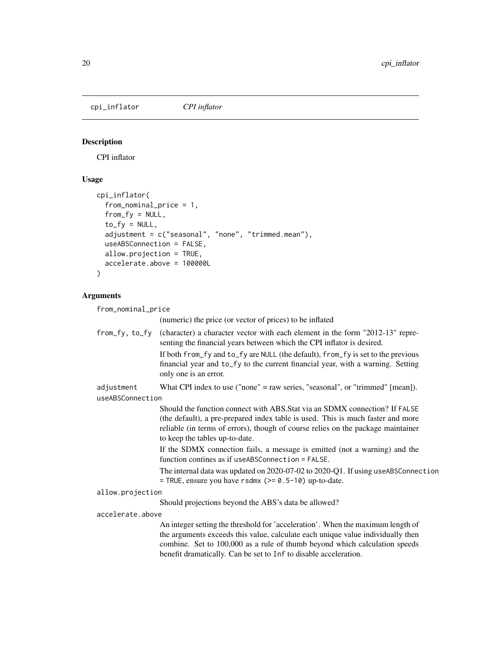<span id="page-19-0"></span>cpi\_inflator *CPI inflator*

# Description

CPI inflator

# Usage

```
cpi_inflator(
 from_nominal_price = 1,
 from_f y = NULL,to_fy = NULL,
  adjustment = c("seasonal", "none", "trimmed.mean"),
 useABSConnection = FALSE,
 allow.projection = TRUE,
  accelerate.above = 100000L
)
```
# Arguments

from\_nominal\_price

(numeric) the price (or vector of prices) to be inflated

| from_fy, to_fy   | (character) a character vector with each element in the form "2012-13" repre-<br>senting the financial years between which the CPI inflator is desired.                                                                                                                                                              |
|------------------|----------------------------------------------------------------------------------------------------------------------------------------------------------------------------------------------------------------------------------------------------------------------------------------------------------------------|
|                  | If both from_fy and to_fy are NULL (the default), from_fy is set to the previous<br>financial year and to_fy to the current financial year, with a warning. Setting<br>only one is an error.                                                                                                                         |
| adjustment       | What CPI index to use ("none" = raw series, "seasonal", or "trimmed" $[mean]$ ).                                                                                                                                                                                                                                     |
| useABSConnection |                                                                                                                                                                                                                                                                                                                      |
|                  | Should the function connect with ABS. Stat via an SDMX connection? If FALSE<br>(the default), a pre-prepared index table is used. This is much faster and more<br>reliable (in terms of errors), though of course relies on the package maintainer<br>to keep the tables up-to-date.                                 |
|                  | If the SDMX connection fails, a message is emitted (not a warning) and the<br>function contines as if useABSConnection = FALSE.                                                                                                                                                                                      |
|                  | The internal data was updated on 2020-07-02 to 2020-Q1. If using useABSConnection<br>= TRUE, ensure you have $r$ sdmx ( $> = 0.5 - 10$ ) up-to-date.                                                                                                                                                                 |
| allow.projection |                                                                                                                                                                                                                                                                                                                      |
|                  | Should projections beyond the ABS's data be allowed?                                                                                                                                                                                                                                                                 |
| accelerate.above |                                                                                                                                                                                                                                                                                                                      |
|                  | An integer setting the threshold for 'acceleration'. When the maximum length of<br>the arguments exceeds this value, calculate each unique value individually then<br>combine. Set to 100,000 as a rule of thumb beyond which calculation speeds<br>benefit dramatically. Can be set to Inf to disable acceleration. |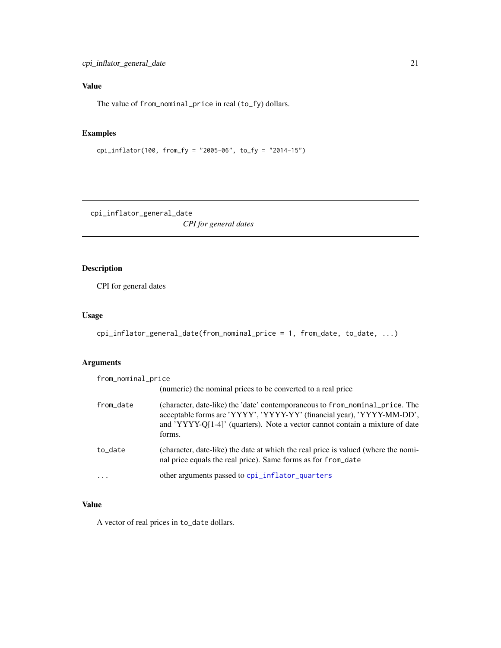# <span id="page-20-0"></span>Value

The value of from\_nominal\_price in real (to\_fy) dollars.

# Examples

```
cpi_inflator(100, from_fy = "2005-06", to_fy = "2014-15")
```
cpi\_inflator\_general\_date

*CPI for general dates*

# Description

CPI for general dates

# Usage

```
cpi_inflator_general_date(from_nominal_price = 1, from_date, to_date, ...)
```
# Arguments

| from_nominal_price |                                                                                                                                                                                                                                                  |
|--------------------|--------------------------------------------------------------------------------------------------------------------------------------------------------------------------------------------------------------------------------------------------|
|                    | (numeric) the nominal prices to be converted to a real price                                                                                                                                                                                     |
| from_date          | (character, date-like) the 'date' contemporaneous to from nominal price. The<br>acceptable forms are 'YYYY', 'YYYY-YY' (financial year), 'YYYY-MM-DD',<br>and 'YYYY-Q[1-4]' (quarters). Note a vector cannot contain a mixture of date<br>forms. |
| to_date            | (character, date-like) the date at which the real price is valued (where the nomi-<br>nal price equals the real price). Same forms as for from date                                                                                              |
| $\ddots$ .         | other arguments passed to cpi_inflator_quarters                                                                                                                                                                                                  |

# Value

A vector of real prices in to\_date dollars.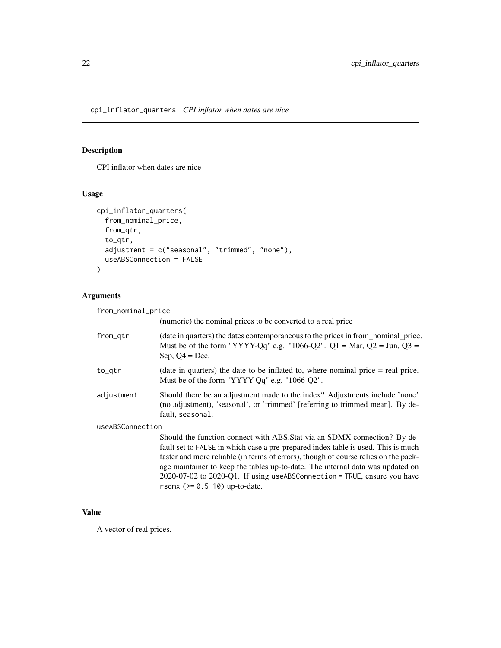<span id="page-21-1"></span><span id="page-21-0"></span>cpi\_inflator\_quarters *CPI inflator when dates are nice*

#### Description

CPI inflator when dates are nice

#### Usage

```
cpi_inflator_quarters(
  from_nominal_price,
  from_qtr,
  to_qtr,
  adjustment = c("seasonal", "trimmed", "none"),
  useABSConnection = FALSE
)
```
#### Arguments

from\_nominal\_price (numeric) the nominal prices to be converted to a real price from\_qtr (date in quarters) the dates contemporaneous to the prices in from\_nominal\_price. Must be of the form "YYYY-Qq" e.g. "1066-Q2". Q1 = Mar, Q2 = Jun, Q3 = Sep,  $Q4 = Dec.$  $to_q$ tr (date in quarters) the date to be inflated to, where nominal price  $=$  real price. Must be of the form "YYYY-Qq" e.g. "1066-Q2". adjustment Should there be an adjustment made to the index? Adjustments include 'none' (no adjustment), 'seasonal', or 'trimmed' [referring to trimmed mean]. By default, seasonal. useABSConnection Should the function connect with ABS.Stat via an SDMX connection? By default set to FALSE in which case a pre-prepared index table is used. This is much faster and more reliable (in terms of errors), though of course relies on the package maintainer to keep the tables up-to-date. The internal data was updated on 2020-07-02 to 2020-Q1. If using useABSConnection = TRUE, ensure you have rsdmx (>= 0.5-10) up-to-date.

# Value

A vector of real prices.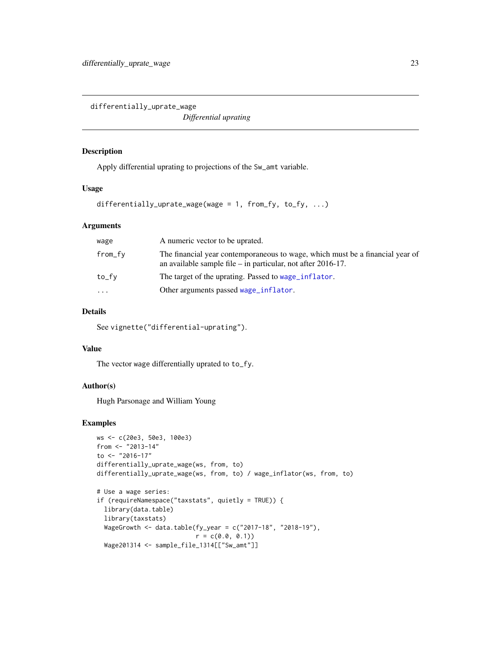<span id="page-22-0"></span>differentially\_uprate\_wage

*Differential uprating*

#### Description

Apply differential uprating to projections of the Sw\_amt variable.

# Usage

```
differentially_uprate_wage(wage = 1, from_fy, to_fy, ...)
```
#### Arguments

| wage    | A numeric vector to be uprated.                                                                                                                 |
|---------|-------------------------------------------------------------------------------------------------------------------------------------------------|
| from_fv | The financial year contemporaneous to wage, which must be a financial year of<br>an available sample file $-$ in particular, not after 2016-17. |
| to_fv   | The target of the uprating. Passed to wage_inflator.                                                                                            |
| .       | Other arguments passed wage_inflator.                                                                                                           |
|         |                                                                                                                                                 |

# Details

See vignette("differential-uprating").

#### Value

The vector wage differentially uprated to to\_fy.

# Author(s)

Hugh Parsonage and William Young

# Examples

```
ws <- c(20e3, 50e3, 100e3)
from <- "2013-14"
to \leq "2016-17"
differentially_uprate_wage(ws, from, to)
differentially_uprate_wage(ws, from, to) / wage_inflator(ws, from, to)
# Use a wage series:
if (requireNamespace("taxstats", quietly = TRUE)) {
  library(data.table)
  library(taxstats)
  WageGrowth <- data.table(fy_year = c("2017-18", "2018-19"),
                           r = c(0.0, 0.1)Wage201314 <- sample_file_1314[["Sw_amt"]]
```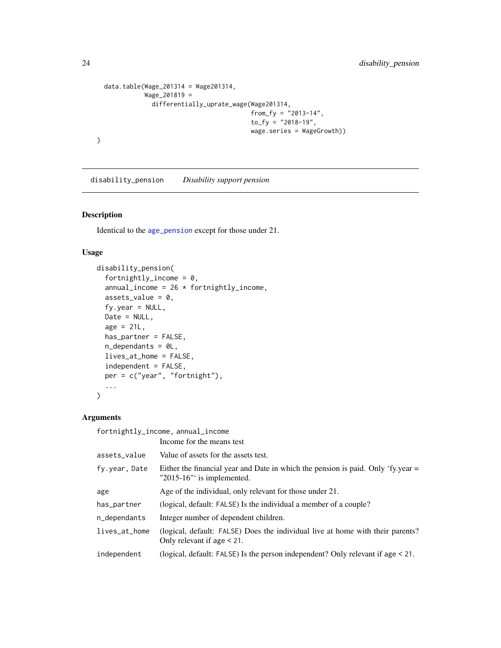```
data.table(Wage_201314 = Wage201314,
          Wage_201819 =
             differentially_uprate_wage(Wage201314,
                                        from_fy = "2013-14",
                                        to_{f} = "2018-19",wage.series = WageGrowth))
```
disability\_pension *Disability support pension*

#### Description

}

Identical to the [age\\_pension](#page-5-1) except for those under 21.

#### Usage

```
disability_pension(
  fortnightly_income = 0,
  annual_income = 26 * fortnightly_income,
  assets_value = 0,fy.year = NULL,Date = NULL,
  age = 21L,has_partner = FALSE,
 n_dependants = 0L,
  lives_at_home = FALSE,
  independent = FALSE,
 per = c("year", "fortnight"),
  ...
\mathcal{L}
```
# Arguments

fortnightly\_income, annual\_income

|               | Income for the means test                                                                                           |
|---------------|---------------------------------------------------------------------------------------------------------------------|
| assets_value  | Value of assets for the assets test.                                                                                |
| fy.year, Date | Either the financial year and Date in which the pension is paid. Only 'fy.year $=$<br>" $2015-16$ " is implemented. |
| age           | Age of the individual, only relevant for those under 21.                                                            |
| has_partner   | (logical, default: FALSE) Is the individual a member of a couple?                                                   |
| n_dependants  | Integer number of dependent children.                                                                               |
| lives_at_home | (logical, default: FALSE) Does the individual live at home with their parents?<br>Only relevant if age $\leq 21$ .  |
| independent   | (logical, default: FALSE) Is the person independent? Only relevant if age $\leq$ 21.                                |
|               |                                                                                                                     |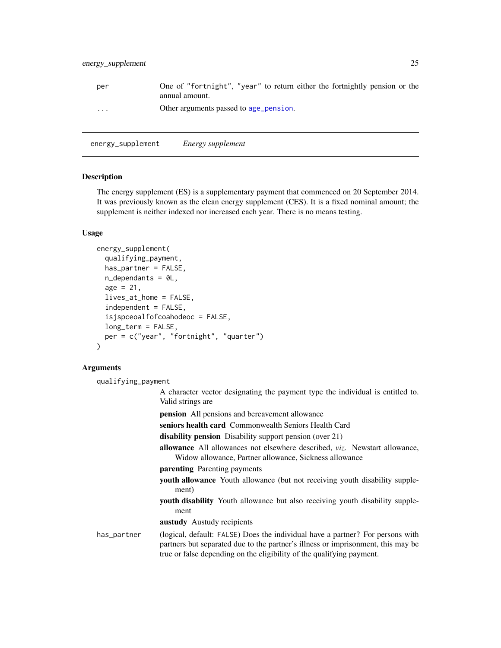<span id="page-24-0"></span>

| per      | One of "fortnight", "year" to return either the fortnightly pension or the<br>annual amount. |
|----------|----------------------------------------------------------------------------------------------|
| $\cdots$ | Other arguments passed to age_pension.                                                       |

energy\_supplement *Energy supplement*

#### **Description**

The energy supplement (ES) is a supplementary payment that commenced on 20 September 2014. It was previously known as the clean energy supplement (CES). It is a fixed nominal amount; the supplement is neither indexed nor increased each year. There is no means testing.

#### Usage

```
energy_supplement(
  qualifying_payment,
  has_partner = FALSE,
  n_dependants = 0L,
  age = 21,lives_at_home = FALSE,
  independent = FALSE,
  isjspceoalfofcoahodeoc = FALSE,
  long_term = FALSE,
 per = c("year", "fortnight", "quarter")
)
```
#### Arguments

qualifying\_payment

- A character vector designating the payment type the individual is entitled to. Valid strings are
- pension All pensions and bereavement allowance
- seniors health card Commonwealth Seniors Health Card
- disability pension Disability support pension (over 21)
- allowance All allowances not elsewhere described, *viz.* Newstart allowance, Widow allowance, Partner allowance, Sickness allowance
- parenting Parenting payments
- youth allowance Youth allowance (but not receiving youth disability supplement)
- youth disability Youth allowance but also receiving youth disability supplement
- austudy Austudy recipients

# has\_partner (logical, default: FALSE) Does the individual have a partner? For persons with partners but separated due to the partner's illness or imprisonment, this may be true or false depending on the eligibility of the qualifying payment.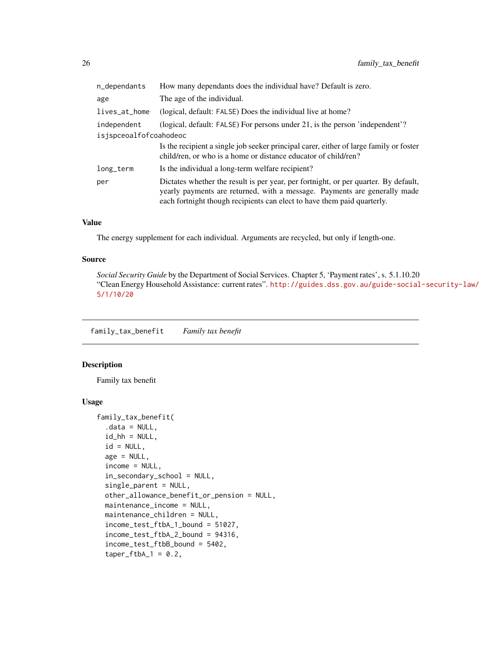<span id="page-25-0"></span>

| n_dependants           | How many dependants does the individual have? Default is zero.                                                                                                                                                                              |  |
|------------------------|---------------------------------------------------------------------------------------------------------------------------------------------------------------------------------------------------------------------------------------------|--|
| age                    | The age of the individual.                                                                                                                                                                                                                  |  |
| lives_at_home          | (logical, default: FALSE) Does the individual live at home?                                                                                                                                                                                 |  |
| independent            | (logical, default: FALSE) For persons under 21, is the person 'independent'?                                                                                                                                                                |  |
| isjspceoalfofcoahodeoc |                                                                                                                                                                                                                                             |  |
|                        | Is the recipient a single job seeker principal carer, either of large family or foster<br>child/ren, or who is a home or distance educator of child/ren?                                                                                    |  |
| long_term              | Is the individual a long-term welfare recipient?                                                                                                                                                                                            |  |
| per                    | Dictates whether the result is per year, per fortnight, or per quarter. By default,<br>yearly payments are returned, with a message. Payments are generally made<br>each fortnight though recipients can elect to have them paid quarterly. |  |

#### Value

The energy supplement for each individual. Arguments are recycled, but only if length-one.

#### Source

*Social Security Guide* by the Department of Social Services. Chapter 5, 'Payment rates', s. 5.1.10.20 "Clean Energy Household Assistance: current rates". [http://guides.dss.gov.au/guide-social](http://guides.dss.gov.au/guide-social-security-law/5/1/10/20)-security-law/ [5/1/10/20](http://guides.dss.gov.au/guide-social-security-law/5/1/10/20)

family\_tax\_benefit *Family tax benefit*

#### Description

Family tax benefit

```
family_tax_benefit(
  data = NULL,id_hh = NULL,id = NULL,age = NULL,income = NULL,
  in_secondary_school = NULL,
  single_parent = NULL,
 other_allowance_benefit_or_pension = NULL,
 maintenance_income = NULL,
 maintenance_children = NULL,
  income_test_ftbA_1_bound = 51027,
 income_test_ftbA_2_bound = 94316,
  income_test_ftbB_bound = 5402,
  taper_ftbA_1 = 0.2,
```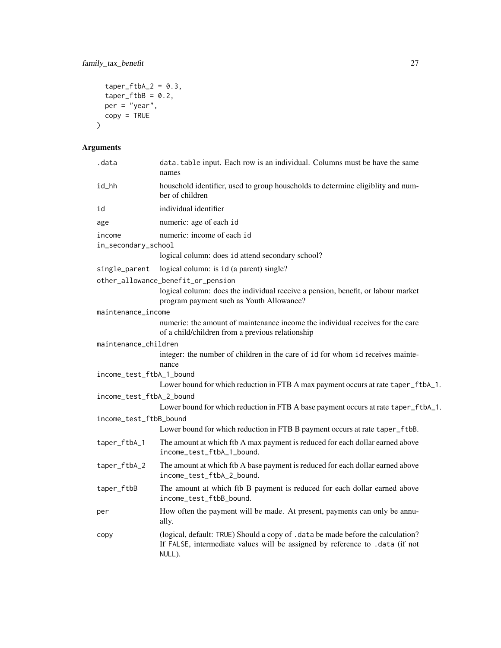```
taper_ftbA_2 = 0.3,
  taper_ftbB = 0.2,
 per = "year",copy = TRUE)
```

| .data                         | data.table input. Each row is an individual. Columns must be have the same<br>names                                                                                        |
|-------------------------------|----------------------------------------------------------------------------------------------------------------------------------------------------------------------------|
| id_hh                         | household identifier, used to group households to determine eligiblity and num-<br>ber of children                                                                         |
| id                            | individual identifier                                                                                                                                                      |
| age                           | numeric: age of each id                                                                                                                                                    |
| income<br>in_secondary_school | numeric: income of each id                                                                                                                                                 |
|                               | logical column: does id attend secondary school?                                                                                                                           |
| single_parent                 | logical column: is id (a parent) single?                                                                                                                                   |
|                               | other_allowance_benefit_or_pension                                                                                                                                         |
|                               | logical column: does the individual receive a pension, benefit, or labour market<br>program payment such as Youth Allowance?                                               |
| maintenance_income            |                                                                                                                                                                            |
|                               | numeric: the amount of maintenance income the individual receives for the care<br>of a child/children from a previous relationship                                         |
| maintenance_children          |                                                                                                                                                                            |
|                               | integer: the number of children in the care of id for whom id receives mainte-<br>nance                                                                                    |
| income_test_ftbA_1_bound      |                                                                                                                                                                            |
|                               | Lower bound for which reduction in FTB A max payment occurs at rate taper_ftbA_1.                                                                                          |
| income_test_ftbA_2_bound      |                                                                                                                                                                            |
|                               | Lower bound for which reduction in FTB A base payment occurs at rate taper_ftbA_1.                                                                                         |
| income_test_ftbB_bound        | Lower bound for which reduction in FTB B payment occurs at rate taper_ftbB.                                                                                                |
|                               |                                                                                                                                                                            |
| taper_ftbA_1                  | The amount at which ftb A max payment is reduced for each dollar earned above<br>income_test_ftbA_1_bound.                                                                 |
| taper_ftbA_2                  | The amount at which ftb A base payment is reduced for each dollar earned above<br>income_test_ftbA_2_bound.                                                                |
| taper_ftbB                    | The amount at which ftb B payment is reduced for each dollar earned above<br>income_test_ftbB_bound.                                                                       |
| per                           | How often the payment will be made. At present, payments can only be annu-<br>ally.                                                                                        |
| copy                          | (logical, default: TRUE) Should a copy of . data be made before the calculation?<br>If FALSE, intermediate values will be assigned by reference to .data (if not<br>NULL). |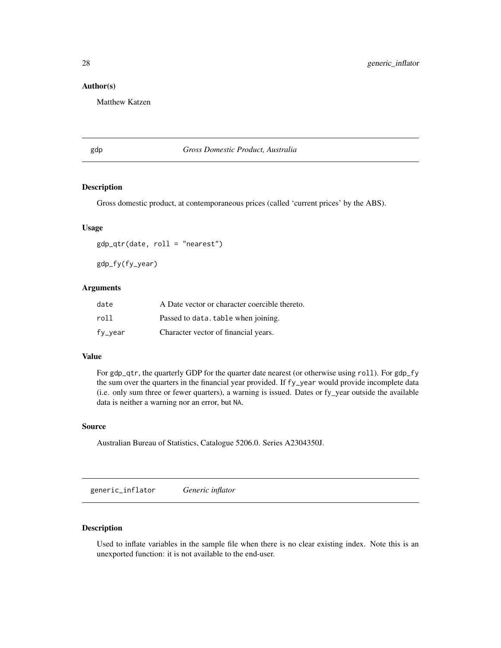#### <span id="page-27-0"></span>Author(s)

Matthew Katzen

gdp *Gross Domestic Product, Australia*

#### Description

Gross domestic product, at contemporaneous prices (called 'current prices' by the ABS).

#### Usage

gdp\_qtr(date, roll = "nearest")

gdp\_fy(fy\_year)

# Arguments

| date    | A Date vector or character coercible thereto. |
|---------|-----------------------------------------------|
| roll    | Passed to data. table when joining.           |
| fy_year | Character vector of financial years.          |

#### Value

For gdp\_qtr, the quarterly GDP for the quarter date nearest (or otherwise using roll). For gdp\_fy the sum over the quarters in the financial year provided. If fy\_year would provide incomplete data (i.e. only sum three or fewer quarters), a warning is issued. Dates or fy\_year outside the available data is neither a warning nor an error, but NA.

#### Source

Australian Bureau of Statistics, Catalogue 5206.0. Series A2304350J.

generic\_inflator *Generic inflator*

#### Description

Used to inflate variables in the sample file when there is no clear existing index. Note this is an unexported function: it is not available to the end-user.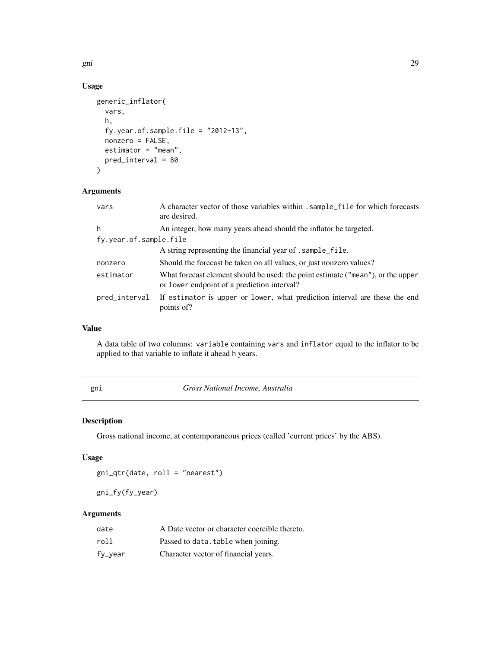<span id="page-28-0"></span>gni 29 anisotrophysical control of the control of the control of the control of the control of the control of the control of the control of the control of the control of the control of the control of the control of the con

# Usage

```
generic_inflator(
  vars,
  h,
  fy.year.of.sample.file = "2012-13",
  nonzero = FALSE,
  estimator = "mean",
  pred_interval = 80
\mathcal{L}
```
# Arguments

| vars                   | A character vector of those variables within . sample_file for which forecasts<br>are desired.                                 |  |
|------------------------|--------------------------------------------------------------------------------------------------------------------------------|--|
| h                      | An integer, how many years ahead should the inflator be targeted.                                                              |  |
| fy.year.of.sample.file |                                                                                                                                |  |
|                        | A string representing the financial year of . sample_file.                                                                     |  |
| nonzero                | Should the forecast be taken on all values, or just nonzero values?                                                            |  |
| estimator              | What forecast element should be used: the point estimate ("mean"), or the upper<br>or lower endpoint of a prediction interval? |  |
| pred_interval          | If estimator is upper or lower, what prediction interval are these the end<br>points of?                                       |  |

# Value

A data table of two columns: variable containing vars and inflator equal to the inflator to be applied to that variable to inflate it ahead h years.

gni *Gross National Income, Australia*

# Description

Gross national income, at contemporaneous prices (called 'current prices' by the ABS).

#### Usage

gni\_qtr(date, roll = "nearest")

```
gni_fy(fy_year)
```

| date    | A Date vector or character coercible thereto. |
|---------|-----------------------------------------------|
| roll    | Passed to data. table when joining.           |
| fy_year | Character vector of financial years.          |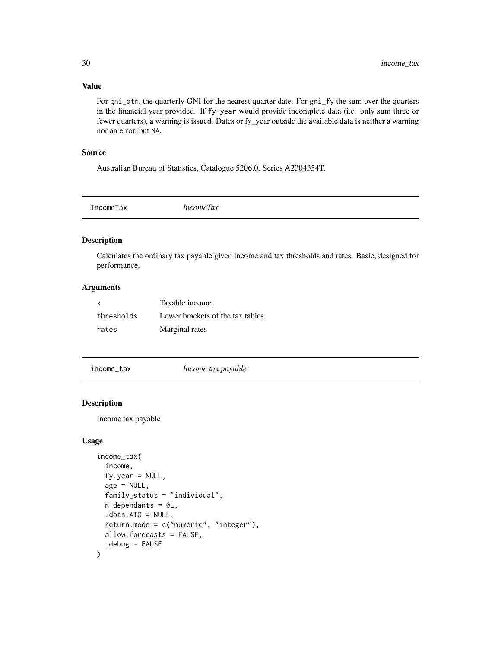#### Value

For gni\_qtr, the quarterly GNI for the nearest quarter date. For gni\_fy the sum over the quarters in the financial year provided. If fy\_year would provide incomplete data (i.e. only sum three or fewer quarters), a warning is issued. Dates or fy\_year outside the available data is neither a warning nor an error, but NA.

#### Source

Australian Bureau of Statistics, Catalogue 5206.0. Series A2304354T.

| IncomeTax | <i>IncomeTax</i> |  |
|-----------|------------------|--|
|           |                  |  |

#### Description

Calculates the ordinary tax payable given income and tax thresholds and rates. Basic, designed for performance.

# Arguments

| $\mathbf{x}$ | Taxable income.                   |
|--------------|-----------------------------------|
| thresholds   | Lower brackets of the tax tables. |
| rates        | Marginal rates                    |

<span id="page-29-1"></span>income\_tax *Income tax payable*

#### Description

Income tax payable

```
income_tax(
  income,
  fy.year = NULL,
  age = NULL,family_status = "individual",
  n<sup>\theta</sup>.
  dots. ATO = NULL,
  return.mode = c("numeric", "integer"),
 allow.forecasts = FALSE,
  .debug = FALSE
\mathcal{E}
```
<span id="page-29-0"></span>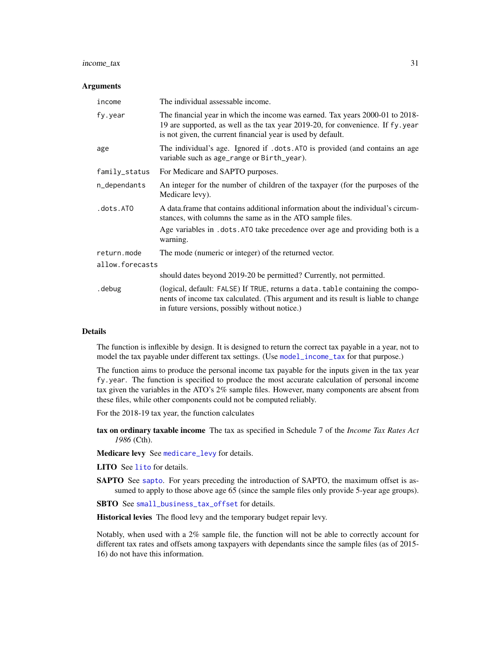#### income\_tax 31

#### **Arguments**

| income          | The individual assessable income.                                                                                                                                                                                               |  |
|-----------------|---------------------------------------------------------------------------------------------------------------------------------------------------------------------------------------------------------------------------------|--|
| fy.year         | The financial year in which the income was earned. Tax years 2000-01 to 2018-<br>19 are supported, as well as the tax year 2019-20, for convenience. If fy.year<br>is not given, the current financial year is used by default. |  |
| age             | The individual's age. Ignored if .dots.ATO is provided (and contains an age<br>variable such as age_range or Birth_year).                                                                                                       |  |
| family_status   | For Medicare and SAPTO purposes.                                                                                                                                                                                                |  |
| n_dependants    | An integer for the number of children of the taxpayer (for the purposes of the<br>Medicare levy).                                                                                                                               |  |
| .dots.ATO       | A data frame that contains additional information about the individual's circum-<br>stances, with columns the same as in the ATO sample files.                                                                                  |  |
|                 | Age variables in .dots.ATO take precedence over age and providing both is a<br>warning.                                                                                                                                         |  |
| return.mode     | The mode (numeric or integer) of the returned vector.                                                                                                                                                                           |  |
| allow.forecasts |                                                                                                                                                                                                                                 |  |
|                 | should dates beyond 2019-20 be permitted? Currently, not permitted.                                                                                                                                                             |  |
| . debug         | (logical, default: FALSE) If TRUE, returns a data. table containing the compo-<br>nents of income tax calculated. (This argument and its result is liable to change<br>in future versions, possibly without notice.)            |  |

#### **Details**

The function is inflexible by design. It is designed to return the correct tax payable in a year, not to model the tax payable under different tax settings. (Use [model\\_income\\_tax](#page-43-1) for that purpose.)

The function aims to produce the personal income tax payable for the inputs given in the tax year fy.year. The function is specified to produce the most accurate calculation of personal income tax given the variables in the ATO's 2% sample files. However, many components are absent from these files, while other components could not be computed reliably.

For the 2018-19 tax year, the function calculates

tax on ordinary taxable income The tax as specified in Schedule 7 of the *Income Tax Rates Act 1986* (Cth).

Medicare levy See [medicare\\_levy](#page-40-1) for details.

- LITO See [lito](#page-38-1) for details.
- SAPTO See [sapto](#page-67-1). For years preceding the introduction of SAPTO, the maximum offset is assumed to apply to those above age 65 (since the sample files only provide 5-year age groups).

SBTO See [small\\_business\\_tax\\_offset](#page-70-1) for details.

Historical levies The flood levy and the temporary budget repair levy.

Notably, when used with a 2% sample file, the function will not be able to correctly account for different tax rates and offsets among taxpayers with dependants since the sample files (as of 2015- 16) do not have this information.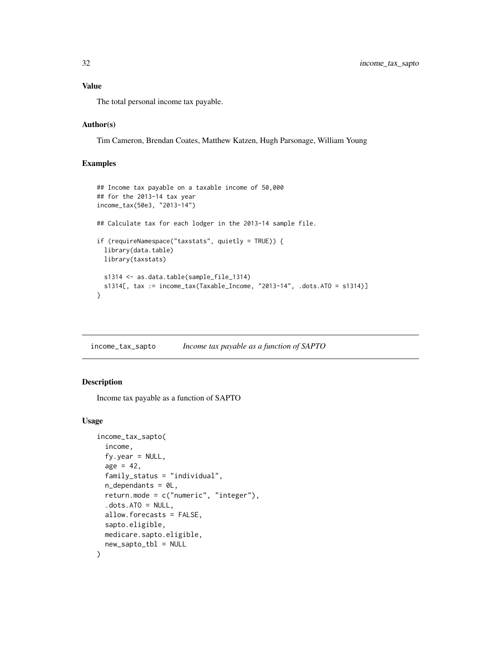<span id="page-31-0"></span>The total personal income tax payable.

#### Author(s)

Tim Cameron, Brendan Coates, Matthew Katzen, Hugh Parsonage, William Young

# Examples

```
## Income tax payable on a taxable income of 50,000
## for the 2013-14 tax year
income_tax(50e3, "2013-14")
## Calculate tax for each lodger in the 2013-14 sample file.
if (requireNamespace("taxstats", quietly = TRUE)) {
 library(data.table)
 library(taxstats)
 s1314 <- as.data.table(sample_file_1314)
 s1314[, tax := income_tax(Taxable_Income, "2013-14", .dots.ATO = s1314)]
}
```
income\_tax\_sapto *Income tax payable as a function of SAPTO*

#### Description

Income tax payable as a function of SAPTO

```
income_tax_sapto(
  income,
  fy.year = NULL,age = 42,family_status = "individual",
  n_dependants = 0L,
  return.mode = c("numeric", "integer"),
  dots. dots. ATO = NULL,
  allow.forecasts = FALSE,
  sapto.eligible,
 medicare.sapto.eligible,
  new_sapto_tbl = NULL
)
```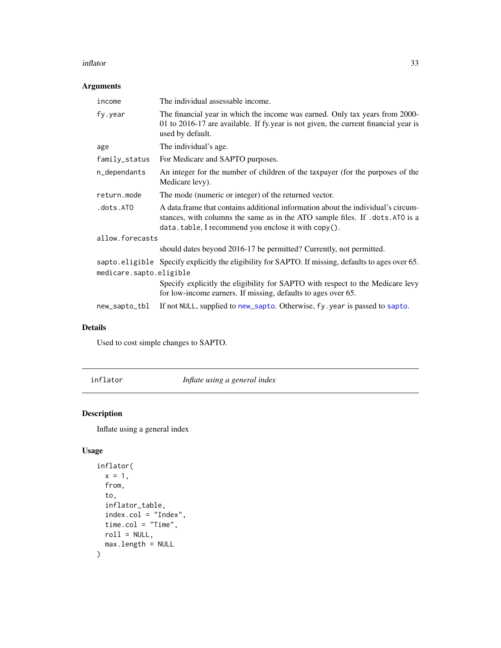#### <span id="page-32-0"></span>inflator 33

# Arguments

| income                  | The individual assessable income.                                                                                                                                                                                         |
|-------------------------|---------------------------------------------------------------------------------------------------------------------------------------------------------------------------------------------------------------------------|
| fy.year                 | The financial year in which the income was earned. Only tax years from 2000-<br>01 to 2016-17 are available. If fy year is not given, the current financial year is<br>used by default.                                   |
| age                     | The individual's age.                                                                                                                                                                                                     |
| family_status           | For Medicare and SAPTO purposes.                                                                                                                                                                                          |
| n_dependants            | An integer for the number of children of the taxpayer (for the purposes of the<br>Medicare levy).                                                                                                                         |
| return.mode             | The mode (numeric or integer) of the returned vector.                                                                                                                                                                     |
| .dots.ATO               | A data frame that contains additional information about the individual's circum-<br>stances, with columns the same as in the ATO sample files. If . dots. ATO is a<br>data.table, I recommend you enclose it with copy(). |
| allow.forecasts         |                                                                                                                                                                                                                           |
|                         | should dates beyond 2016-17 be permitted? Currently, not permitted.                                                                                                                                                       |
| medicare.sapto.eligible | sapto.eligible Specify explicitly the eligibility for SAPTO. If missing, defaults to ages over 65.                                                                                                                        |
|                         | Specify explicitly the eligibility for SAPTO with respect to the Medicare levy<br>for low-income earners. If missing, defaults to ages over 65.                                                                           |
| new_sapto_tbl           | If not NULL, supplied to new_sapto. Otherwise, fy. year is passed to sapto.                                                                                                                                               |

# Details

Used to cost simple changes to SAPTO.

inflator *Inflate using a general index*

# Description

Inflate using a general index

```
inflator(
 x = 1,
 from,
  to,
  inflator_table,
 index.col = "Index",
 time.col = "Time",
 roll = NULL,max.length = NULL
)
```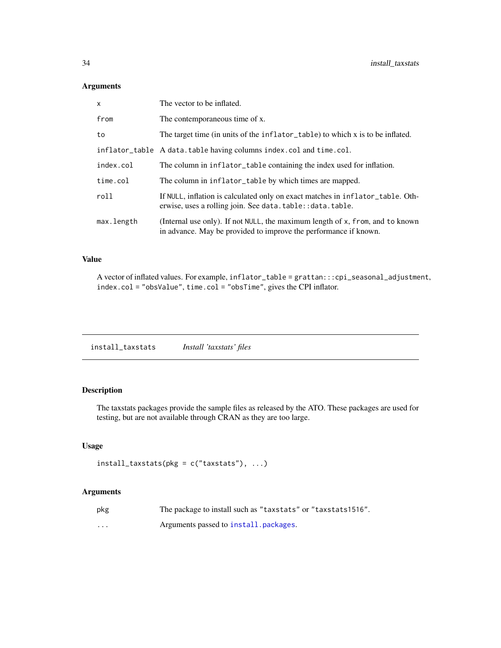| $\mathsf{x}$ | The vector to be inflated.                                                                                                                        |
|--------------|---------------------------------------------------------------------------------------------------------------------------------------------------|
| from         | The contemporaneous time of x.                                                                                                                    |
| to           | The target time (in units of the inflator_table) to which x is to be inflated.                                                                    |
|              | inflator_table A data.table having columns index.col and time.col.                                                                                |
| index.col    | The column in inflator_table containing the index used for inflation.                                                                             |
| time.col     | The column in inflator_table by which times are mapped.                                                                                           |
| roll         | If NULL, inflation is calculated only on exact matches in inflator_table. Oth-<br>erwise, uses a rolling join. See data.table:: data.table.       |
| max.length   | (Internal use only). If not NULL, the maximum length of x, from, and to known<br>in advance. May be provided to improve the performance if known. |

#### Value

A vector of inflated values. For example, inflator\_table = grattan:::cpi\_seasonal\_adjustment, index.col = "obsValue", time.col = "obsTime", gives the CPI inflator.

# Description

The taxstats packages provide the sample files as released by the ATO. These packages are used for testing, but are not available through CRAN as they are too large.

# Usage

```
install\_taxstats(pkg = c("taxstats"), ...)
```

| pkg      | The package to install such as "taxstats" or "taxstats1516". |
|----------|--------------------------------------------------------------|
| $\cdots$ | Arguments passed to install, packages.                       |

<span id="page-33-0"></span>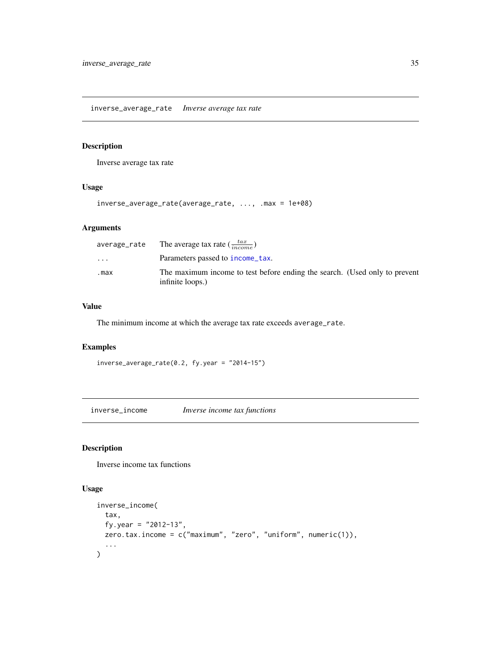<span id="page-34-0"></span>inverse\_average\_rate *Inverse average tax rate*

#### Description

Inverse average tax rate

# Usage

inverse\_average\_rate(average\_rate, ..., .max = 1e+08)

# Arguments

|          | average_rate The average tax rate $(\frac{tax}{income})$                                       |
|----------|------------------------------------------------------------------------------------------------|
| $\cdots$ | Parameters passed to income_tax.                                                               |
| .max     | The maximum income to test before ending the search. (Used only to prevent<br>infinite loops.) |

#### Value

The minimum income at which the average tax rate exceeds average\_rate.

#### Examples

```
inverse_average_rate(0.2, fy.year = "2014-15")
```
inverse\_income *Inverse income tax functions*

# Description

Inverse income tax functions

```
inverse_income(
  tax,
  fy.year = "2012-13",
  zero.tax.income = c("maximum", "zero", "uniform", numeric(1)),
  ...
\mathcal{L}
```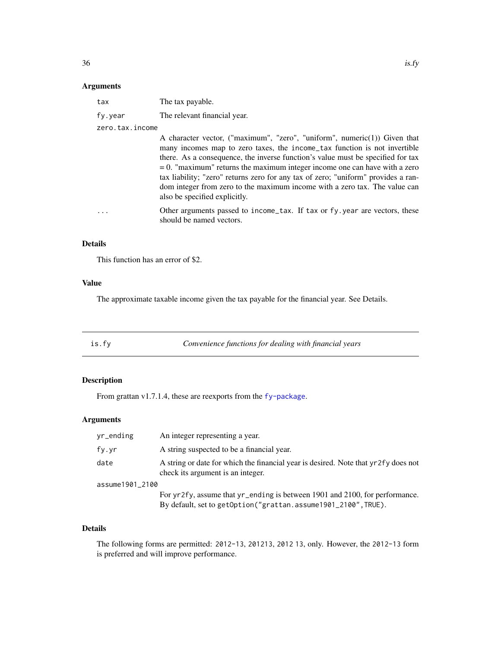<span id="page-35-0"></span>

| tax             | The tax payable.             |
|-----------------|------------------------------|
| fy.year         | The relevant financial year. |
| zero.tax.income |                              |

A character vector, ("maximum", "zero", "uniform", numeric(1)) Given that many incomes map to zero taxes, the income\_tax function is not invertible there. As a consequence, the inverse function's value must be specified for tax  $= 0$ . "maximum" returns the maximum integer income one can have with a zero tax liability; "zero" returns zero for any tax of zero; "uniform" provides a random integer from zero to the maximum income with a zero tax. The value can also be specified explicitly.

... Other arguments passed to income\_tax. If tax or fy.year are vectors, these should be named vectors.

#### Details

This function has an error of \$2.

#### Value

The approximate taxable income given the tax payable for the financial year. See Details.

is.fy *Convenience functions for dealing with financial years*

#### Description

From grattan v1.7.1.4, these are reexports from the [fy-package](#page-0-0).

# Arguments

| yr_ending       | An integer representing a year.                                                                                                               |
|-----------------|-----------------------------------------------------------------------------------------------------------------------------------------------|
| fy.yr           | A string suspected to be a financial year.                                                                                                    |
| date            | A string or date for which the financial year is desired. Note that yr2fy does not<br>check its argument is an integer.                       |
| assume1901 2100 |                                                                                                                                               |
|                 | For yr2fy, assume that yr_ending is between 1901 and 2100, for performance.<br>By default, set to getOption("grattan.assume1901_2100", TRUE). |

#### Details

The following forms are permitted: 2012-13, 201213, 2012 13, only. However, the 2012-13 form is preferred and will improve performance.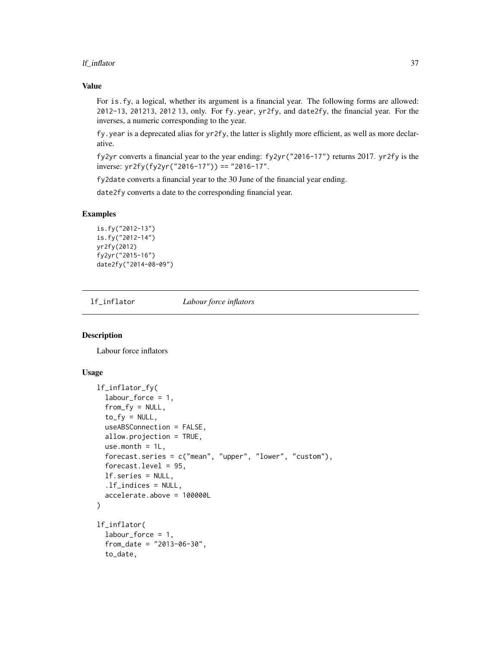#### lf\_inflator 37

#### Value

For is.fy, a logical, whether its argument is a financial year. The following forms are allowed: 2012-13, 201213, 2012 13, only. For fy.year, yr2fy, and date2fy, the financial year. For the inverses, a numeric corresponding to the year.

fy.year is a deprecated alias for yr2fy, the latter is slightly more efficient, as well as more declarative.

fy2yr converts a financial year to the year ending: fy2yr("2016-17") returns 2017. yr2fy is the inverse: yr2fy(fy2yr("2016-17")) == "2016-17".

fy2date converts a financial year to the 30 June of the financial year ending.

date2fy converts a date to the corresponding financial year.

## Examples

```
is.fy("2012-13")
is.fy("2012-14")
yr2fy(2012)
fy2yr("2015-16")
date2fy("2014-08-09")
```
lf\_inflator *Labour force inflators*

#### <span id="page-36-0"></span>Description

Labour force inflators

```
lf_inflator_fy(
  labor-force = 1,from_f y = NULL,to_f y = NULL,useABSConnection = FALSE,
  allow.projection = TRUE,
  use.month = 1L,
  forecast.series = c("mean", "upper", "lower", "custom"),
  forecast.level = 95,
  lf.series = NULL,
  .lf_indices = NULL,
  accelerate.above = 100000L
\lambdalf_inflator(
  labour_force = 1,
  from_date = "2013-06-30",
  to_date,
```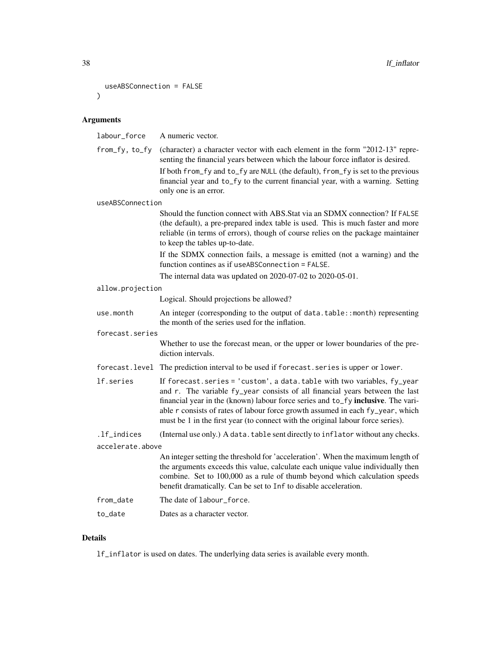```
useABSConnection = FALSE
)
```
labour\_force A numeric vector. from\_fy, to\_fy (character) a character vector with each element in the form "2012-13" representing the financial years between which the labour force inflator is desired. If both from\_fy and to\_fy are NULL (the default), from\_fy is set to the previous financial year and to\_fy to the current financial year, with a warning. Setting only one is an error. useABSConnection Should the function connect with ABS.Stat via an SDMX connection? If FALSE (the default), a pre-prepared index table is used. This is much faster and more reliable (in terms of errors), though of course relies on the package maintainer to keep the tables up-to-date. If the SDMX connection fails, a message is emitted (not a warning) and the function contines as if useABSConnection = FALSE. The internal data was updated on 2020-07-02 to 2020-05-01. allow.projection Logical. Should projections be allowed? use.month An integer (corresponding to the output of data.table::month) representing the month of the series used for the inflation. forecast.series Whether to use the forecast mean, or the upper or lower boundaries of the prediction intervals. forecast.level The prediction interval to be used if forecast.series is upper or lower. lf.series If forecast.series = 'custom', a data.table with two variables, fy\_year and r. The variable fy\_year consists of all financial years between the last financial year in the (known) labour force series and to\_fy inclusive. The variable r consists of rates of labour force growth assumed in each fy\_year, which must be 1 in the first year (to connect with the original labour force series). .lf\_indices (Internal use only.) A data.table sent directly to inflator without any checks. accelerate.above An integer setting the threshold for 'acceleration'. When the maximum length of the arguments exceeds this value, calculate each unique value individually then combine. Set to 100,000 as a rule of thumb beyond which calculation speeds benefit dramatically. Can be set to Inf to disable acceleration. from\_date The date of labour\_force. to\_date Dates as a character vector.

### Details

lf\_inflator is used on dates. The underlying data series is available every month.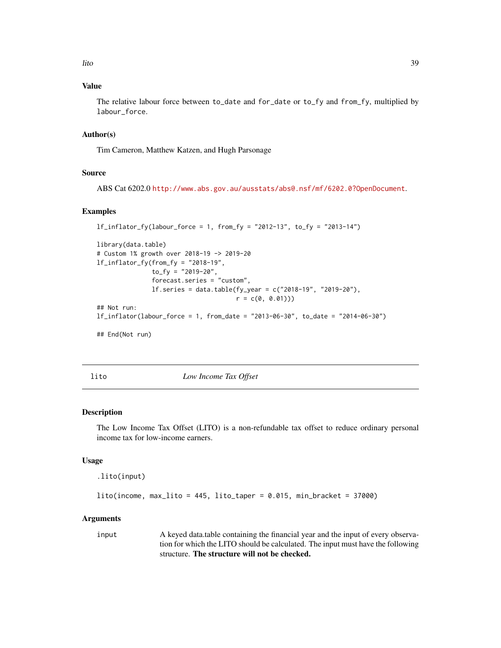lito 39

## Value

The relative labour force between to\_date and for\_date or to\_fy and from\_fy, multiplied by labour\_force.

## Author(s)

Tim Cameron, Matthew Katzen, and Hugh Parsonage

#### Source

ABS Cat 6202.0 <http://www.abs.gov.au/ausstats/abs@.nsf/mf/6202.0?OpenDocument>.

#### Examples

```
1f_inflator_fv(labour_force = 1, from_fv = "2012-13", to_fv = "2013-14")library(data.table)
# Custom 1% growth over 2018-19 -> 2019-20
lf_inflator_fy(from_fy = "2018-19",
               to_f y = "2019-20",forecast.series = "custom",
               lf.series = data.table(fy_year = c("2018-19", "2019-20"),
                                      r = c(0, 0.01))## Not run:
lf_inflator(labour_force = 1, from_date = "2013-06-30", to_date = "2014-06-30")
## End(Not run)
```
lito *Low Income Tax Offset*

#### Description

The Low Income Tax Offset (LITO) is a non-refundable tax offset to reduce ordinary personal income tax for low-income earners.

#### Usage

```
.lito(input)
```
 $lito(income, max\_lito = 445, lito\_taper = 0.015, min\_bracket = 37000)$ 

#### Arguments

input A keyed data.table containing the financial year and the input of every observation for which the LITO should be calculated. The input must have the following structure. The structure will not be checked.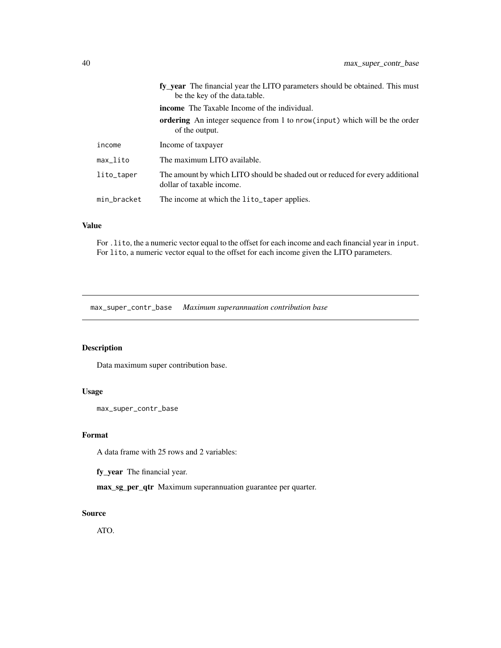|                       | fy vear The financial year the LITO parameters should be obtained. This must<br>be the key of the data.table. |
|-----------------------|---------------------------------------------------------------------------------------------------------------|
|                       | <b>income</b> The Taxable Income of the individual.                                                           |
|                       | <b>ordering</b> An integer sequence from 1 to nrow(input) which will be the order<br>of the output.           |
| income                | Income of taxpayer                                                                                            |
| $max$ <sub>Lito</sub> | The maximum LITO available.                                                                                   |
| lito_taper            | The amount by which LITO should be shaded out or reduced for every additional<br>dollar of taxable income.    |
| min_bracket           | The income at which the lito_taper applies.                                                                   |

# Value

For .lito, the a numeric vector equal to the offset for each income and each financial year in input. For lito, a numeric vector equal to the offset for each income given the LITO parameters.

max\_super\_contr\_base *Maximum superannuation contribution base*

## Description

Data maximum super contribution base.

## Usage

max\_super\_contr\_base

## Format

A data frame with 25 rows and 2 variables:

fy\_year The financial year.

max\_sg\_per\_qtr Maximum superannuation guarantee per quarter.

## Source

ATO.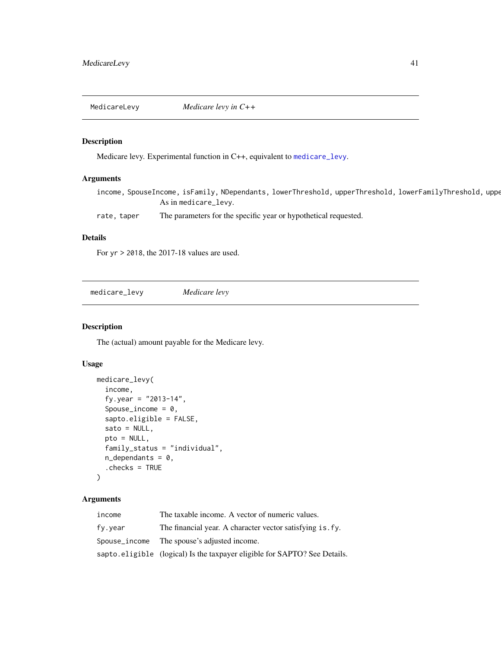MedicareLevy *Medicare levy in C++*

## Description

Medicare levy. Experimental function in C++, equivalent to [medicare\\_levy](#page-40-0).

#### Arguments

income, SpouseIncome, isFamily, NDependants, lowerThreshold, upperThreshold, lowerFamilyThreshold, uppe As in medicare\_levy.

rate, taper The parameters for the specific year or hypothetical requested.

## Details

For yr > 2018, the 2017-18 values are used.

<span id="page-40-0"></span>medicare\_levy *Medicare levy*

#### Description

The (actual) amount payable for the Medicare levy.

# Usage

```
medicare_levy(
  income,
  fy.year = "2013-14",
  Spouse_income = 0,
  sapto.eligible = FALSE,
  sato = NULL,
  pto = NULL,
  family_status = "individual",
  n<sup>dependants = 0,</sup>
  .checks = TRUE
\mathcal{L}
```
# Arguments

| income  | The taxable income. A vector of numeric values.                           |
|---------|---------------------------------------------------------------------------|
| fv.vear | The financial year. A character vector satisfying is. fy.                 |
|         | Spouse_income The spouse's adjusted income.                               |
|         | sapto.eligible (logical) Is the taxpayer eligible for SAPTO? See Details. |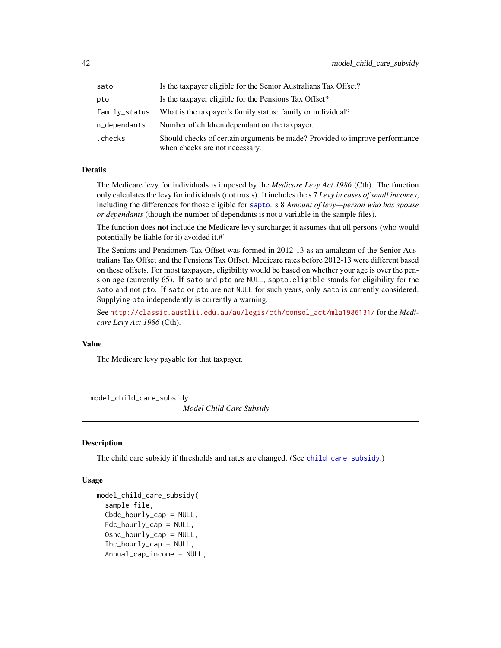| sato          | Is the taxpayer eligible for the Senior Australians Tax Offset?                                               |
|---------------|---------------------------------------------------------------------------------------------------------------|
| pto           | Is the taxpayer eligible for the Pensions Tax Offset?                                                         |
| family_status | What is the taxpayer's family status: family or individual?                                                   |
| n_dependants  | Number of children dependant on the taxpayer.                                                                 |
| .checks       | Should checks of certain arguments be made? Provided to improve performance<br>when checks are not necessary. |

#### Details

The Medicare levy for individuals is imposed by the *Medicare Levy Act 1986* (Cth). The function only calculates the levy for individuals (not trusts). It includes the s 7 *Levy in cases of small incomes*, including the differences for those eligible for [sapto](#page-67-0). s 8 *Amount of levy—person who has spouse or dependants* (though the number of dependants is not a variable in the sample files).

The function does **not** include the Medicare levy surcharge; it assumes that all persons (who would potentially be liable for it) avoided it.#'

The Seniors and Pensioners Tax Offset was formed in 2012-13 as an amalgam of the Senior Australians Tax Offset and the Pensions Tax Offset. Medicare rates before 2012-13 were different based on these offsets. For most taxpayers, eligibility would be based on whether your age is over the pension age (currently 65). If sato and pto are NULL, sapto.eligible stands for eligibility for the sato and not pto. If sato or pto are not NULL for such years, only sato is currently considered. Supplying pto independently is currently a warning.

See [http://classic.austlii.edu.au/au/legis/cth/consol\\_act/mla1986131/](http://classic.austlii.edu.au/au/legis/cth/consol_act/mla1986131/) for the *Medicare Levy Act 1986* (Cth).

## Value

The Medicare levy payable for that taxpayer.

model\_child\_care\_subsidy

*Model Child Care Subsidy*

#### **Description**

The child care subsidy if thresholds and rates are changed. (See [child\\_care\\_subsidy](#page-16-0).)

```
model_child_care_subsidy(
  sample_file,
  Cbdc_hourly_cap = NULL,
  Fdc\_hourly\_cap = NULL,Oshc_hourly_cap = NULL,
  Ihc_hourly_cap = NULL,
  Annual_cap_income = NULL,
```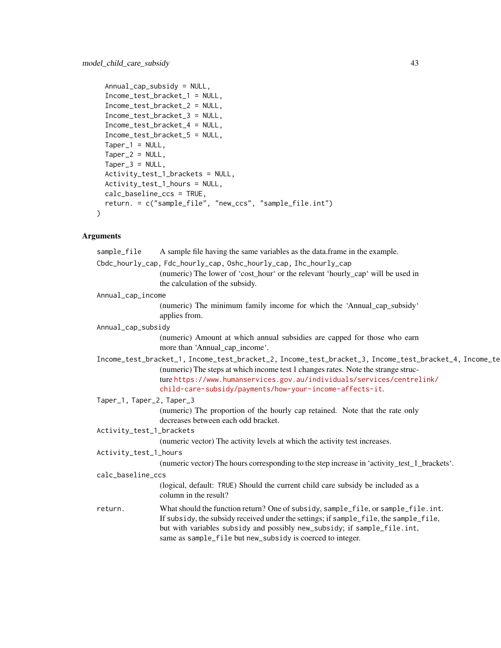```
Annual_cap_subsidy = NULL,
Income_test_bracket_1 = NULL,
Income_test_bracket_2 = NULL,
Income_test_bracket_3 = NULL,
Income_test_bracket_4 = NULL,
Income_test_bracket_5 = NULL,
Taper_1 = NULL,Taper_2 = NULL,Taper_3 = NULL,Activity_test_1_brackets = NULL,
Activity_test_1_hours = NULL,
calc_baseline_ccs = TRUE,
return. = c("sample_file", "new_ccs", "sample_file.int")
```
 $\mathcal{L}$ 

| sample_file               | A sample file having the same variables as the data frame in the example.                                                                                                                                                                                                                                                       |
|---------------------------|---------------------------------------------------------------------------------------------------------------------------------------------------------------------------------------------------------------------------------------------------------------------------------------------------------------------------------|
|                           | Cbdc_hourly_cap, Fdc_hourly_cap, Oshc_hourly_cap, Ihc_hourly_cap                                                                                                                                                                                                                                                                |
|                           | (numeric) The lower of 'cost_hour' or the relevant 'hourly_cap' will be used in<br>the calculation of the subsidy.                                                                                                                                                                                                              |
| Annual_cap_income         |                                                                                                                                                                                                                                                                                                                                 |
|                           | (numeric) The minimum family income for which the 'Annual_cap_subsidy'<br>applies from.                                                                                                                                                                                                                                         |
| Annual_cap_subsidy        |                                                                                                                                                                                                                                                                                                                                 |
|                           | (numeric) Amount at which annual subsidies are capped for those who earn<br>more than 'Annual_cap_income'.                                                                                                                                                                                                                      |
|                           | Income_test_bracket_1, Income_test_bracket_2, Income_test_bracket_3, Income_test_bracket_4, Income_te<br>(numeric) The steps at which income test 1 changes rates. Note the strange struc-<br>ture https://www.humanservices.gov.au/individuals/services/centrelink/<br>child-care-subsidy/payments/how-your-income-affects-it. |
| Taper_1, Taper_2, Taper_3 |                                                                                                                                                                                                                                                                                                                                 |
|                           | (numeric) The proportion of the hourly cap retained. Note that the rate only<br>decreases between each odd bracket.                                                                                                                                                                                                             |
| Activity_test_1_brackets  |                                                                                                                                                                                                                                                                                                                                 |
|                           | (numeric vector) The activity levels at which the activity test increases.                                                                                                                                                                                                                                                      |
| Activity_test_1_hours     |                                                                                                                                                                                                                                                                                                                                 |
|                           | (numeric vector) The hours corresponding to the step increase in 'activity_test_1_brackets'.                                                                                                                                                                                                                                    |
| calc_baseline_ccs         |                                                                                                                                                                                                                                                                                                                                 |
|                           | (logical, default: TRUE) Should the current child care subsidy be included as a<br>column in the result?                                                                                                                                                                                                                        |
| return.                   | What should the function return? One of subsidy, sample_file, or sample_file.int.<br>If subsidy, the subsidy received under the settings; if sample_file, the sample_file,<br>but with variables subsidy and possibly new_subsidy; if sample_file.int,<br>same as sample_file but new_subsidy is coerced to integer.            |
|                           |                                                                                                                                                                                                                                                                                                                                 |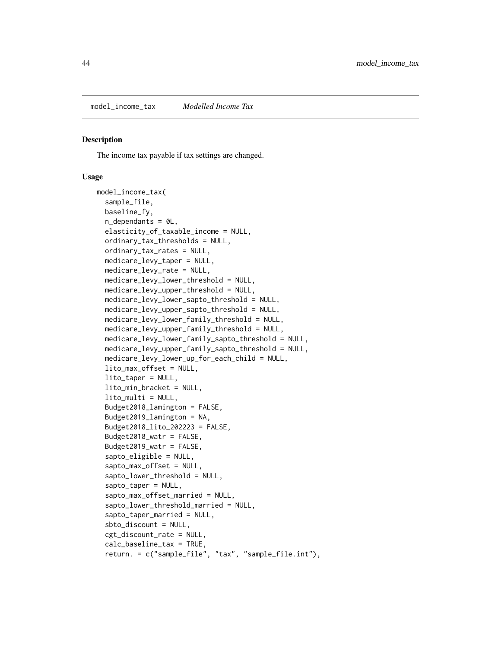#### <span id="page-43-0"></span>Description

The income tax payable if tax settings are changed.

```
model_income_tax(
  sample_file,
  baseline_fy,
  n<sup>dependants = \thetaL,</sup>
  elasticity_of_taxable_income = NULL,
  ordinary_tax_thresholds = NULL,
  ordinary_tax_rates = NULL,
  medicare_levy_taper = NULL,
 medicare_levy_rate = NULL,
 medicare_levy_lower_threshold = NULL,
 medicare_levy_upper_threshold = NULL,
 medicare_levy_lower_sapto_threshold = NULL,
 medicare_levy_upper_sapto_threshold = NULL,
  medicare_levy_lower_family_threshold = NULL,
  medicare_levy_upper_family_threshold = NULL,
  medicare_levy_lower_family_sapto_threshold = NULL,
 medicare_levy_upper_family_sapto_threshold = NULL,
  medicare_levy_lower_up_for_each_child = NULL,
  lito_max_offset = NULL,
  lito_taper = NULL,
  lito_min_bracket = NULL,
  lito<sub>-multi</sub> = NULL,
  Budget2018_lamington = FALSE,
  Budget2019_lamington = NA,
  Budget2018_lito_202223 = FALSE,
  Budget2018_watr = FALSE,
  Budget2019_watr = FALSE,sapto_eligible = NULL,
  sapto_max_offset = NULL,
  sapto_lower_threshold = NULL,
  sapto_taper = NULL,
  sapto_max_offset_married = NULL,
  sapto_lower_threshold_married = NULL,
  sapto_taper_married = NULL,
  sbto_discount = NULL,
  cgt_discount_rate = NULL,
  calc_baseline_tax = TRUE,
  return. = c("sample_file", "tax", "sample_file.int"),
```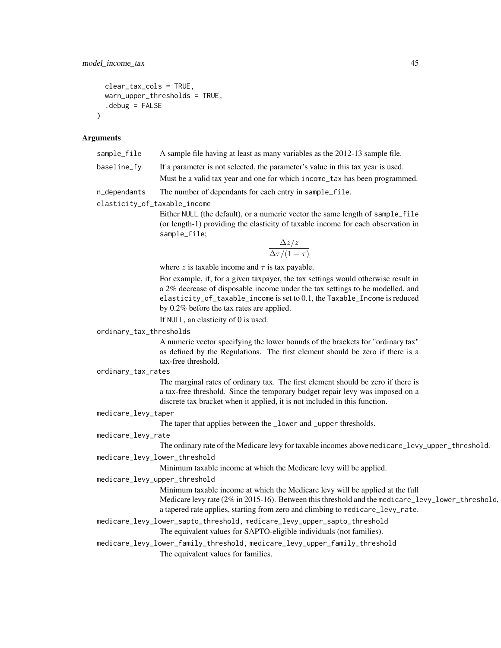```
clear_tax_cols = TRUE,
  warn_upper_thresholds = TRUE,
  debug = FALSE\lambda
```

| sample_file | A sample file having at least as many variables as the 2012-13 sample file.     |
|-------------|---------------------------------------------------------------------------------|
| baseline fv | If a parameter is not selected, the parameter's value in this tax year is used. |
|             | Must be a valid tax year and one for which income_tax has been programmed.      |

n\_dependants The number of dependants for each entry in sample\_file.

elasticity\_of\_taxable\_income

Either NULL (the default), or a numeric vector the same length of sample\_file (or length-1) providing the elasticity of taxable income for each observation in sample\_file;

$$
\frac{\Delta z/z}{\Delta \tau/(1-\tau)}
$$

where z is taxable income and  $\tau$  is tax payable.

For example, if, for a given taxpayer, the tax settings would otherwise result in a 2% decrease of disposable income under the tax settings to be modelled, and elasticity\_of\_taxable\_income is set to 0.1, the Taxable\_Income is reduced by 0.2% before the tax rates are applied.

If NULL, an elasticity of 0 is used.

#### ordinary\_tax\_thresholds

A numeric vector specifying the lower bounds of the brackets for "ordinary tax" as defined by the Regulations. The first element should be zero if there is a tax-free threshold.

#### ordinary\_tax\_rates

The marginal rates of ordinary tax. The first element should be zero if there is a tax-free threshold. Since the temporary budget repair levy was imposed on a discrete tax bracket when it applied, it is not included in this function.

#### medicare\_levy\_taper

The taper that applies between the \_lower and \_upper thresholds.

#### medicare\_levy\_rate

The ordinary rate of the Medicare levy for taxable incomes above medicare\_levy\_upper\_threshold.

# medicare\_levy\_lower\_threshold

Minimum taxable income at which the Medicare levy will be applied.

#### medicare\_levy\_upper\_threshold

Minimum taxable income at which the Medicare levy will be applied at the full

Medicare levy rate (2% in 2015-16). Between this threshold and the medicare\_levy\_lower\_threshold, a tapered rate applies, starting from zero and climbing to medicare\_levy\_rate.

#### medicare\_levy\_lower\_sapto\_threshold, medicare\_levy\_upper\_sapto\_threshold

The equivalent values for SAPTO-eligible individuals (not families).

#### medicare\_levy\_lower\_family\_threshold, medicare\_levy\_upper\_family\_threshold

The equivalent values for families.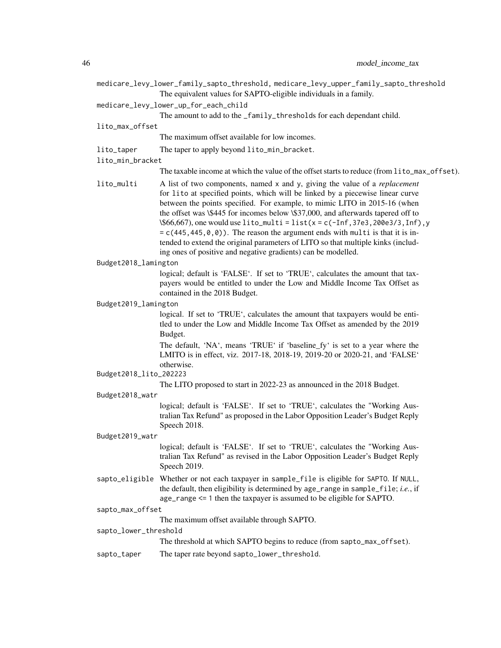| medicare_levy_lower_family_sapto_threshold, medicare_levy_upper_family_sapto_threshold<br>The equivalent values for SAPTO-eligible individuals in a family. |                                                                                                                                                                                                                                                                                                                                                                                                                                                                                                                                                                                                                                                                   |  |
|-------------------------------------------------------------------------------------------------------------------------------------------------------------|-------------------------------------------------------------------------------------------------------------------------------------------------------------------------------------------------------------------------------------------------------------------------------------------------------------------------------------------------------------------------------------------------------------------------------------------------------------------------------------------------------------------------------------------------------------------------------------------------------------------------------------------------------------------|--|
|                                                                                                                                                             | medicare_levy_lower_up_for_each_child<br>The amount to add to the _family_thresholds for each dependant child.                                                                                                                                                                                                                                                                                                                                                                                                                                                                                                                                                    |  |
| lito_max_offset                                                                                                                                             |                                                                                                                                                                                                                                                                                                                                                                                                                                                                                                                                                                                                                                                                   |  |
|                                                                                                                                                             | The maximum offset available for low incomes.                                                                                                                                                                                                                                                                                                                                                                                                                                                                                                                                                                                                                     |  |
| lito_taper                                                                                                                                                  | The taper to apply beyond lito_min_bracket.                                                                                                                                                                                                                                                                                                                                                                                                                                                                                                                                                                                                                       |  |
| lito_min_bracket                                                                                                                                            |                                                                                                                                                                                                                                                                                                                                                                                                                                                                                                                                                                                                                                                                   |  |
|                                                                                                                                                             | The taxable income at which the value of the offset starts to reduce (from lito_max_offset).                                                                                                                                                                                                                                                                                                                                                                                                                                                                                                                                                                      |  |
| lito_multi                                                                                                                                                  | A list of two components, named x and y, giving the value of a <i>replacement</i><br>for lito at specified points, which will be linked by a piecewise linear curve<br>between the points specified. For example, to mimic LITO in 2015-16 (when<br>the offset was \\$445 for incomes below \\$37,000, and afterwards tapered off to<br>$\$66,667$ , one would use lito_multi = list(x = c(-Inf, 37e3, 200e3/3, Inf), y<br>$= c(445, 445, 0, 0)$ . The reason the argument ends with multi is that it is in-<br>tended to extend the original parameters of LITO so that multiple kinks (includ-<br>ing ones of positive and negative gradients) can be modelled. |  |
| Budget2018_lamington                                                                                                                                        |                                                                                                                                                                                                                                                                                                                                                                                                                                                                                                                                                                                                                                                                   |  |
|                                                                                                                                                             | logical; default is 'FALSE'. If set to 'TRUE', calculates the amount that tax-<br>payers would be entitled to under the Low and Middle Income Tax Offset as<br>contained in the 2018 Budget.                                                                                                                                                                                                                                                                                                                                                                                                                                                                      |  |
| Budget2019_lamington                                                                                                                                        |                                                                                                                                                                                                                                                                                                                                                                                                                                                                                                                                                                                                                                                                   |  |
|                                                                                                                                                             | logical. If set to 'TRUE', calculates the amount that taxpayers would be enti-<br>tled to under the Low and Middle Income Tax Offset as amended by the 2019<br>Budget.                                                                                                                                                                                                                                                                                                                                                                                                                                                                                            |  |
|                                                                                                                                                             | The default, 'NA', means 'TRUE' if 'baseline_fy' is set to a year where the<br>LMITO is in effect, viz. 2017-18, 2018-19, 2019-20 or 2020-21, and 'FALSE'<br>otherwise.                                                                                                                                                                                                                                                                                                                                                                                                                                                                                           |  |
| Budget2018_lito_202223                                                                                                                                      |                                                                                                                                                                                                                                                                                                                                                                                                                                                                                                                                                                                                                                                                   |  |
| The LITO proposed to start in 2022-23 as announced in the 2018 Budget.                                                                                      |                                                                                                                                                                                                                                                                                                                                                                                                                                                                                                                                                                                                                                                                   |  |
| Budget2018_watr                                                                                                                                             | logical; default is 'FALSE'. If set to 'TRUE', calculates the "Working Aus-<br>tralian Tax Refund" as proposed in the Labor Opposition Leader's Budget Reply<br>Speech 2018.                                                                                                                                                                                                                                                                                                                                                                                                                                                                                      |  |
| Budget2019_watr                                                                                                                                             |                                                                                                                                                                                                                                                                                                                                                                                                                                                                                                                                                                                                                                                                   |  |
|                                                                                                                                                             | logical; default is 'FALSE'. If set to 'TRUE', calculates the "Working Aus-<br>tralian Tax Refund" as revised in the Labor Opposition Leader's Budget Reply<br>Speech 2019.                                                                                                                                                                                                                                                                                                                                                                                                                                                                                       |  |
| sapto_eligible                                                                                                                                              | Whether or not each taxpayer in sample_file is eligible for SAPTO. If NULL,<br>the default, then eligibility is determined by age_range in sample_file; i.e., if<br>$age_range \leq 1$ then the taxpayer is assumed to be eligible for SAPTO.                                                                                                                                                                                                                                                                                                                                                                                                                     |  |
| sapto_max_offset                                                                                                                                            |                                                                                                                                                                                                                                                                                                                                                                                                                                                                                                                                                                                                                                                                   |  |
|                                                                                                                                                             | The maximum offset available through SAPTO.                                                                                                                                                                                                                                                                                                                                                                                                                                                                                                                                                                                                                       |  |
| sapto_lower_threshold                                                                                                                                       |                                                                                                                                                                                                                                                                                                                                                                                                                                                                                                                                                                                                                                                                   |  |
|                                                                                                                                                             | The threshold at which SAPTO begins to reduce (from sapto_max_offset).                                                                                                                                                                                                                                                                                                                                                                                                                                                                                                                                                                                            |  |
| sapto_taper                                                                                                                                                 | The taper rate beyond sapto_lower_threshold.                                                                                                                                                                                                                                                                                                                                                                                                                                                                                                                                                                                                                      |  |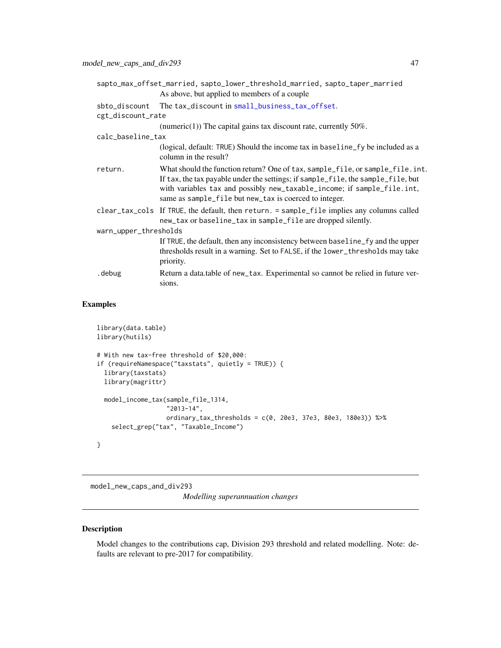|                       | sapto_max_offset_married, sapto_lower_threshold_married, sapto_taper_married                                                                                                                                                                                                                            |
|-----------------------|---------------------------------------------------------------------------------------------------------------------------------------------------------------------------------------------------------------------------------------------------------------------------------------------------------|
|                       | As above, but applied to members of a couple.                                                                                                                                                                                                                                                           |
| sbto_discount         | The tax_discount in small_business_tax_offset.                                                                                                                                                                                                                                                          |
| cgt_discount_rate     |                                                                                                                                                                                                                                                                                                         |
|                       | (numeric(1)) The capital gains tax discount rate, currently $50\%$ .                                                                                                                                                                                                                                    |
| calc_baseline_tax     |                                                                                                                                                                                                                                                                                                         |
|                       | (logical, default: TRUE) Should the income tax in baseline fy be included as a<br>column in the result?                                                                                                                                                                                                 |
| return.               | What should the function return? One of tax, sample_file, or sample_file. int.<br>If tax, the tax payable under the settings; if sample_file, the sample_file, but<br>with variables tax and possibly new_taxable_income; if sample_file.int,<br>same as sample_file but new_tax is coerced to integer. |
|                       | clear_tax_cols If TRUE, the default, then return. = sample_file implies any columns called<br>new_tax or baseline_tax in sample_file are dropped silently.                                                                                                                                              |
| warn_upper_thresholds |                                                                                                                                                                                                                                                                                                         |
|                       | If TRUE, the default, then any inconsistency between baseline_fy and the upper<br>thresholds result in a warning. Set to FALSE, if the lower_thresholds may take<br>priority.                                                                                                                           |
| .debug                | Return a data.table of new_tax. Experimental so cannot be relied in future ver-<br>sions.                                                                                                                                                                                                               |

# Examples

```
library(data.table)
library(hutils)
# With new tax-free threshold of $20,000:
if (requireNamespace("taxstats", quietly = TRUE)) {
  library(taxstats)
  library(magrittr)
  model_income_tax(sample_file_1314,
                   "2013-14",
                   ordinary_tax_thresholds = c(0, 20e3, 37e3, 80e3, 180e3)) %>%
    select_grep("tax", "Taxable_Income")
}
```
model\_new\_caps\_and\_div293 *Modelling superannuation changes*

## Description

Model changes to the contributions cap, Division 293 threshold and related modelling. Note: defaults are relevant to pre-2017 for compatibility.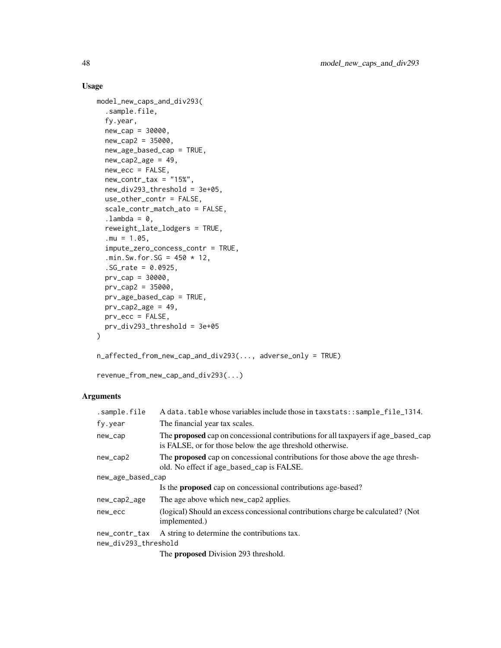## Usage

```
model_new_caps_and_div293(
  .sample.file,
  fy.year,
 new_cap = 30000,
 new_{cap2} = 35000,
 new_age_based_cap = TRUE,
 new\_cap2\_age = 49,
 new\_ecc = FALSE,new_contr_tax = "15%",
  new_div293_threshold = 3e+05,
 use_other_contr = FALSE,
  scale_contr_match_ato = FALSE,
  .lambda = 0,
  reweight_late_lodgers = TRUE,
  .mu = 1.05,
  impute_zero_concess_contr = TRUE,
  .min.Sw.for.SG = 450 \times 12,
  .SG_rate = 0.0925,
 prv_{cap} = 30000,prv_{cap2} = 35000,
 prv_age_based_cap = TRUE,
 prv_{cap2age} = 49,
 prv\_ecc = FALSE,prv_div293_threshold = 3e+05
\lambda
```
n\_affected\_from\_new\_cap\_and\_div293(..., adverse\_only = TRUE)

revenue\_from\_new\_cap\_and\_div293(...)

## Arguments

| .sample.file         | A data.table whose variables include those in taxstats: : sample_file_1314.                                                                           |
|----------------------|-------------------------------------------------------------------------------------------------------------------------------------------------------|
| fy.year              | The financial year tax scales.                                                                                                                        |
| new_cap              | The <b>proposed</b> cap on concessional contributions for all taxpayers if age_based_cap<br>is FALSE, or for those below the age threshold otherwise. |
| new_cap2             | The <b>proposed</b> cap on concessional contributions for those above the age thresh-<br>old. No effect if age_based_cap is FALSE.                    |
| new_age_based_cap    |                                                                                                                                                       |
|                      | Is the <b>proposed</b> cap on concessional contributions age-based?                                                                                   |
| new_cap2_age         | The age above which new_cap2 applies.                                                                                                                 |
| new_ecc              | (logical) Should an excess concessional contributions charge be calculated? (Not<br>implemented.)                                                     |
| new_contr_tax        | A string to determine the contributions tax.                                                                                                          |
| new_div293_threshold |                                                                                                                                                       |
|                      | The <b>proposed</b> Division 293 threshold.                                                                                                           |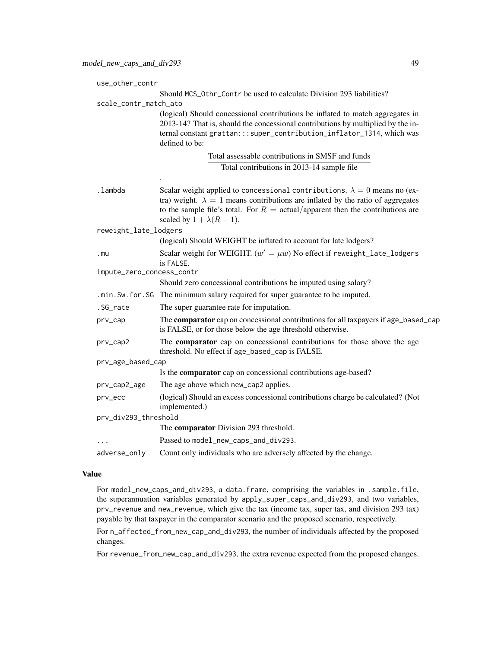| use_other_contr           |                                                                                                                                                                                                                                                                                                           |  |
|---------------------------|-----------------------------------------------------------------------------------------------------------------------------------------------------------------------------------------------------------------------------------------------------------------------------------------------------------|--|
|                           | Should MCS_0thr_Contr be used to calculate Division 293 liabilities?                                                                                                                                                                                                                                      |  |
| scale_contr_match_ato     |                                                                                                                                                                                                                                                                                                           |  |
|                           | (logical) Should concessional contributions be inflated to match aggregates in<br>2013-14? That is, should the concessional contributions by multiplied by the in-<br>ternal constant grattan::: super_contribution_inflator_1314, which was<br>defined to be:                                            |  |
|                           | Total assessable contributions in SMSF and funds                                                                                                                                                                                                                                                          |  |
|                           | Total contributions in 2013-14 sample file                                                                                                                                                                                                                                                                |  |
|                           |                                                                                                                                                                                                                                                                                                           |  |
| .lambda                   | Scalar weight applied to concessional contributions. $\lambda = 0$ means no (ex-<br>tra) weight. $\lambda = 1$ means contributions are inflated by the ratio of aggregates<br>to the sample file's total. For $R = \text{actual/apparent}$ then the contributions are<br>scaled by $1 + \lambda(R - 1)$ . |  |
| reweight_late_lodgers     |                                                                                                                                                                                                                                                                                                           |  |
|                           | (logical) Should WEIGHT be inflated to account for late lodgers?                                                                                                                                                                                                                                          |  |
| .mu                       | Scalar weight for WEIGHT. $(w' = \mu w)$ No effect if reweight_late_lodgers<br>is FALSE.                                                                                                                                                                                                                  |  |
| impute_zero_concess_contr |                                                                                                                                                                                                                                                                                                           |  |
|                           | Should zero concessional contributions be imputed using salary?                                                                                                                                                                                                                                           |  |
|                           | .min. Sw. for. SG The minimum salary required for super guarantee to be imputed.                                                                                                                                                                                                                          |  |
| .SG_rate                  | The super guarantee rate for imputation.                                                                                                                                                                                                                                                                  |  |
| prv_cap                   | The comparator cap on concessional contributions for all taxpayers if age_based_cap<br>is FALSE, or for those below the age threshold otherwise.                                                                                                                                                          |  |
| prv_cap2                  | The comparator cap on concessional contributions for those above the age<br>threshold. No effect if age_based_cap is FALSE.                                                                                                                                                                               |  |
| prv_age_based_cap         |                                                                                                                                                                                                                                                                                                           |  |
|                           | Is the comparator cap on concessional contributions age-based?                                                                                                                                                                                                                                            |  |
| prv_cap2_age              | The age above which new_cap2 applies.                                                                                                                                                                                                                                                                     |  |
| prv_ecc                   | (logical) Should an excess concessional contributions charge be calculated? (Not<br>implemented.)                                                                                                                                                                                                         |  |
| prv_div293_threshold      |                                                                                                                                                                                                                                                                                                           |  |
|                           | The comparator Division 293 threshold.                                                                                                                                                                                                                                                                    |  |
|                           | Passed to model_new_caps_and_div293.                                                                                                                                                                                                                                                                      |  |
| adverse_only              | Count only individuals who are adversely affected by the change.                                                                                                                                                                                                                                          |  |

# Value

For model\_new\_caps\_and\_div293, a data.frame, comprising the variables in .sample.file, the superannuation variables generated by apply\_super\_caps\_and\_div293, and two variables, prv\_revenue and new\_revenue, which give the tax (income tax, super tax, and division 293 tax) payable by that taxpayer in the comparator scenario and the proposed scenario, respectively.

For n\_affected\_from\_new\_cap\_and\_div293, the number of individuals affected by the proposed changes.

For revenue\_from\_new\_cap\_and\_div293, the extra revenue expected from the proposed changes.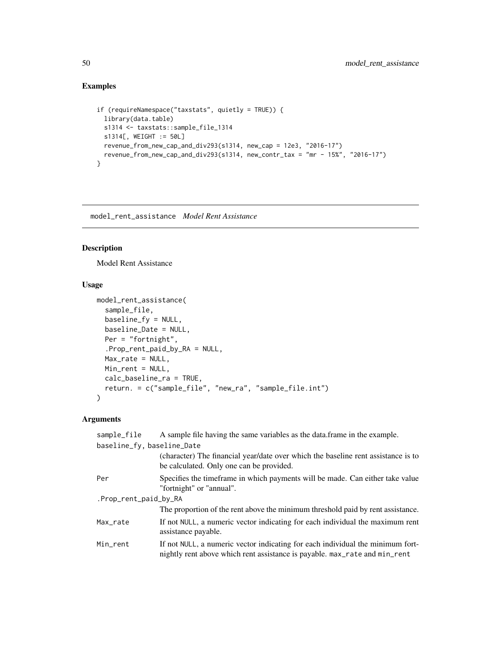## Examples

```
if (requireNamespace("taxstats", quietly = TRUE)) {
 library(data.table)
 s1314 <- taxstats::sample_file_1314
 s1314[, WEIGHT := 50L]
 revenue_from_new_cap_and_div293(s1314, new_cap = 12e3, "2016-17")
 revenue_from_new_cap_and_div293(s1314, new_contr_tax = "mr - 15%", "2016-17")
}
```
model\_rent\_assistance *Model Rent Assistance*

# Description

Model Rent Assistance

## Usage

```
model_rent_assistance(
  sample_file,
 baseline_fy = NULL,
 baseline_Date = NULL,
 Per = "fortnight",
  .Prop_rent_paid_by_RA = NULL,
 Max_rate = NULL,
 Min_rent = NULL,
 calc_baseline_ra = TRUE,
 return. = c("sample_file", "new_ra", "sample_file.int")
)
```
## Arguments

| sample_file                | A sample file having the same variables as the data frame in the example.                                                                                    |
|----------------------------|--------------------------------------------------------------------------------------------------------------------------------------------------------------|
| baseline_fy, baseline_Date |                                                                                                                                                              |
|                            | (character) The financial year/date over which the baseline rent assistance is to<br>be calculated. Only one can be provided.                                |
| Per                        | Specifies the time frame in which payments will be made. Can either take value<br>"fortnight" or "annual".                                                   |
| .Prop_rent_paid_by_RA      |                                                                                                                                                              |
|                            | The proportion of the rent above the minimum threshold paid by rent assistance.                                                                              |
| Max rate                   | If not NULL, a numeric vector indicating for each individual the maximum rent<br>assistance payable.                                                         |
| Min rent                   | If not NULL, a numeric vector indicating for each individual the minimum fort-<br>nightly rent above which rent assistance is payable. max_rate and min_rent |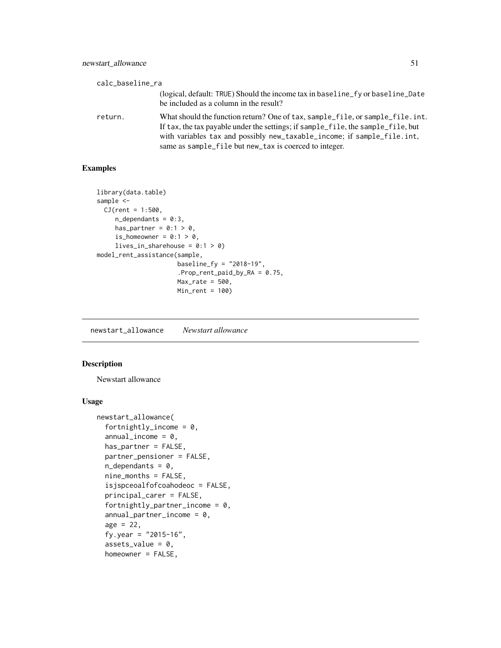| calc_baseline_ra |                                                                                                                                                                                                                                                                                                         |
|------------------|---------------------------------------------------------------------------------------------------------------------------------------------------------------------------------------------------------------------------------------------------------------------------------------------------------|
|                  | (logical, default: TRUE) Should the income tax in baseline_fy or baseline_Date<br>be included as a column in the result?                                                                                                                                                                                |
| return.          | What should the function return? One of tax, sample file, or sample file, int.<br>If tax, the tax payable under the settings; if sample_file, the sample_file, but<br>with variables tax and possibly new_taxable_income; if sample_file.int,<br>same as sample_file but new_tax is coerced to integer. |

## Examples

```
library(data.table)
sample <-
  CJ(rent = 1:500,n_dependants = 0:3,
    has_partner = 0:1 > 0,
     is_homeowner = 0:1 > 0,
     lives_in_sharehouse = 0:1 > 0)
model_rent_assistance(sample,
                     baseline_fy = "2018-19",
                      .Prop_rent_paid_by_RA = 0.75,
                      Max_rate = 500,Min_rent = 100)
```
newstart\_allowance *Newstart allowance*

## Description

Newstart allowance

```
newstart_allowance(
  fortnightly_income = 0,
  annual\_income = 0,
  has_partner = FALSE,
  partner_pensioner = FALSE,
  n<sup>dependants = 0,</sup>
  nine_months = FALSE,
  isjspceoalfofcoahodeoc = FALSE,
  principal_carer = FALSE,
  fortnightly_partner_income = 0,
  annual-partner_income = 0,age = 22,fy.year = "2015-16",
  assets_value = 0,homeowner = FALSE,
```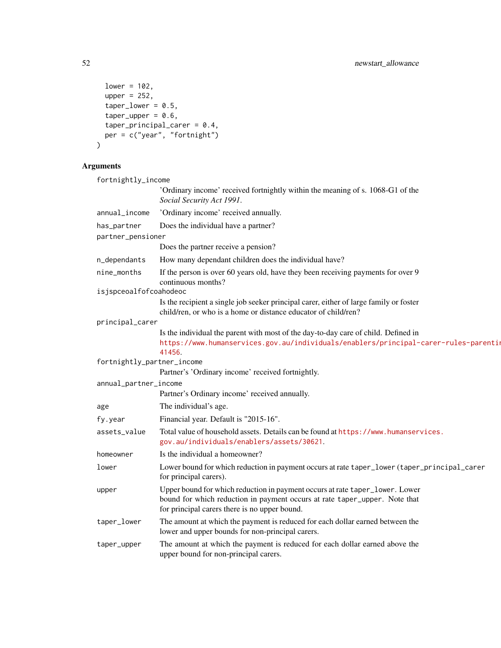```
lower = 102,upper = 252,
  taper_lower = 0.5,
  taper\_upper = 0.6,
  taper\_principal\_carer = 0.4,
 per = c("year", "fortnight")
)
```
fortnightly\_income 'Ordinary income' received fortnightly within the meaning of s. 1068-G1 of the *Social Security Act 1991*. annual\_income 'Ordinary income' received annually. has\_partner Does the individual have a partner? partner\_pensioner Does the partner receive a pension? n\_dependants How many dependant children does the individual have? nine\_months If the person is over 60 years old, have they been receiving payments for over 9 continuous months? isjspceoalfofcoahodeoc Is the recipient a single job seeker principal carer, either of large family or foster child/ren, or who is a home or distance educator of child/ren? principal\_carer Is the individual the parent with most of the day-to-day care of child. Defined in [https://www.humanservices.gov.au/individuals/enablers/principal-](https://www.humanservices.gov.au/individuals/enablers/principal-carer-rules-parenting-payment/41456)carer-rules-parenting-[41456](https://www.humanservices.gov.au/individuals/enablers/principal-carer-rules-parenting-payment/41456). fortnightly\_partner\_income Partner's 'Ordinary income' received fortnightly. annual\_partner\_income Partner's Ordinary income' received annually. age The individual's age. fy.year Financial year. Default is "2015-16". assets\_value Total value of household assets. Details can be found at [https://www.humanser](https://www.humanservices.gov.au/individuals/enablers/assets/30621)vices. [gov.au/individuals/enablers/assets/30621](https://www.humanservices.gov.au/individuals/enablers/assets/30621). homeowner Is the individual a homeowner? lower Lower bound for which reduction in payment occurs at rate taper\_lower (taper\_principal\_carer for principal carers). upper Upper bound for which reduction in payment occurs at rate taper\_lower. Lower bound for which reduction in payment occurs at rate taper\_upper. Note that for principal carers there is no upper bound. taper\_lower The amount at which the payment is reduced for each dollar earned between the lower and upper bounds for non-principal carers. taper\_upper The amount at which the payment is reduced for each dollar earned above the upper bound for non-principal carers.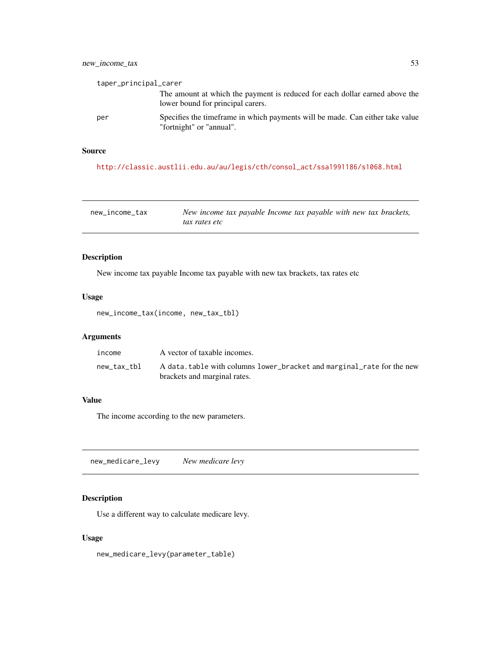## new\_income\_tax 53

| taper_principal_carer |                                                                                                                  |
|-----------------------|------------------------------------------------------------------------------------------------------------------|
|                       | The amount at which the payment is reduced for each dollar earned above the<br>lower bound for principal carers. |
| per                   | Specifies the timeframe in which payments will be made. Can either take value<br>"fortnight" or "annual".        |

## Source

[http://classic.austlii.edu.au/au/legis/cth/consol\\_act/ssa1991186/s1068.html](http://classic.austlii.edu.au/au/legis/cth/consol_act/ssa1991186/s1068.html)

| new income tax | New income tax payable Income tax payable with new tax brackets, |
|----------------|------------------------------------------------------------------|
|                | tax rates etc                                                    |

## Description

New income tax payable Income tax payable with new tax brackets, tax rates etc

# Usage

new\_income\_tax(income, new\_tax\_tbl)

# Arguments

| income      | A vector of taxable incomes.                                                                          |
|-------------|-------------------------------------------------------------------------------------------------------|
| new tax tbl | A data.table with columns lower_bracket and marginal_rate for the new<br>brackets and marginal rates. |

## Value

The income according to the new parameters.

new\_medicare\_levy *New medicare levy*

## Description

Use a different way to calculate medicare levy.

## Usage

new\_medicare\_levy(parameter\_table)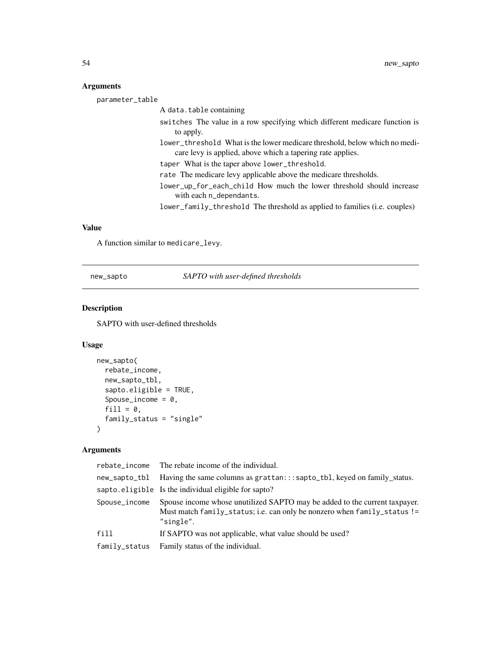parameter\_table A data.table containing switches The value in a row specifying which different medicare function is to apply. lower\_threshold What is the lower medicare threshold, below which no medicare levy is applied, above which a tapering rate applies. taper What is the taper above lower\_threshold. rate The medicare levy applicable above the medicare thresholds. lower\_up\_for\_each\_child How much the lower threshold should increase with each n\_dependants. lower\_family\_threshold The threshold as applied to families (i.e. couples)

## Value

A function similar to medicare\_levy.

new\_sapto *SAPTO with user-defined thresholds*

#### Description

SAPTO with user-defined thresholds

#### Usage

```
new_sapto(
  rebate_income,
  new_sapto_tbl,
  sapto.eligible = TRUE,
  Spouse_income = 0,
  fill = 0,
  family_status = "single"
\lambda
```
## Arguments

|               | rebate_income The rebate income of the individual.                                                                                                                  |
|---------------|---------------------------------------------------------------------------------------------------------------------------------------------------------------------|
| new_sapto_tbl | Having the same columns as grattan:::sapto_tbl, keyed on family_status.                                                                                             |
|               | sapto.eligible Is the individual eligible for sapto?                                                                                                                |
| Spouse_income | Spouse income whose unutilized SAPTO may be added to the current taxpayer.<br>Must match family_status; i.e. can only be nonzero when family_status !=<br>"single". |
| fill          | If SAPTO was not applicable, what value should be used?                                                                                                             |
| family_status | Family status of the individual.                                                                                                                                    |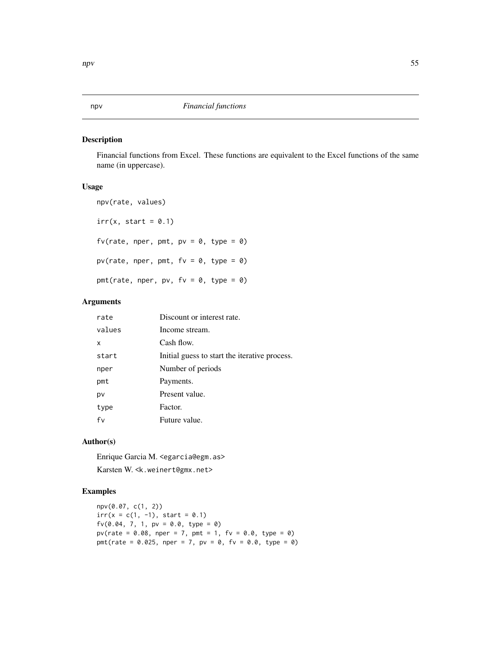## Description

Financial functions from Excel. These functions are equivalent to the Excel functions of the same name (in uppercase).

## Usage

```
npv(rate, values)
irr(x, start = 0.1)fv(rate, nper, pmt, pv = 0, type = 0)
pv(rate, nper, pmt, fv = 0, type = 0)
pmt(rate, nper, pv, f v = 0, type = 0)
```
## Arguments

| rate   | Discount or interest rate.                    |
|--------|-----------------------------------------------|
| values | Income stream.                                |
| x      | Cash flow.                                    |
| start  | Initial guess to start the iterative process. |
| nper   | Number of periods                             |
| pmt    | Payments.                                     |
| pv     | Present value.                                |
| type   | Factor.                                       |
| fv     | Future value.                                 |

## Author(s)

Enrique Garcia M. <egarcia@egm.as> Karsten W. <k.weinert@gmx.net>

# Examples

npv(0.07, c(1, 2))  $irr(x = c(1, -1), start = 0.1)$  $fv(0.04, 7, 1, pv = 0.0, type = 0)$  $pv(\text{rate} = 0.08, \text{ nper} = 7, \text{ pmt} = 1, \text{ fv} = 0.0, \text{ type} = 0)$ pmt(rate =  $0.025$ , nper = 7, pv =  $0$ , fv =  $0.0$ , type =  $0$ )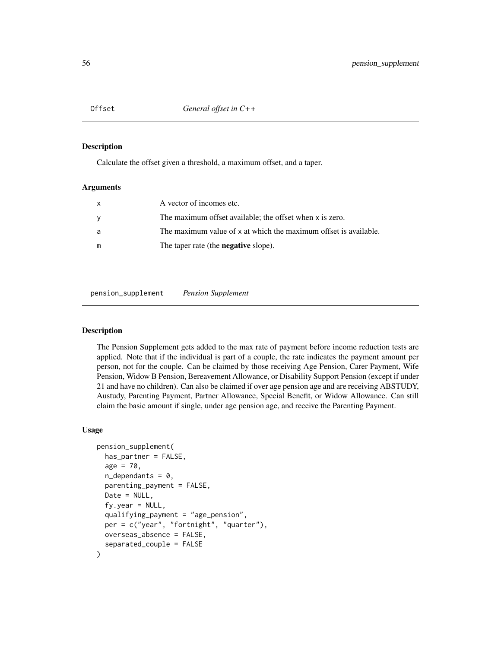#### Description

Calculate the offset given a threshold, a maximum offset, and a taper.

#### Arguments

| X | A vector of incomes etc.                                         |
|---|------------------------------------------------------------------|
| y | The maximum offset available; the offset when x is zero.         |
| a | The maximum value of x at which the maximum offset is available. |
| m | The taper rate (the <b>negative</b> slope).                      |

pension\_supplement *Pension Supplement*

#### Description

The Pension Supplement gets added to the max rate of payment before income reduction tests are applied. Note that if the individual is part of a couple, the rate indicates the payment amount per person, not for the couple. Can be claimed by those receiving Age Pension, Carer Payment, Wife Pension, Widow B Pension, Bereavement Allowance, or Disability Support Pension (except if under 21 and have no children). Can also be claimed if over age pension age and are receiving ABSTUDY, Austudy, Parenting Payment, Partner Allowance, Special Benefit, or Widow Allowance. Can still claim the basic amount if single, under age pension age, and receive the Parenting Payment.

```
pension_supplement(
  has_partner = FALSE,
  age = 70,n<sup>dependants = 0,</sup>
  parenting_payment = FALSE,
 Date = NULL,
  f_v.year = NULL,
  qualifying_payment = "age_pension",
  per = c("year", "fortnight", "quarter"),
 overseas_absence = FALSE,
  separated_couple = FALSE
)
```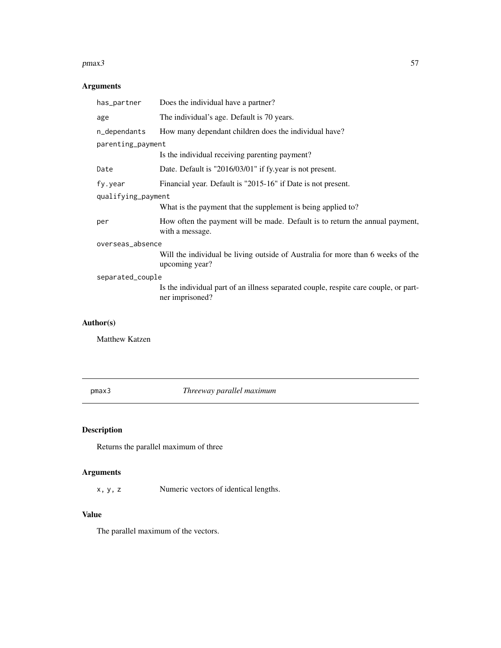#### $pmax3$  57

# Arguments

| has_partner        | Does the individual have a partner?                                                                     |  |
|--------------------|---------------------------------------------------------------------------------------------------------|--|
| age                | The individual's age. Default is 70 years.                                                              |  |
| n_dependants       | How many dependant children does the individual have?                                                   |  |
| parenting_payment  |                                                                                                         |  |
|                    | Is the individual receiving parenting payment?                                                          |  |
| Date               | Date. Default is "2016/03/01" if fy.year is not present.                                                |  |
| fy.year            | Financial year. Default is "2015-16" if Date is not present.                                            |  |
| qualifying_payment |                                                                                                         |  |
|                    | What is the payment that the supplement is being applied to?                                            |  |
| per                | How often the payment will be made. Default is to return the annual payment,<br>with a message.         |  |
| overseas_absence   |                                                                                                         |  |
|                    | Will the individual be living outside of Australia for more than 6 weeks of the<br>upcoming year?       |  |
| separated_couple   |                                                                                                         |  |
|                    | Is the individual part of an illness separated couple, respite care couple, or part-<br>ner imprisoned? |  |
|                    |                                                                                                         |  |

## Author(s)

Matthew Katzen

pmax3 *Threeway parallel maximum*

# Description

Returns the parallel maximum of three

# Arguments

x, y, z Numeric vectors of identical lengths.

## Value

The parallel maximum of the vectors.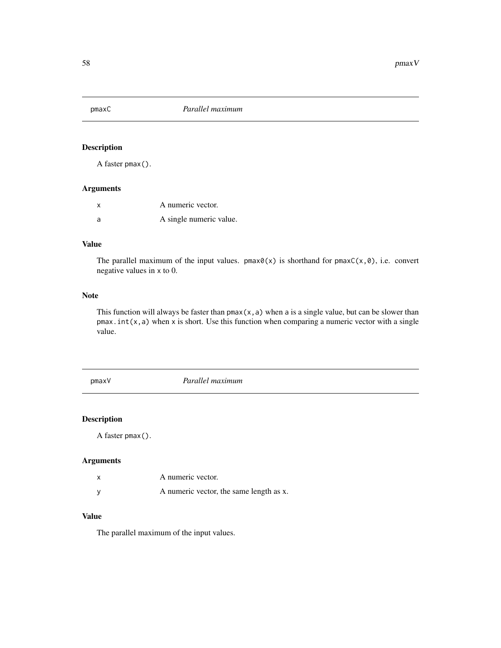## Description

A faster pmax().

# Arguments

|    | A numeric vector.       |
|----|-------------------------|
| -a | A single numeric value. |

#### Value

The parallel maximum of the input values. pmax $\theta(x)$  is shorthand for pmax $C(x, \theta)$ , i.e. convert negative values in x to 0.

#### Note

This function will always be faster than  $pmax(x, a)$  when a is a single value, but can be slower than  $p$ max.int(x,a) when x is short. Use this function when comparing a numeric vector with a single value.

pmaxV *Parallel maximum*

## Description

A faster pmax().

## Arguments

| A numeric vector.                       |
|-----------------------------------------|
| A numeric vector, the same length as x. |

## Value

The parallel maximum of the input values.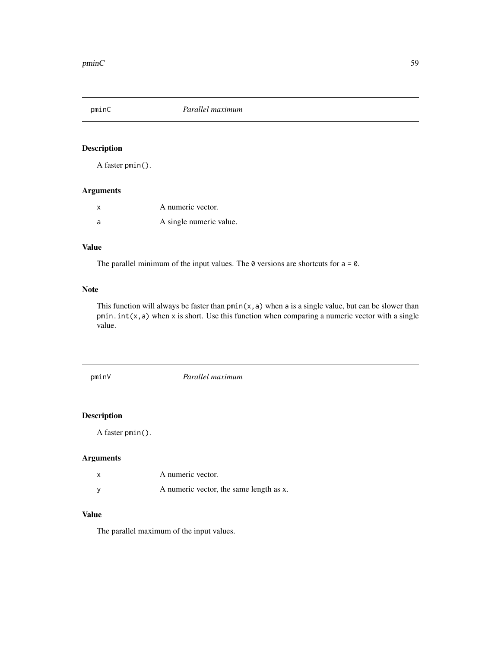pminC *Parallel maximum*

# Description

A faster pmin().

## Arguments

|   | A numeric vector.       |
|---|-------------------------|
| a | A single numeric value. |

## Value

The parallel minimum of the input values. The  $\theta$  versions are shortcuts for  $a = \theta$ .

## Note

This function will always be faster than  $pmin(x, a)$  when a is a single value, but can be slower than  $pmin.int(x, a)$  when x is short. Use this function when comparing a numeric vector with a single value.

pminV *Parallel maximum*

# Description

A faster pmin().

## Arguments

|   | A numeric vector.                       |
|---|-----------------------------------------|
| v | A numeric vector, the same length as x. |

## Value

The parallel maximum of the input values.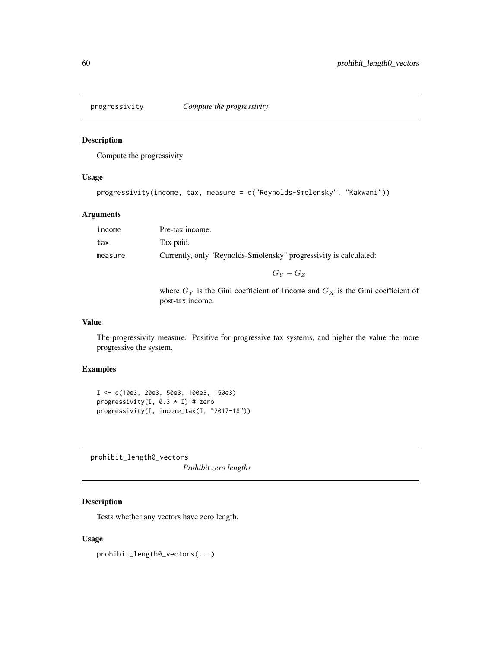## Description

Compute the progressivity

#### Usage

```
progressivity(income, tax, measure = c("Reynolds-Smolensky", "Kakwani"))
```
## Arguments

| income  | Pre-tax income.                                                   |
|---------|-------------------------------------------------------------------|
| tax     | Tax paid.                                                         |
| measure | Currently, only "Reynolds-Smolensky" progressivity is calculated: |
|         | $G_V-G_Z$                                                         |
|         |                                                                   |

where  $G_Y$  is the Gini coefficient of income and  $G_X$  is the Gini coefficient of post-tax income.

#### Value

The progressivity measure. Positive for progressive tax systems, and higher the value the more progressive the system.

# Examples

```
I <- c(10e3, 20e3, 50e3, 100e3, 150e3)
progressivity(I, 0.3 * I) # zero
progressivity(I, income_tax(I, "2017-18"))
```
prohibit\_length0\_vectors

*Prohibit zero lengths*

# Description

Tests whether any vectors have zero length.

## Usage

prohibit\_length0\_vectors(...)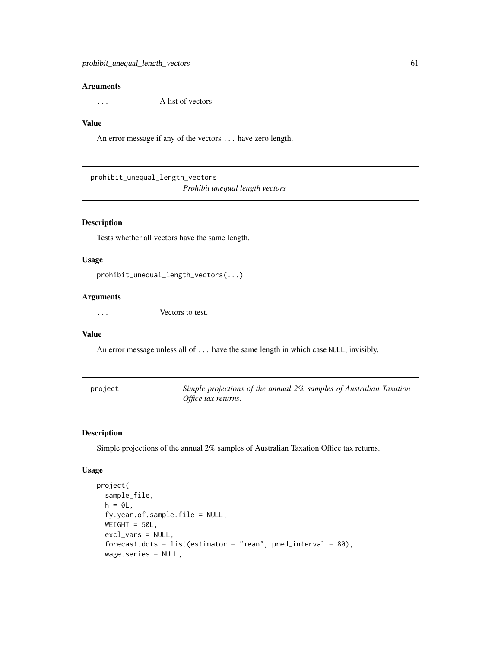... A list of vectors

#### Value

An error message if any of the vectors ... have zero length.

prohibit\_unequal\_length\_vectors *Prohibit unequal length vectors*

#### Description

Tests whether all vectors have the same length.

## Usage

```
prohibit_unequal_length_vectors(...)
```
## Arguments

... Vectors to test.

## Value

An error message unless all of ... have the same length in which case NULL, invisibly.

<span id="page-60-0"></span>

| project | Simple projections of the annual 2% samples of Australian Taxation |
|---------|--------------------------------------------------------------------|
|         | Office tax returns.                                                |

## Description

Simple projections of the annual 2% samples of Australian Taxation Office tax returns.

```
project(
  sample_file,
 h = 0L,
  fy.year.of.sample.file = NULL,
 WEIGHT = 50L,
  excl_vars = NULL,
  forecast.dots = list(estimator = "mean", pred_interestval = 80),wage.series = NULL,
```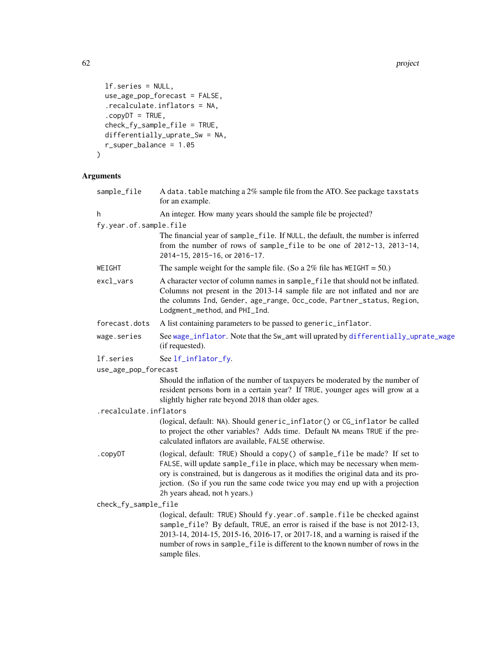62 project to the control of the control of the control of the control of the control of the control of the control of the control of the control of the control of the control of the control of the control of the control o

```
lf.series = NULL,
 use_age_pop_forecast = FALSE,
  .recalculate.inflators = NA,
  copyDT = TRUE,check_fy_sample_file = TRUE,
 differentially_uprate_Sw = NA,
 r_super_balance = 1.05
\mathcal{L}
```
## Arguments

| sample_file            | A data. table matching a 2% sample file from the ATO. See package taxstats<br>for an example.                                                                                                                                                                                                                                                                  |
|------------------------|----------------------------------------------------------------------------------------------------------------------------------------------------------------------------------------------------------------------------------------------------------------------------------------------------------------------------------------------------------------|
| h                      | An integer. How many years should the sample file be projected?                                                                                                                                                                                                                                                                                                |
| fy.year.of.sample.file |                                                                                                                                                                                                                                                                                                                                                                |
|                        | The financial year of sample_file. If NULL, the default, the number is inferred<br>from the number of rows of sample_file to be one of 2012-13, 2013-14,<br>2014-15, 2015-16, or 2016-17.                                                                                                                                                                      |
| WEIGHT                 | The sample weight for the sample file. (So a $2\%$ file has WEIGHT = 50.)                                                                                                                                                                                                                                                                                      |
| excl_vars              | A character vector of column names in sample_file that should not be inflated.<br>Columns not present in the 2013-14 sample file are not inflated and nor are<br>the columns Ind, Gender, age_range, Occ_code, Partner_status, Region,<br>Lodgment_method, and PHI_Ind.                                                                                        |
| forecast.dots          | A list containing parameters to be passed to generic_inflator.                                                                                                                                                                                                                                                                                                 |
| wage.series            | See wage_inflator. Note that the Sw_amt will uprated by differentially_uprate_wage<br>(if requested).                                                                                                                                                                                                                                                          |
| lf.series              | See lf_inflator_fy.                                                                                                                                                                                                                                                                                                                                            |
| use_age_pop_forecast   |                                                                                                                                                                                                                                                                                                                                                                |
|                        | Should the inflation of the number of taxpayers be moderated by the number of<br>resident persons born in a certain year? If TRUE, younger ages will grow at a<br>slightly higher rate beyond 2018 than older ages.                                                                                                                                            |
| .recalculate.inflators |                                                                                                                                                                                                                                                                                                                                                                |
|                        | (logical, default: NA). Should generic_inflator() or CG_inflator be called<br>to project the other variables? Adds time. Default NA means TRUE if the pre-<br>calculated inflators are available, FALSE otherwise.                                                                                                                                             |
| .copyDT                | (logical, default: TRUE) Should a copy() of sample_file be made? If set to<br>FALSE, will update sample_file in place, which may be necessary when mem-<br>ory is constrained, but is dangerous as it modifies the original data and its pro-<br>jection. (So if you run the same code twice you may end up with a projection<br>2h years ahead, not h years.) |
| check_fy_sample_file   |                                                                                                                                                                                                                                                                                                                                                                |
|                        | (logical, default: TRUE) Should fy.year.of.sample.file be checked against<br>sample_file? By default, TRUE, an error is raised if the base is not 2012-13,<br>2013-14, 2014-15, 2015-16, 2016-17, or 2017-18, and a warning is raised if the<br>number of rows in sample_file is different to the known number of rows in the<br>sample files.                 |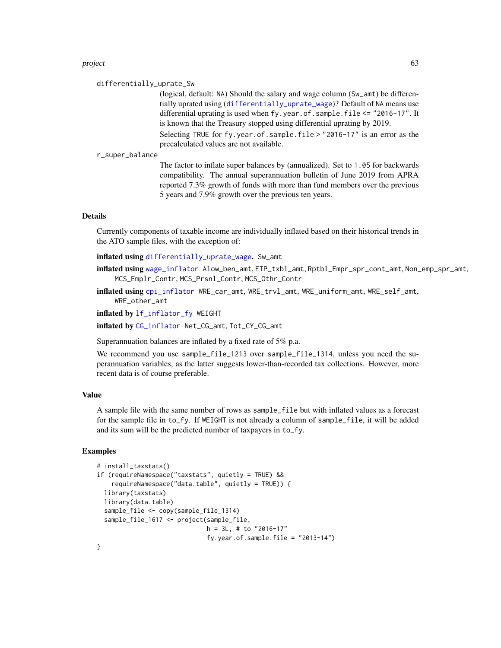#### project 63

#### differentially\_uprate\_Sw

(logical, default: NA) Should the salary and wage column (Sw\_amt) be differentially uprated using ([differentially\\_uprate\\_wage](#page-22-0))? Default of NA means use differential uprating is used when fy.year.of.sample.file <= "2016-17". It is known that the Treasury stopped using differential uprating by 2019.

Selecting TRUE for fy.year.of.sample.file > "2016-17" is an error as the precalculated values are not available.

#### r\_super\_balance

The factor to inflate super balances by (annualized). Set to 1.05 for backwards compatibility. The annual superannuation bulletin of June 2019 from APRA reported 7.3% growth of funds with more than fund members over the previous 5 years and 7.9% growth over the previous ten years.

## Details

Currently components of taxable income are individually inflated based on their historical trends in the ATO sample files, with the exception of:

inflated using [differentially\\_uprate\\_wage](#page-22-0). Sw\_amt

- inflated using [wage\\_inflator](#page-75-0) Alow\_ben\_amt, ETP\_txbl\_amt, Rptbl\_Empr\_spr\_cont\_amt, Non\_emp\_spr\_amt, MCS\_Emplr\_Contr, MCS\_Prsnl\_Contr, MCS\_Othr\_Contr
- inflated using [cpi\\_inflator](#page-19-0) WRE\_car\_amt, WRE\_trvl\_amt, WRE\_uniform\_amt, WRE\_self\_amt, WRE\_other\_amt

inflated by [lf\\_inflator\\_fy](#page-36-0) WEIGHT

inflated by [CG\\_inflator](#page-15-0) Net\_CG\_amt, Tot\_CY\_CG\_amt

Superannuation balances are inflated by a fixed rate of 5% p.a.

We recommend you use sample\_file\_1213 over sample\_file\_1314, unless you need the superannuation variables, as the latter suggests lower-than-recorded tax collections. However, more recent data is of course preferable.

#### Value

A sample file with the same number of rows as sample\_file but with inflated values as a forecast for the sample file in to\_fy. If WEIGHT is not already a column of sample\_file, it will be added and its sum will be the predicted number of taxpayers in to\_fy.

#### Examples

```
# install_taxstats()
if (requireNamespace("taxstats", quietly = TRUE) &&
   requireNamespace("data.table", quietly = TRUE)) {
 library(taxstats)
 library(data.table)
 sample_file <- copy(sample_file_1314)
 sample_file_1617 <- project(sample_file,
                             h = 3L, # to "2016-17"
                              fy.year.of.sample.file = "2013-14")
```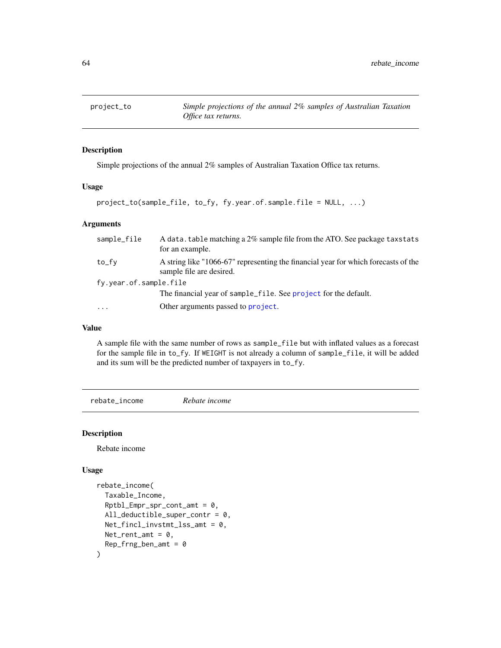## Description

Simple projections of the annual 2% samples of Australian Taxation Office tax returns.

#### Usage

project\_to(sample\_file, to\_fy, fy.year.of.sample.file = NULL, ...)

#### Arguments

| sample_file            | A data. table matching a 2% sample file from the ATO. See package taxstats<br>for an example.                  |
|------------------------|----------------------------------------------------------------------------------------------------------------|
| to_fy                  | A string like "1066-67" representing the financial year for which forecasts of the<br>sample file are desired. |
| fy.year.of.sample.file |                                                                                                                |
|                        | The financial year of sample_file. See project for the default.                                                |
| $\ddotsc$              | Other arguments passed to project.                                                                             |

## Value

A sample file with the same number of rows as sample\_file but with inflated values as a forecast for the sample file in to\_fy. If WEIGHT is not already a column of sample\_file, it will be added and its sum will be the predicted number of taxpayers in to\_fy.

rebate\_income *Rebate income*

#### Description

Rebate income

```
rebate_income(
  Taxable_Income,
  Rptbl\_Empr\_spr\_cont\_amt = 0,
 All_deductible_super_contr = 0,
 Net_fincl_invstmt_lss\_amt = 0,
 Net\_rent\_amt = 0,
 Rep_frng_ben_amt = 0
)
```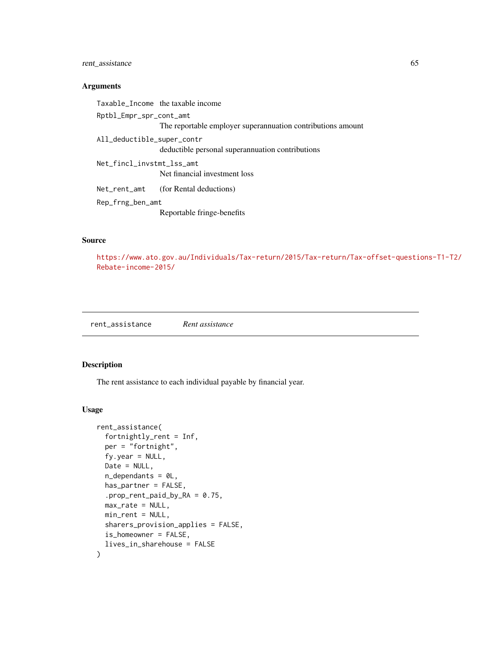## rent\_assistance 65

#### Arguments

Taxable\_Income the taxable income Rptbl\_Empr\_spr\_cont\_amt The reportable employer superannuation contributions amount All\_deductible\_super\_contr deductible personal superannuation contributions Net\_fincl\_invstmt\_lss\_amt Net financial investment loss Net\_rent\_amt (for Rental deductions) Rep\_frng\_ben\_amt Reportable fringe-benefits

## Source

[https://www.ato.gov.au/Individuals/Tax-return/2015/Tax-return/Tax-offset-questi](https://www.ato.gov.au/Individuals/Tax-return/2015/Tax-return/Tax-offset-questions-T1-T2/Rebate-income-2015/)ons-T1-T2/ [Rebate-income-2015/](https://www.ato.gov.au/Individuals/Tax-return/2015/Tax-return/Tax-offset-questions-T1-T2/Rebate-income-2015/)

rent\_assistance *Rent assistance*

## Description

The rent assistance to each individual payable by financial year.

```
rent_assistance(
  fortnightly_rent = Inf,
  per = "fortnight",
  fy.year = NULL,Date = NULL,
 n_dependants = 0L,
 has_partner = FALSE,
  .prop_rent_paid_by_RA = 0.75,
 max_rate = NULL,min_rent = NULL,
  sharers_provision_applies = FALSE,
  is_homeowner = FALSE,
  lives_in_sharehouse = FALSE
)
```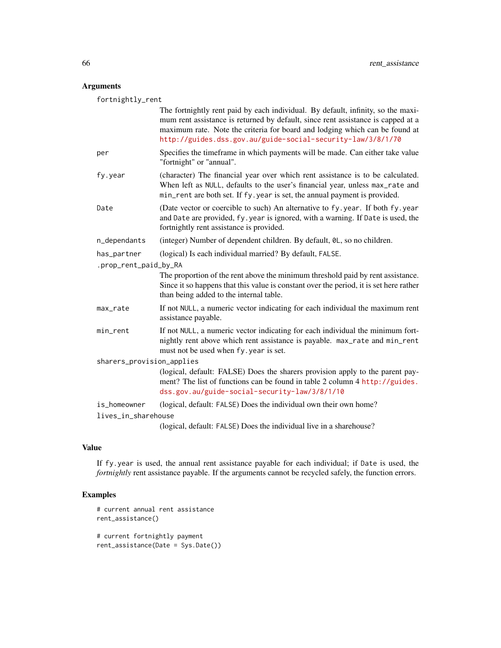fortnightly\_rent

|                           | The fortnightly rent paid by each individual. By default, infinity, so the maxi-<br>mum rent assistance is returned by default, since rent assistance is capped at a<br>maximum rate. Note the criteria for board and lodging which can be found at<br>http://guides.dss.gov.au/guide-social-security-law/3/8/1/70 |  |
|---------------------------|--------------------------------------------------------------------------------------------------------------------------------------------------------------------------------------------------------------------------------------------------------------------------------------------------------------------|--|
| per                       | Specifies the timeframe in which payments will be made. Can either take value<br>"fortnight" or "annual".                                                                                                                                                                                                          |  |
| fy.year                   | (character) The financial year over which rent assistance is to be calculated.<br>When left as NULL, defaults to the user's financial year, unless max_rate and<br>min_rent are both set. If fy. year is set, the annual payment is provided.                                                                      |  |
| Date                      | (Date vector or coercible to such) An alternative to fy. year. If both fy. year<br>and Date are provided, fy. year is ignored, with a warning. If Date is used, the<br>fortnightly rent assistance is provided.                                                                                                    |  |
| n_dependants              | (integer) Number of dependent children. By default, 0L, so no children.                                                                                                                                                                                                                                            |  |
| has_partner               | (logical) Is each individual married? By default, FALSE.                                                                                                                                                                                                                                                           |  |
| .prop_rent_paid_by_RA     |                                                                                                                                                                                                                                                                                                                    |  |
|                           | The proportion of the rent above the minimum threshold paid by rent assistance.<br>Since it so happens that this value is constant over the period, it is set here rather<br>than being added to the internal table.                                                                                               |  |
| max_rate                  | If not NULL, a numeric vector indicating for each individual the maximum rent<br>assistance payable.                                                                                                                                                                                                               |  |
| min_rent                  | If not NULL, a numeric vector indicating for each individual the minimum fort-<br>nightly rent above which rent assistance is payable. max_rate and min_rent<br>must not be used when fy. year is set.                                                                                                             |  |
| sharers_provision_applies |                                                                                                                                                                                                                                                                                                                    |  |
|                           | (logical, default: FALSE) Does the sharers provision apply to the parent pay-<br>ment? The list of functions can be found in table 2 column 4 http://guides.<br>dss.gov.au/guide-social-security-law/3/8/1/10                                                                                                      |  |
| is_homeowner              | (logical, default: FALSE) Does the individual own their own home?                                                                                                                                                                                                                                                  |  |
| lives_in_sharehouse       |                                                                                                                                                                                                                                                                                                                    |  |
|                           | (logical, default: FALSE) Does the individual live in a sharehouse?                                                                                                                                                                                                                                                |  |

## Value

If fy.year is used, the annual rent assistance payable for each individual; if Date is used, the *fortnightly* rent assistance payable. If the arguments cannot be recycled safely, the function errors.

## Examples

```
# current annual rent assistance
rent_assistance()
# current fortnightly payment
```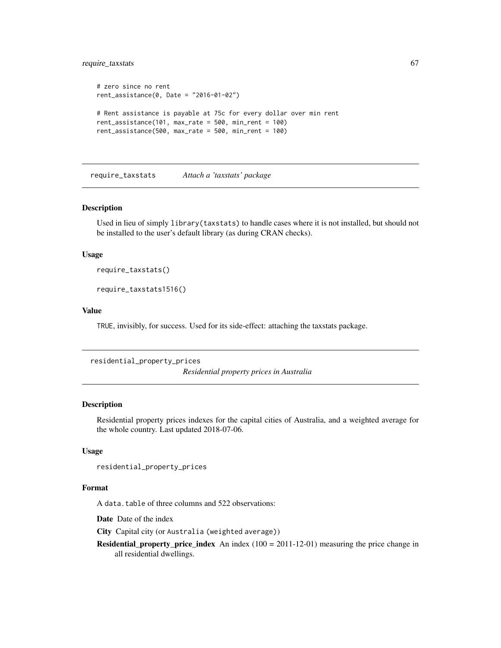## require\_taxstats 67

```
# zero since no rent
rent_assistance(0, Date = "2016-01-02")
# Rent assistance is payable at 75c for every dollar over min rent
rent_assistance(101, max_rate = 500, min_rent = 100)
rent_assistance(500, max_rate = 500, min_rent = 100)
```
require\_taxstats *Attach a 'taxstats' package*

## Description

Used in lieu of simply library(taxstats) to handle cases where it is not installed, but should not be installed to the user's default library (as during CRAN checks).

#### Usage

require\_taxstats()

require\_taxstats1516()

#### Value

TRUE, invisibly, for success. Used for its side-effect: attaching the taxstats package.

```
residential_property_prices
```
*Residential property prices in Australia*

#### Description

Residential property prices indexes for the capital cities of Australia, and a weighted average for the whole country. Last updated 2018-07-06.

#### Usage

```
residential_property_prices
```
#### Format

A data.table of three columns and 522 observations:

Date Date of the index

City Capital city (or Australia (weighted average))

**Residential\_property\_price\_index** An index  $(100 = 2011-12-01)$  measuring the price change in all residential dwellings.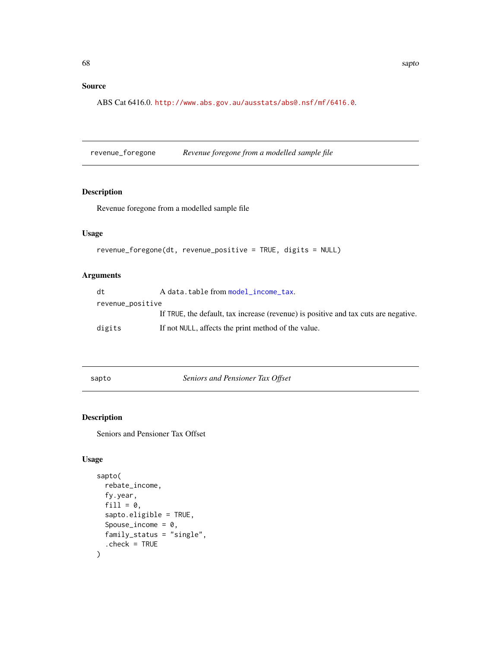## Source

ABS Cat 6416.0. <http://www.abs.gov.au/ausstats/abs@.nsf/mf/6416.0>.

revenue\_foregone *Revenue foregone from a modelled sample file*

#### Description

Revenue foregone from a modelled sample file

## Usage

```
revenue_foregone(dt, revenue_positive = TRUE, digits = NULL)
```
## Arguments

| dt               | A data.table from model_income_tax.                                                 |
|------------------|-------------------------------------------------------------------------------------|
| revenue_positive |                                                                                     |
|                  | If TRUE, the default, tax increase (revenue) is positive and tax cuts are negative. |
| digits           | If not NULL, affects the print method of the value.                                 |

<span id="page-67-0"></span>sapto *Seniors and Pensioner Tax Offset*

## Description

Seniors and Pensioner Tax Offset

```
sapto(
  rebate_income,
  fy.year,
  fill = 0.
  sapto.eligible = TRUE,
  Spouse_income = 0,
  family_status = "single",
  . check = TRUE
\mathcal{E}
```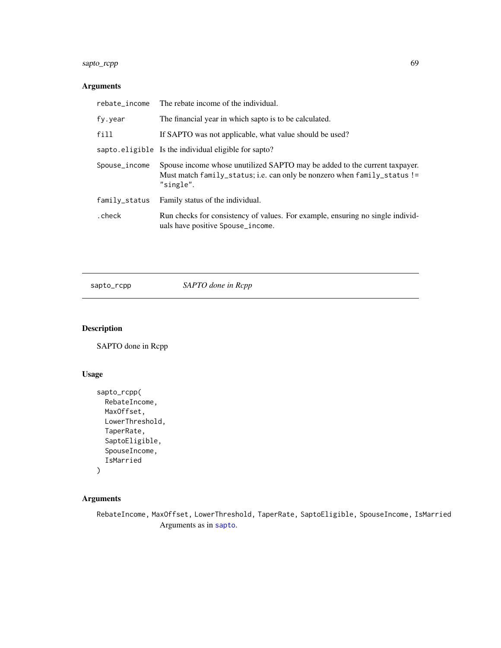# sapto\_rcpp 69

# Arguments

| rebate_income | The rebate income of the individual.                                                                                                                                |
|---------------|---------------------------------------------------------------------------------------------------------------------------------------------------------------------|
| fy.year       | The financial year in which sapto is to be calculated.                                                                                                              |
| fill          | If SAPTO was not applicable, what value should be used?                                                                                                             |
|               | sapto.eligible Is the individual eligible for sapto?                                                                                                                |
| Spouse_income | Spouse income whose unutilized SAPTO may be added to the current taxpayer.<br>Must match family_status; i.e. can only be nonzero when family_status !=<br>"single". |
| family_status | Family status of the individual.                                                                                                                                    |
| .check        | Run checks for consistency of values. For example, ensuring no single individ-<br>uals have positive Spouse_income.                                                 |

sapto\_rcpp *SAPTO done in Rcpp*

# Description

SAPTO done in Rcpp

## Usage

```
sapto_rcpp(
 RebateIncome,
 MaxOffset,
 LowerThreshold,
  TaperRate,
  SaptoEligible,
  SpouseIncome,
  IsMarried
)
```
## Arguments

RebateIncome, MaxOffset, Lowe[rThresh](#page-67-0)old, TaperRate, SaptoEligible, SpouseIncome, IsMarried Arguments as in sapto.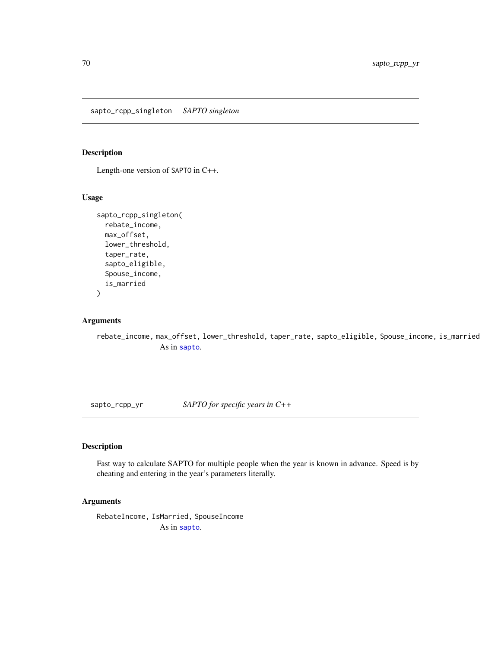sapto\_rcpp\_singleton *SAPTO singleton*

# Description

Length-one version of SAPTO in C++.

## Usage

```
sapto_rcpp_singleton(
  rebate_income,
 max_offset,
  lower_threshold,
  taper_rate,
  sapto_eligible,
  Spouse_income,
  is_married
\mathcal{L}
```
## Arguments

rebate\_income, max\_o[ffset,](#page-67-0) lower\_threshold, taper\_rate, sapto\_eligible, Spouse\_income, is\_married As in sapto.

sapto\_rcpp\_yr *SAPTO for specific years in C++*

# Description

Fast way to calculate SAPTO for multiple people when the year is known in advance. Speed is by cheating and entering in the year's parameters literally.

## Arguments

RebateIncome, IsMarr[ied, Sp](#page-67-0)ouseIncome As in sapto.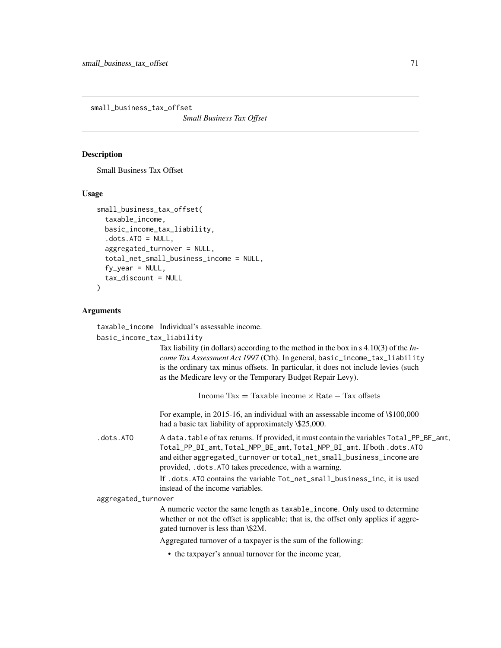<span id="page-70-0"></span>small\_business\_tax\_offset

*Small Business Tax Offset*

#### **Description**

Small Business Tax Offset

### Usage

```
small_business_tax_offset(
  taxable_income,
  basic_income_tax_liability,
  dots. ATO = NULL,
  aggregated_turnover = NULL,
  total_net_small_business_income = NULL,
  fy_{\text{year}} = NULL,tax_discount = NULL
\lambda
```
## Arguments

taxable\_income Individual's assessable income.

basic\_income\_tax\_liability

Tax liability (in dollars) according to the method in the box in s 4.10(3) of the *Income Tax Assessment Act 1997* (Cth). In general, basic\_income\_tax\_liability is the ordinary tax minus offsets. In particular, it does not include levies (such as the Medicare levy or the Temporary Budget Repair Levy).

Income  $\text{Tax} = \text{Taxable income} \times \text{Rate} - \text{Tax offsets}$ 

For example, in 2015-16, an individual with an assessable income of \\$100,000 had a basic tax liability of approximately \\$25,000.

.dots.ATO A data.table of tax returns. If provided, it must contain the variables Total\_PP\_BE\_amt, Total\_PP\_BI\_amt, Total\_NPP\_BE\_amt, Total\_NPP\_BI\_amt. If both .dots.ATO and either aggregated\_turnover or total\_net\_small\_business\_income are provided, .dots.ATO takes precedence, with a warning.

> If .dots.ATO contains the variable Tot\_net\_small\_business\_inc, it is used instead of the income variables.

aggregated\_turnover

A numeric vector the same length as taxable\_income. Only used to determine whether or not the offset is applicable; that is, the offset only applies if aggregated turnover is less than \\$2M.

Aggregated turnover of a taxpayer is the sum of the following:

• the taxpayer's annual turnover for the income year,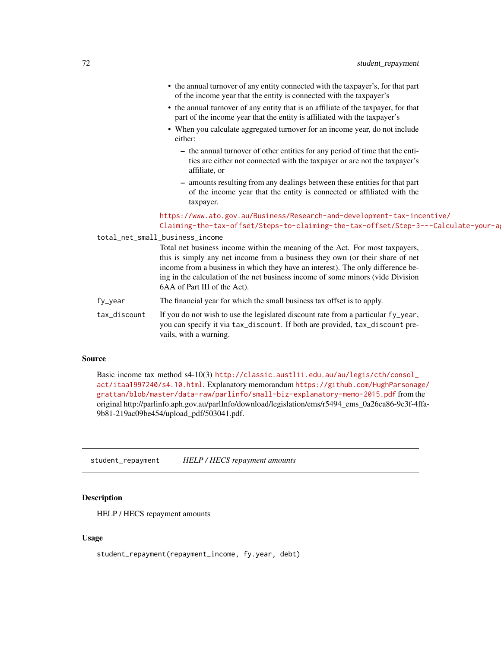- the annual turnover of any entity connected with the taxpayer's, for that part of the income year that the entity is connected with the taxpayer's
- the annual turnover of any entity that is an affiliate of the taxpayer, for that part of the income year that the entity is affiliated with the taxpayer's
- When you calculate aggregated turnover for an income year, do not include either:
	- the annual turnover of other entities for any period of time that the entities are either not connected with the taxpayer or are not the taxpayer's affiliate, or
	- amounts resulting from any dealings between these entities for that part of the income year that the entity is connected or affiliated with the taxpayer.

## [https://www.ato.gov.au/Business/Research-and-development-tax-inc](https://www.ato.gov.au/Business/Research-and-development-tax-incentive/Claiming-the-tax-offset/Steps-to-claiming-the-tax-offset/Step-3---Calculate-your-aggregated-turnover/)entive/ Claiming-the-tax-offset/Steps-to-claiming-the-tax-offset/Step-3---Calculate-your-a

total\_net\_small\_business\_income

Total net business income within the meaning of the Act. For most taxpayers, this is simply any net income from a business they own (or their share of net income from a business in which they have an interest). The only difference being in the calculation of the net business income of some minors (vide Division 6AA of Part III of the Act).

fy\_year The financial year for which the small business tax offset is to apply.

tax\_discount If you do not wish to use the legislated discount rate from a particular fy\_year, you can specify it via tax\_discount. If both are provided, tax\_discount prevails, with a warning.

#### Source

Basic income tax method s4-10(3) [http://classic.austlii.edu.au/au/legis/cth/consol\\_](http://classic.austlii.edu.au/au/legis/cth/consol_act/itaa1997240/s4.10.html) [act/itaa1997240/s4.10.html](http://classic.austlii.edu.au/au/legis/cth/consol_act/itaa1997240/s4.10.html). Explanatory memorandum [https://github.com/HughParsonag](https://github.com/HughParsonage/grattan/blob/master/data-raw/parlinfo/small-biz-explanatory-memo-2015.pdf)e/ [grattan/blob/master/data-raw/parlinfo/small-biz-explanatory-memo-2015.pdf](https://github.com/HughParsonage/grattan/blob/master/data-raw/parlinfo/small-biz-explanatory-memo-2015.pdf) from the original http://parlinfo.aph.gov.au/parlInfo/download/legislation/ems/r5494\_ems\_0a26ca86-9c3f-4ffa-9b81-219ac09be454/upload\_pdf/503041.pdf.

student\_repayment *HELP / HECS repayment amounts*

#### Description

HELP / HECS repayment amounts

#### Usage

student\_repayment(repayment\_income, fy.year, debt)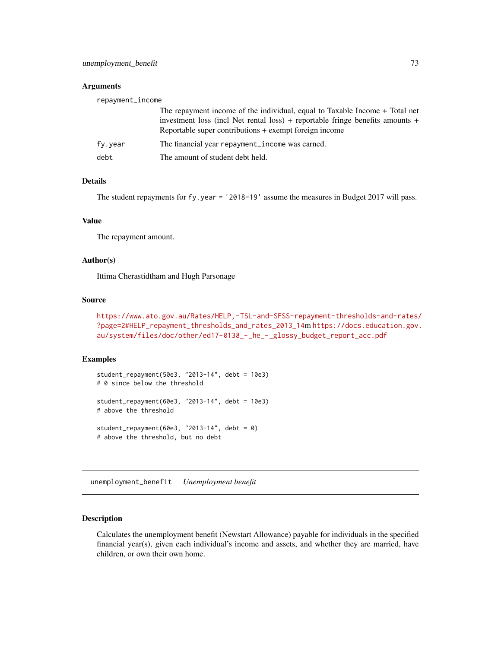#### <span id="page-72-0"></span>Arguments

| repayment_income |                                                                                                                                                                                                                        |
|------------------|------------------------------------------------------------------------------------------------------------------------------------------------------------------------------------------------------------------------|
|                  | The repayment income of the individual, equal to Taxable Income + Total net<br>investment loss (incl Net rental loss) + reportable fringe benefits amounts +<br>Reportable super contributions + exempt foreign income |
| fv.vear          | The financial year repayment_income was earned.                                                                                                                                                                        |
| debt             | The amount of student debt held.                                                                                                                                                                                       |

#### Details

The student repayments for fy.year = '2018-19' assume the measures in Budget 2017 will pass.

#### Value

The repayment amount.

#### Author(s)

Ittima Cherastidtham and Hugh Parsonage

#### Source

```
https://www.ato.gov.au/Rates/HELP,-TSL-and-SFSS-repayment-thresholds-and-rates/
?page=2#HELP_repayment_thresholds_and_rates_2013_14m https://docs.education.gov.
au/system/files/doc/other/ed17-0138_-_he_-_glossy_budget_report_acc.pdf
```
#### Examples

```
student_repayment(50e3, "2013-14", debt = 10e3)
# 0 since below the threshold
student_repayment(60e3, "2013-14", debt = 10e3)
# above the threshold
student_repayment(60e3, "2013-14", debt = 0)
# above the threshold, but no debt
```
unemployment\_benefit *Unemployment benefit*

#### Description

Calculates the unemployment benefit (Newstart Allowance) payable for individuals in the specified financial year(s), given each individual's income and assets, and whether they are married, have children, or own their own home.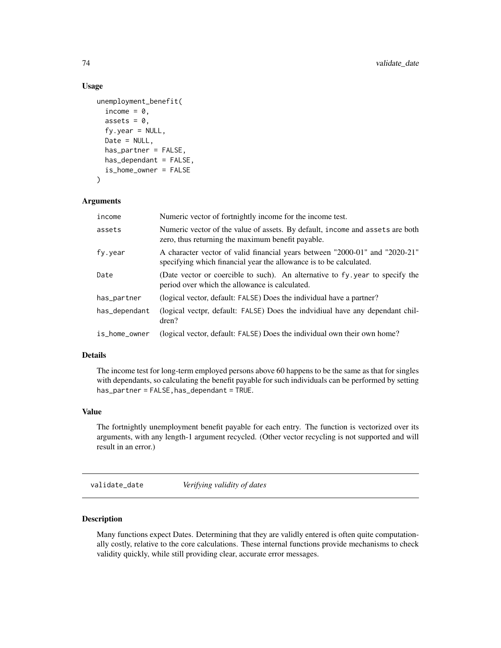#### Usage

```
unemployment_benefit(
  income = 0,
  assets = 0,
  fy.year = NULL,Date = NULL,
  has_partner = FALSE,
  has_dependant = FALSE,
  is_home_owner = FALSE
\mathcal{L}
```
#### Arguments

| income        | Numeric vector of fortnightly income for the income test.                                                                                         |
|---------------|---------------------------------------------------------------------------------------------------------------------------------------------------|
| assets        | Numeric vector of the value of assets. By default, income and assets are both<br>zero, thus returning the maximum benefit payable.                |
| fy.year       | A character vector of valid financial years between "2000-01" and "2020-21"<br>specifying which financial year the allowance is to be calculated. |
| Date          | (Date vector or coercible to such). An alternative to fy year to specify the<br>period over which the allowance is calculated.                    |
| has_partner   | (logical vector, default: FALSE) Does the individual have a partner?                                                                              |
| has_dependant | (logical vectpr, default: FALSE) Does the indvidiual have any dependant chil-<br>dren?                                                            |
| is_home_owner | (logical vector, default: FALSE) Does the individual own their own home?                                                                          |

## Details

The income test for long-term employed persons above 60 happens to be the same as that for singles with dependants, so calculating the benefit payable for such individuals can be performed by setting has\_partner = FALSE,has\_dependant = TRUE.

#### Value

The fortnightly unemployment benefit payable for each entry. The function is vectorized over its arguments, with any length-1 argument recycled. (Other vector recycling is not supported and will result in an error.)

validate\_date *Verifying validity of dates*

## Description

Many functions expect Dates. Determining that they are validly entered is often quite computationally costly, relative to the core calculations. These internal functions provide mechanisms to check validity quickly, while still providing clear, accurate error messages.

<span id="page-73-0"></span>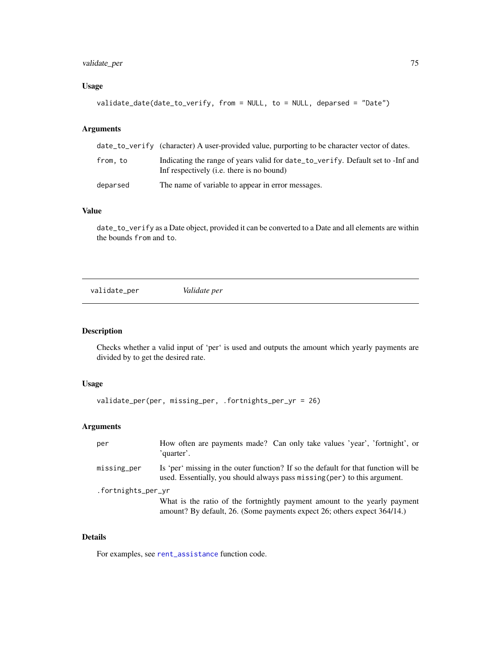## <span id="page-74-0"></span>validate\_per 75

## Usage

```
validate_date(date_to_verify, from = NULL, to = NULL, deparsed = "Date")
```
## Arguments

|          | date_to_verify (character) A user-provided value, purporting to be character vector of dates.                                |
|----------|------------------------------------------------------------------------------------------------------------------------------|
| from.to  | Indicating the range of years valid for date to verify. Default set to -Inf and<br>Inf respectively (i.e. there is no bound) |
| deparsed | The name of variable to appear in error messages.                                                                            |

#### Value

date\_to\_verify as a Date object, provided it can be converted to a Date and all elements are within the bounds from and to.

validate\_per *Validate per*

## Description

Checks whether a valid input of 'per' is used and outputs the amount which yearly payments are divided by to get the desired rate.

#### Usage

```
validate_per(per, missing_per, .fortnights_per_yr = 26)
```
## Arguments

| per                | How often are payments made? Can only take values 'year', 'fortnight', or<br>'quarter'.                                                                          |
|--------------------|------------------------------------------------------------------------------------------------------------------------------------------------------------------|
| missing_per        | Is 'per' missing in the outer function? If so the default for that function will be<br>used. Essentially, you should always pass missing (per) to this argument. |
| .fortnights_per_yr | What is the ratio of the fortnightly payment amount to the yearly payment<br>amount? By default, 26. (Some payments expect 26; others expect 364/14.)            |

## Details

For examples, see [rent\\_assistance](#page-64-0) function code.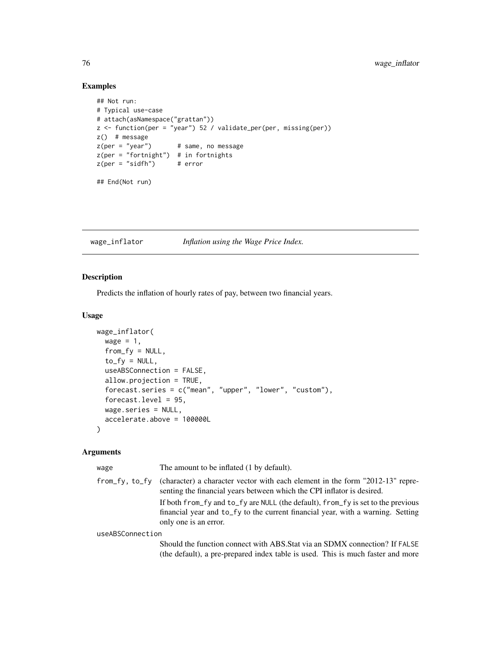## Examples

```
## Not run:
# Typical use-case
# attach(asNamespace("grattan"))
z <- function(per = "year") 52 / validate_per(per, missing(per))
z() # message
z(per = "year") # same, no message
z(per = "fortnight") # in fortnights
z(per = "sidfh") # error
## End(Not run)
```
wage\_inflator *Inflation using the Wage Price Index.*

#### Description

Predicts the inflation of hourly rates of pay, between two financial years.

## Usage

```
wage_inflator(
  wage = 1,
  from_f y = NULL,to_f y = NULL,useABSConnection = FALSE,
  allow.projection = TRUE,
  forecast.series = c("mean", "upper", "lower", "custom"),
  forecast.level = 95,
  wage.series = NULL,
  accelerate.above = 100000L
)
```
#### Arguments

| wage             | The amount to be inflated (1 by default).                                                                                                                                                    |
|------------------|----------------------------------------------------------------------------------------------------------------------------------------------------------------------------------------------|
| from_fv.to_fv    | (character) a character vector with each element in the form "2012-13" repre-<br>senting the financial years between which the CPI inflator is desired.                                      |
|                  | If both from fy and to fy are NULL (the default), from fy is set to the previous<br>financial year and to_fy to the current financial year, with a warning. Setting<br>only one is an error. |
| useABSConnection |                                                                                                                                                                                              |
|                  | Should the function connect with ABS. Stat via an SDMX connection? If FALSE<br>(the default), a pre-prepared index table is used. This is much faster and more                               |

<span id="page-75-0"></span>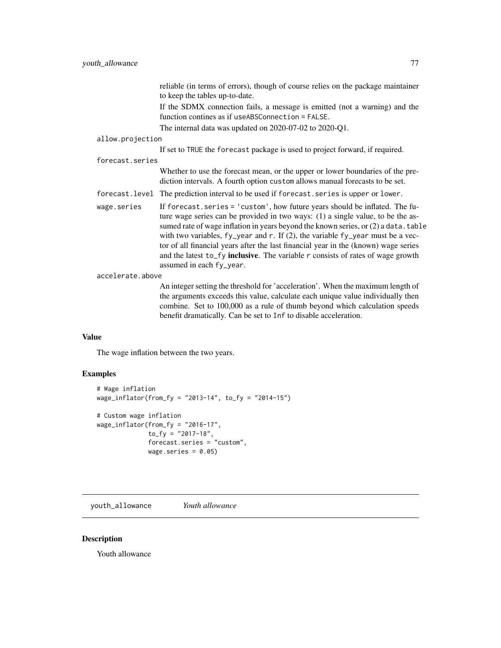reliable (in terms of errors), though of course relies on the package maintainer to keep the tables up-to-date.

If the SDMX connection fails, a message is emitted (not a warning) and the function contines as if useABSConnection = FALSE.

The internal data was updated on 2020-07-02 to 2020-Q1.

#### <span id="page-76-0"></span>allow.projection

If set to TRUE the forecast package is used to project forward, if required.

#### forecast.series

Whether to use the forecast mean, or the upper or lower boundaries of the prediction intervals. A fourth option custom allows manual forecasts to be set.

- forecast.level The prediction interval to be used if forecast.series is upper or lower.
- wage.series If forecast.series = 'custom', how future years should be inflated. The future wage series can be provided in two ways: (1) a single value, to be the assumed rate of wage inflation in years beyond the known series, or  $(2)$  a data.table with two variables, fy\_year and r. If (2), the variable fy\_year must be a vector of all financial years after the last financial year in the (known) wage series and the latest to\_fy inclusive. The variable  $r$  consists of rates of wage growth assumed in each fy\_year.

#### accelerate.above

An integer setting the threshold for 'acceleration'. When the maximum length of the arguments exceeds this value, calculate each unique value individually then combine. Set to 100,000 as a rule of thumb beyond which calculation speeds benefit dramatically. Can be set to Inf to disable acceleration.

#### Value

The wage inflation between the two years.

#### Examples

```
# Wage inflation
wage_inflator(from_fy = "2013-14", to_fy = "2014-15")
# Custom wage inflation
wage_inflator(from_fy = "2016-17",
              to_f y = "2017-18",forecast.series = "custom",
              wage.series = 0.05)
```
youth\_allowance *Youth allowance*

#### **Description**

Youth allowance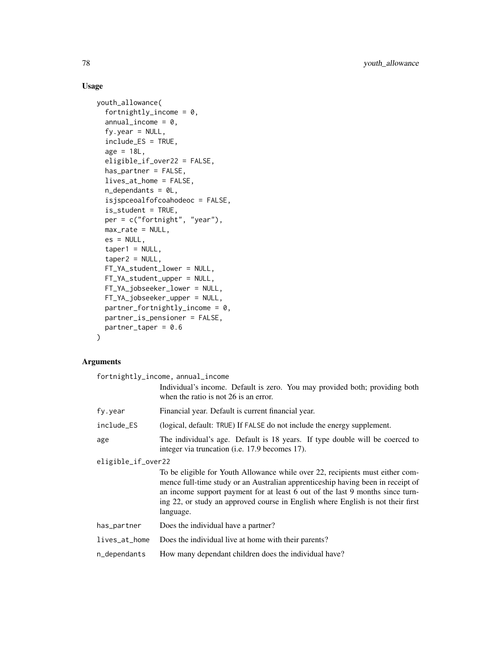## Usage

```
youth_allowance(
  fortnightly_income = 0,
  annual\_income = 0,
  fy.year = NULL,include_ES = TRUE,
  age = 18L,eligible_if_over22 = FALSE,
  has_partner = FALSE,
  lives_at_home = FALSE,
 n_dependants = 0L,
  isjspceoalfofcoahodeoc = FALSE,
  is_student = TRUE,
 per = c("fortnight", "year"),
 max_rate = NULL,
 es = NULL,taper1 = NULL,taper2 = NULL,FT_YA_student_lower = NULL,
 FT_YA_student_upper = NULL,
 FT_YA_jobseeker_lower = NULL,
 FT_YA_jobseeker_upper = NULL,
 partner_fortnightly_income = 0,partner_is_pensioner = FALSE,
 partner\_taper = 0.6)
```
## Arguments

| fortnightly_income, annual_income |                                                                                                                                                                                                                                                                                                                                                   |
|-----------------------------------|---------------------------------------------------------------------------------------------------------------------------------------------------------------------------------------------------------------------------------------------------------------------------------------------------------------------------------------------------|
|                                   | Individual's income. Default is zero. You may provided both; providing both<br>when the ratio is not 26 is an error.                                                                                                                                                                                                                              |
| fy.year                           | Financial year. Default is current financial year.                                                                                                                                                                                                                                                                                                |
| include_ES                        | (logical, default: TRUE) If FALSE do not include the energy supplement.                                                                                                                                                                                                                                                                           |
| age                               | The individual's age. Default is 18 years. If type double will be coerced to<br>integer via truncation ( <i>i.e.</i> 17.9 becomes 17).                                                                                                                                                                                                            |
| eligible_if_over22                |                                                                                                                                                                                                                                                                                                                                                   |
|                                   | To be eligible for Youth Allowance while over 22, recipients must either com-<br>mence full-time study or an Australian apprenticeship having been in receipt of<br>an income support payment for at least 6 out of the last 9 months since turn-<br>ing 22, or study an approved course in English where English is not their first<br>language. |
| has_partner                       | Does the individual have a partner?                                                                                                                                                                                                                                                                                                               |
|                                   |                                                                                                                                                                                                                                                                                                                                                   |
| lives_at_home                     | Does the individual live at home with their parents?                                                                                                                                                                                                                                                                                              |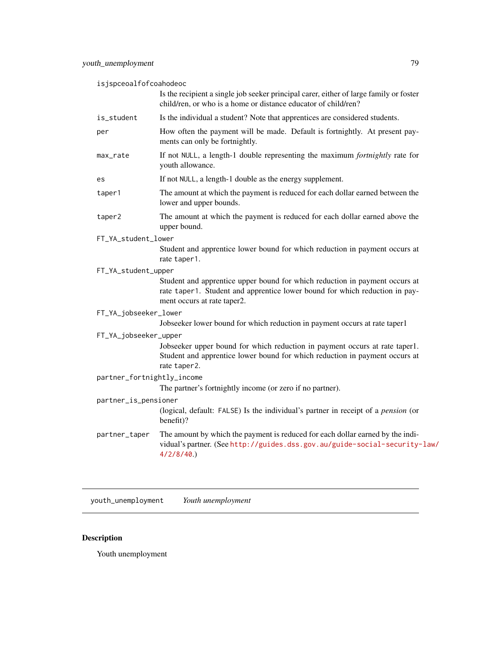<span id="page-78-0"></span>isjspceoalfofcoahodeoc

|                            | Is the recipient a single job seeker principal carer, either of large family or foster<br>child/ren, or who is a home or distance educator of child/ren?                                  |
|----------------------------|-------------------------------------------------------------------------------------------------------------------------------------------------------------------------------------------|
| is_student                 | Is the individual a student? Note that apprentices are considered students.                                                                                                               |
| per                        | How often the payment will be made. Default is fortnightly. At present pay-<br>ments can only be fortnightly.                                                                             |
| max_rate                   | If not NULL, a length-1 double representing the maximum fortnightly rate for<br>youth allowance.                                                                                          |
| es                         | If not NULL, a length-1 double as the energy supplement.                                                                                                                                  |
| taper1                     | The amount at which the payment is reduced for each dollar earned between the<br>lower and upper bounds.                                                                                  |
| taper2                     | The amount at which the payment is reduced for each dollar earned above the<br>upper bound.                                                                                               |
| FT_YA_student_lower        |                                                                                                                                                                                           |
|                            | Student and apprentice lower bound for which reduction in payment occurs at<br>rate taper1.                                                                                               |
| FT_YA_student_upper        |                                                                                                                                                                                           |
|                            | Student and apprentice upper bound for which reduction in payment occurs at<br>rate taper1. Student and apprentice lower bound for which reduction in pay-<br>ment occurs at rate taper2. |
| FT_YA_jobseeker_lower      |                                                                                                                                                                                           |
|                            | Jobseeker lower bound for which reduction in payment occurs at rate taper1                                                                                                                |
| FT_YA_jobseeker_upper      |                                                                                                                                                                                           |
|                            | Jobseeker upper bound for which reduction in payment occurs at rate taper1.<br>Student and apprentice lower bound for which reduction in payment occurs at<br>rate taper2.                |
| partner_fortnightly_income |                                                                                                                                                                                           |
|                            | The partner's fortnightly income (or zero if no partner).                                                                                                                                 |
| partner_is_pensioner       |                                                                                                                                                                                           |
|                            | (logical, default: FALSE) Is the individual's partner in receipt of a <i>pension</i> (or<br>benefit)?                                                                                     |
| partner_taper              | The amount by which the payment is reduced for each dollar earned by the indi-<br>vidual's partner. (See http://guides.dss.gov.au/guide-social-security-law/<br>4/2/8/40.                 |
|                            |                                                                                                                                                                                           |

youth\_unemployment *Youth unemployment*

## Description

Youth unemployment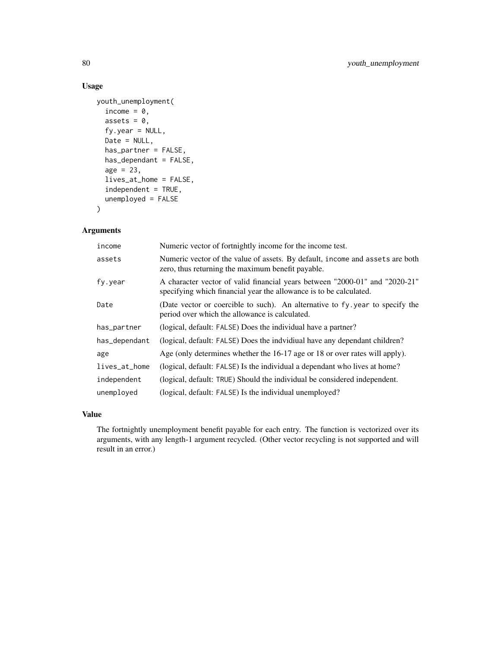## Usage

```
youth_unemployment(
  income = \theta,
  assets = 0,fy.year = NULL,
  Date = NULL,
  has_partner = FALSE,
  has_dependant = FALSE,
  age = 23,lives_at_home = FALSE,
  independent = TRUE,
  unemployed = FALSE
)
```
#### Arguments

| income        | Numeric vector of fortnightly income for the income test.                                                                                         |
|---------------|---------------------------------------------------------------------------------------------------------------------------------------------------|
| assets        | Numeric vector of the value of assets. By default, income and assets are both<br>zero, thus returning the maximum benefit payable.                |
| fy.year       | A character vector of valid financial years between "2000-01" and "2020-21"<br>specifying which financial year the allowance is to be calculated. |
| Date          | (Date vector or coercible to such). An alternative to fy year to specify the<br>period over which the allowance is calculated.                    |
| has_partner   | (logical, default: FALSE) Does the individual have a partner?                                                                                     |
| has_dependant | (logical, default: FALSE) Does the indvidiual have any dependant children?                                                                        |
| age           | Age (only determines whether the 16-17 age or 18 or over rates will apply).                                                                       |
| lives_at_home | (logical, default: FALSE) Is the individual a dependant who lives at home?                                                                        |
| independent   | (logical, default: TRUE) Should the individual be considered independent.                                                                         |
| unemployed    | (logical, default: FALSE) Is the individual unemployed?                                                                                           |

## Value

The fortnightly unemployment benefit payable for each entry. The function is vectorized over its arguments, with any length-1 argument recycled. (Other vector recycling is not supported and will result in an error.)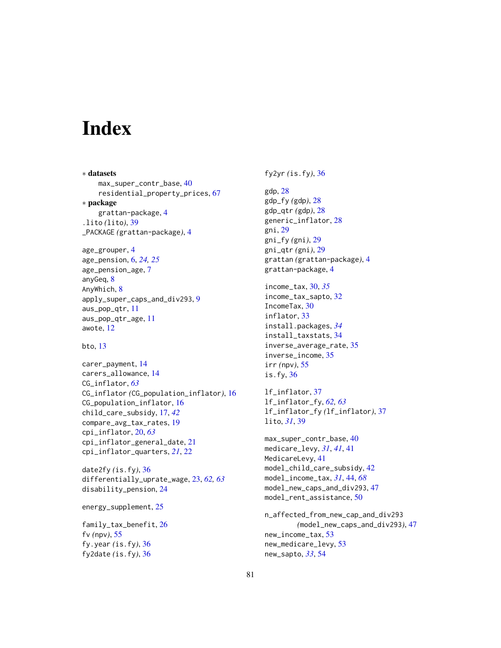# **Index**

∗ datasets max\_super\_contr\_base, [40](#page-39-0) residential\_property\_prices, [67](#page-66-0) ∗ package grattan-package, [4](#page-3-0) .lito *(*lito*)*, [39](#page-38-0) \_PACKAGE *(*grattan-package*)*, [4](#page-3-0)

```
age_grouper, 4
age_pension, 6, 24, 25
age_pension_age, 7
anyGeq, 8
AnyWhich, 8
apply_super_caps_and_div293, 9
aus_pop_qtr, 11
aus_pop_qtr_age, 11
awote, 12
```

```
bto, 13
```
carer\_payment, [14](#page-13-0) carers\_allowance, [14](#page-13-0) CG\_inflator, *[63](#page-62-0)* CG\_inflator *(*CG\_population\_inflator*)*, [16](#page-15-0) CG\_population\_inflator, [16](#page-15-0) child\_care\_subsidy, [17,](#page-16-0) *[42](#page-41-0)* compare\_avg\_tax\_rates, [19](#page-18-0) cpi\_inflator, [20,](#page-19-0) *[63](#page-62-0)* cpi\_inflator\_general\_date, [21](#page-20-0) cpi\_inflator\_quarters, *[21](#page-20-0)*, [22](#page-21-0)

date2fy *(*is.fy*)*, [36](#page-35-0) differentially\_uprate\_wage, [23,](#page-22-0) *[62,](#page-61-0) [63](#page-62-0)* disability\_pension, [24](#page-23-0)

energy\_supplement, [25](#page-24-0)

family\_tax\_benefit, [26](#page-25-0) fv *(*npv*)*, [55](#page-54-0) fy.year *(*is.fy*)*, [36](#page-35-0) fy2date *(*is.fy*)*, [36](#page-35-0)

fy2yr *(*is.fy*)*, [36](#page-35-0)

```
gdp, 28
gdp_fy (gdp), 28
gdp_qtr (gdp), 28
generic_inflator, 28
gni, 29
gni_fy (gni), 29
gni_qtr (gni), 29
grattan (grattan-package), 4
grattan-package, 4
income_tax, 30, 35
income_tax_sapto, 32
IncomeTax, 30
inflator, 33
install.packages, 34
install_taxstats, 34
inverse_average_rate, 35
inverse_income, 35
irr (npv), 55
is.fy, 36
lf_inflator, 37
lf_inflator_fy, 62, 63
lf_inflator_fy (lf_inflator), 37
lito, 31, 39
max_super_contr_base, 40
medicare_levy, 31, 41, 41
MedicareLevy, 41
model_child_care_subsidy, 42
model_income_tax, 31, 44, 68
model_new_caps_and_div293, 47
model_rent_assistance, 50
```
n\_affected\_from\_new\_cap\_and\_div293 *(*model\_new\_caps\_and\_div293*)*, [47](#page-46-0) new\_income\_tax, [53](#page-52-0) new\_medicare\_levy, [53](#page-52-0) new\_sapto, *[33](#page-32-0)*, [54](#page-53-0)